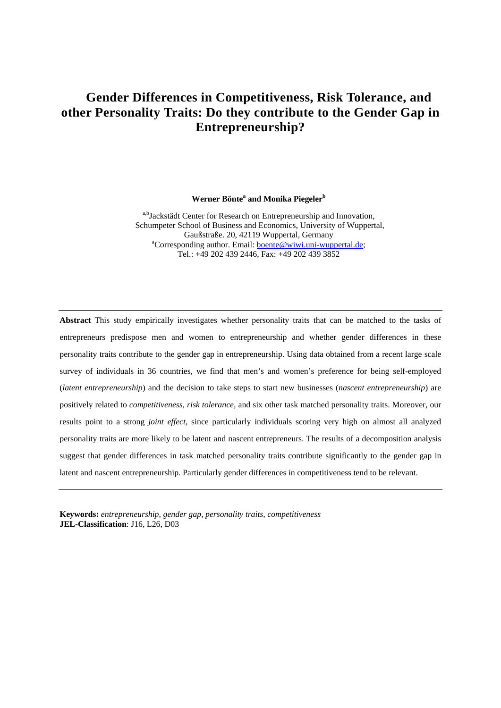# **Gender Differences in Competitiveness, Risk Tolerance, and other Personality Traits: Do they contribute to the Gender Gap in Entrepreneurship?**

Werner Bönte<sup>a</sup> and Monika Piegeler<sup>b</sup>

a,bJackstädt Center for Research on Entrepreneurship and Innovation, Schumpeter School of Business and Economics, University of Wuppertal, Gaußstraße. 20, 42119 Wuppertal, Germany <sup>a</sup>Corresponding author. Email: boente@wiwi.uni-wuppertal.de; Tel.: +49 202 439 2446, Fax: +49 202 439 3852

**Abstract** This study empirically investigates whether personality traits that can be matched to the tasks of entrepreneurs predispose men and women to entrepreneurship and whether gender differences in these personality traits contribute to the gender gap in entrepreneurship. Using data obtained from a recent large scale survey of individuals in 36 countries, we find that men's and women's preference for being self-employed (*latent entrepreneurship*) and the decision to take steps to start new businesses (*nascent entrepreneurship*) are positively related to *competitiveness, risk tolerance,* and six other task matched personality traits. Moreover, our results point to a strong *joint effect*, since particularly individuals scoring very high on almost all analyzed personality traits are more likely to be latent and nascent entrepreneurs. The results of a decomposition analysis suggest that gender differences in task matched personality traits contribute significantly to the gender gap in latent and nascent entrepreneurship. Particularly gender differences in competitiveness tend to be relevant.

**Keywords:** *entrepreneurship, gender gap, personality traits, competitiveness* **JEL-Classification**: J16, L26, D03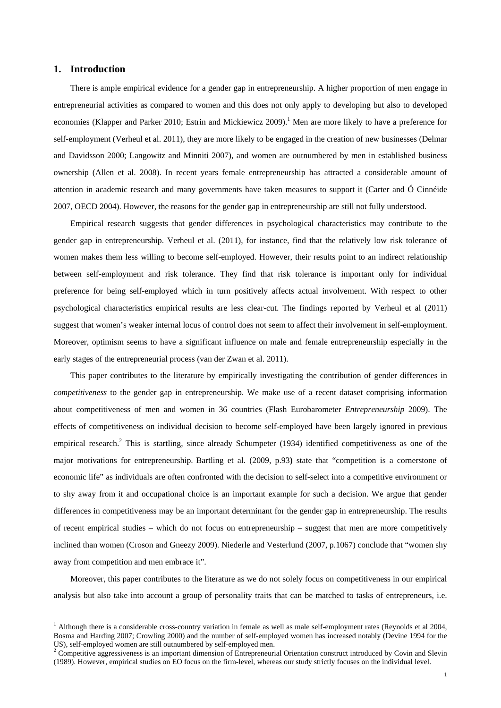# **1. Introduction**

1

There is ample empirical evidence for a gender gap in entrepreneurship. A higher proportion of men engage in entrepreneurial activities as compared to women and this does not only apply to developing but also to developed economies (Klapper and Parker 2010; Estrin and Mickiewicz 2009).<sup>1</sup> Men are more likely to have a preference for self-employment (Verheul et al. 2011), they are more likely to be engaged in the creation of new businesses (Delmar and Davidsson 2000; Langowitz and Minniti 2007), and women are outnumbered by men in established business ownership (Allen et al. 2008). In recent years female entrepreneurship has attracted a considerable amount of attention in academic research and many governments have taken measures to support it (Carter and Ó Cinnéide 2007, OECD 2004). However, the reasons for the gender gap in entrepreneurship are still not fully understood.

Empirical research suggests that gender differences in psychological characteristics may contribute to the gender gap in entrepreneurship. Verheul et al. (2011), for instance, find that the relatively low risk tolerance of women makes them less willing to become self-employed. However, their results point to an indirect relationship between self-employment and risk tolerance. They find that risk tolerance is important only for individual preference for being self-employed which in turn positively affects actual involvement. With respect to other psychological characteristics empirical results are less clear-cut. The findings reported by Verheul et al (2011) suggest that women's weaker internal locus of control does not seem to affect their involvement in self-employment. Moreover, optimism seems to have a significant influence on male and female entrepreneurship especially in the early stages of the entrepreneurial process (van der Zwan et al. 2011).

This paper contributes to the literature by empirically investigating the contribution of gender differences in *competitiveness* to the gender gap in entrepreneurship. We make use of a recent dataset comprising information about competitiveness of men and women in 36 countries (Flash Eurobarometer *Entrepreneurship* 2009). The effects of competitiveness on individual decision to become self-employed have been largely ignored in previous empirical research.<sup>2</sup> This is startling, since already Schumpeter (1934) identified competitiveness as one of the major motivations for entrepreneurship. Bartling et al. (2009, p.93**)** state that "competition is a cornerstone of economic life" as individuals are often confronted with the decision to self-select into a competitive environment or to shy away from it and occupational choice is an important example for such a decision. We argue that gender differences in competitiveness may be an important determinant for the gender gap in entrepreneurship. The results of recent empirical studies – which do not focus on entrepreneurship – suggest that men are more competitively inclined than women (Croson and Gneezy 2009). Niederle and Vesterlund (2007, p.1067) conclude that "women shy away from competition and men embrace it".

Moreover, this paper contributes to the literature as we do not solely focus on competitiveness in our empirical analysis but also take into account a group of personality traits that can be matched to tasks of entrepreneurs, i.e.

<sup>&</sup>lt;sup>1</sup> Although there is a considerable cross-country variation in female as well as male self-employment rates (Reynolds et al 2004, Bosma and Harding 2007; Crowling 2000) and the number of self-employed women has increased notably (Devine 1994 for the US), self-employed women are still outnumbered by self-employed men.

<sup>&</sup>lt;sup>2</sup> Competitive aggressiveness is an important dimension of Entrepreneurial Orientation construct introduced by Covin and Slevin (1989). However, empirical studies on EO focus on the firm-level, whereas our study strictly focuses on the individual level.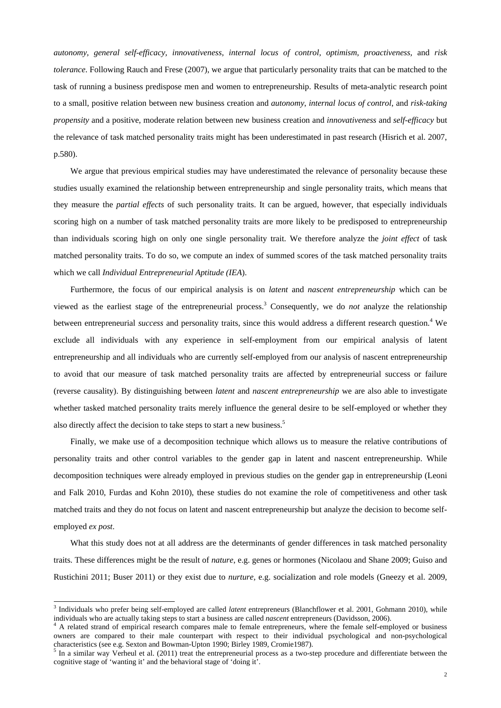*autonomy, general self-efficacy, innovativeness, internal locus of control, optimism, proactiveness,* and *risk tolerance*. Following Rauch and Frese (2007), we argue that particularly personality traits that can be matched to the task of running a business predispose men and women to entrepreneurship. Results of meta-analytic research point to a small, positive relation between new business creation and *autonomy*, *internal locus of control*, and *risk-taking propensity* and a positive, moderate relation between new business creation and *innovativeness* and *self-efficacy* but the relevance of task matched personality traits might has been underestimated in past research (Hisrich et al. 2007, p.580).

We argue that previous empirical studies may have underestimated the relevance of personality because these studies usually examined the relationship between entrepreneurship and single personality traits, which means that they measure the *partial effects* of such personality traits. It can be argued, however, that especially individuals scoring high on a number of task matched personality traits are more likely to be predisposed to entrepreneurship than individuals scoring high on only one single personality trait. We therefore analyze the *joint effect* of task matched personality traits. To do so, we compute an index of summed scores of the task matched personality traits which we call *Individual Entrepreneurial Aptitude (IEA*).

Furthermore, the focus of our empirical analysis is on *latent* and *nascent entrepreneurship* which can be viewed as the earliest stage of the entrepreneurial process.<sup>3</sup> Consequently, we do *not* analyze the relationship between entrepreneurial *success* and personality traits, since this would address a different research question.<sup>4</sup> We exclude all individuals with any experience in self-employment from our empirical analysis of latent entrepreneurship and all individuals who are currently self-employed from our analysis of nascent entrepreneurship to avoid that our measure of task matched personality traits are affected by entrepreneurial success or failure (reverse causality). By distinguishing between *latent* and *nascent entrepreneurship* we are also able to investigate whether tasked matched personality traits merely influence the general desire to be self-employed or whether they also directly affect the decision to take steps to start a new business.<sup>5</sup>

Finally, we make use of a decomposition technique which allows us to measure the relative contributions of personality traits and other control variables to the gender gap in latent and nascent entrepreneurship. While decomposition techniques were already employed in previous studies on the gender gap in entrepreneurship (Leoni and Falk 2010, Furdas and Kohn 2010), these studies do not examine the role of competitiveness and other task matched traits and they do not focus on latent and nascent entrepreneurship but analyze the decision to become selfemployed *ex post*.

What this study does not at all address are the determinants of gender differences in task matched personality traits. These differences might be the result of *nature*, e.g. genes or hormones (Nicolaou and Shane 2009; Guiso and Rustichini 2011; Buser 2011) or they exist due to *nurture,* e.g. socialization and role models (Gneezy et al. 2009,

1

<sup>3</sup> Individuals who prefer being self-employed are called *latent* entrepreneurs (Blanchflower et al. 2001, Gohmann 2010), while individuals who are actually taking steps to start a business are called *nascent* entrepreneurs (Davidsson, 2006). 4

A related strand of empirical research compares male to female entrepreneurs, where the female self-employed or business owners are compared to their male counterpart with respect to their individual psychological and non-psychological characteristics (see e.g. Sexton and Bowman-Upton 1990; Birley 1989, Cromie1987).

 $<sup>5</sup>$  In a similar way Verheul et al. (2011) treat the entrepreneurial process as a two-step procedure and differentiate between the</sup> cognitive stage of 'wanting it' and the behavioral stage of 'doing it'.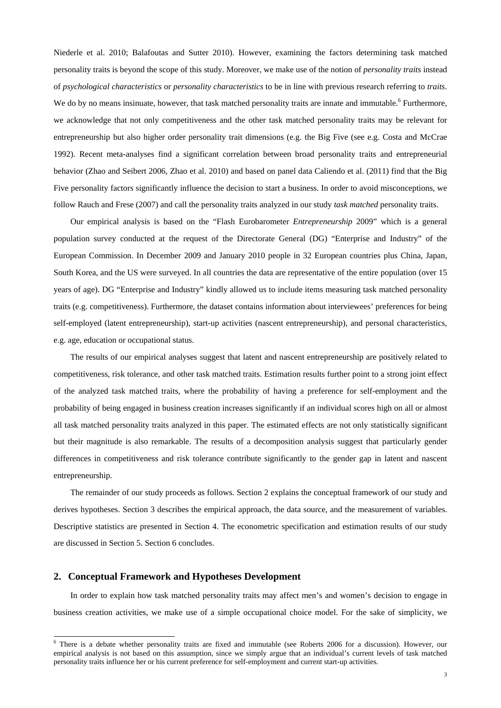Niederle et al. 2010; Balafoutas and Sutter 2010). However, examining the factors determining task matched personality traits is beyond the scope of this study. Moreover, we make use of the notion of *personality traits* instead of *psychological characteristics* or *personality characteristics* to be in line with previous research referring to *traits*. We do by no means insinuate, however, that task matched personality traits are innate and immutable.<sup>6</sup> Furthermore, we acknowledge that not only competitiveness and the other task matched personality traits may be relevant for entrepreneurship but also higher order personality trait dimensions (e.g. the Big Five (see e.g. Costa and McCrae 1992). Recent meta-analyses find a significant correlation between broad personality traits and entrepreneurial behavior (Zhao and Seibert 2006, Zhao et al. 2010) and based on panel data Caliendo et al. (2011) find that the Big Five personality factors significantly influence the decision to start a business. In order to avoid misconceptions, we follow Rauch and Frese (2007) and call the personality traits analyzed in our study *task matched* personality traits.

Our empirical analysis is based on the "Flash Eurobarometer *Entrepreneurship* 2009" which is a general population survey conducted at the request of the Directorate General (DG) "Enterprise and Industry" of the European Commission. In December 2009 and January 2010 people in 32 European countries plus China, Japan, South Korea, and the US were surveyed. In all countries the data are representative of the entire population (over 15 years of age). DG "Enterprise and Industry" kindly allowed us to include items measuring task matched personality traits (e.g. competitiveness). Furthermore, the dataset contains information about interviewees' preferences for being self-employed (latent entrepreneurship), start-up activities (nascent entrepreneurship), and personal characteristics, e.g. age, education or occupational status.

The results of our empirical analyses suggest that latent and nascent entrepreneurship are positively related to competitiveness, risk tolerance, and other task matched traits. Estimation results further point to a strong joint effect of the analyzed task matched traits, where the probability of having a preference for self-employment and the probability of being engaged in business creation increases significantly if an individual scores high on all or almost all task matched personality traits analyzed in this paper. The estimated effects are not only statistically significant but their magnitude is also remarkable. The results of a decomposition analysis suggest that particularly gender differences in competitiveness and risk tolerance contribute significantly to the gender gap in latent and nascent entrepreneurship.

The remainder of our study proceeds as follows. Section 2 explains the conceptual framework of our study and derives hypotheses. Section 3 describes the empirical approach, the data source, and the measurement of variables. Descriptive statistics are presented in Section 4. The econometric specification and estimation results of our study are discussed in Section 5. Section 6 concludes.

#### **2. Conceptual Framework and Hypotheses Development**

1

In order to explain how task matched personality traits may affect men's and women's decision to engage in business creation activities, we make use of a simple occupational choice model. For the sake of simplicity, we

<sup>&</sup>lt;sup>6</sup> There is a debate whether personality traits are fixed and immutable (see Roberts 2006 for a discussion). However, our empirical analysis is not based on this assumption, since we simply argue that an individual's current levels of task matched personality traits influence her or his current preference for self-employment and current start-up activities.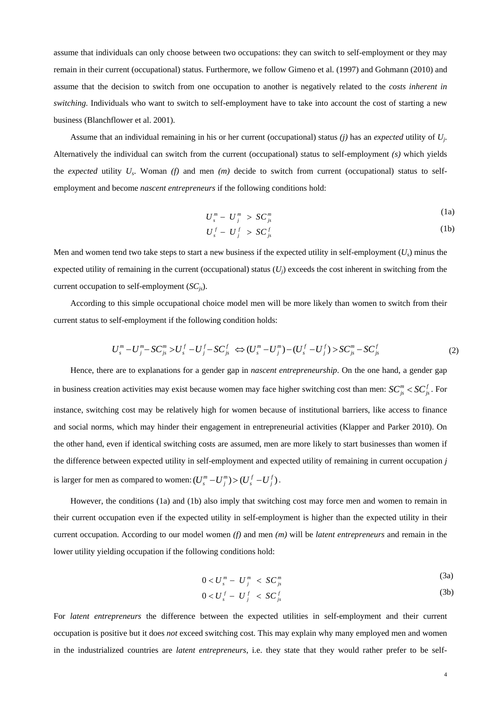assume that individuals can only choose between two occupations: they can switch to self-employment or they may remain in their current (occupational) status. Furthermore, we follow Gimeno et al. (1997) and Gohmann (2010) and assume that the decision to switch from one occupation to another is negatively related to the *costs inherent in switching.* Individuals who want to switch to self-employment have to take into account the cost of starting a new business (Blanchflower et al. 2001).

Assume that an individual remaining in his or her current (occupational) status *(j)* has an *expected* utility of *Uj*. Alternatively the individual can switch from the current (occupational) status to self-employment *(s)* which yields the *expected* utility *Us*. Woman *(f)* and men *(m)* decide to switch from current (occupational) status to selfemployment and become *nascent entrepreneurs* if the following conditions hold:

$$
U_s^m - U_j^m > SC_{js}^m \tag{1a}
$$

$$
U_s^f - U_j^f > SC_{js}^f \tag{1b}
$$

Men and women tend two take steps to start a new business if the expected utility in self-employment  $(U_s)$  minus the expected utility of remaining in the current (occupational) status  $(U_i)$  exceeds the cost inherent in switching from the current occupation to self-employment (*SCjs*).

According to this simple occupational choice model men will be more likely than women to switch from their current status to self-employment if the following condition holds:

$$
U_s^m - U_j^m - SC_{js}^m > U_s^f - U_j^f - SC_{js}^f \iff (U_s^m - U_j^m) - (U_s^f - U_j^f) > SC_{js}^m - SC_{js}^f \tag{2}
$$

Hence, there are to explanations for a gender gap in *nascent entrepreneurship*. On the one hand, a gender gap in business creation activities may exist because women may face higher switching cost than men:  $SC_{js}^m < SC_{js}^f$ . For instance, switching cost may be relatively high for women because of institutional barriers, like access to finance and social norms, which may hinder their engagement in entrepreneurial activities (Klapper and Parker 2010). On the other hand, even if identical switching costs are assumed, men are more likely to start businesses than women if the difference between expected utility in self-employment and expected utility of remaining in current occupation *j* is larger for men as compared to women:  $(U_s^m - U_j^m) > (U_s^f - U_j^f)$ .

However, the conditions (1a) and (1b) also imply that switching cost may force men and women to remain in their current occupation even if the expected utility in self-employment is higher than the expected utility in their current occupation. According to our model women *(f)* and men *(m)* will be *latent entrepreneurs* and remain in the lower utility yielding occupation if the following conditions hold:

$$
0 < U_s^m - U_i^m < SC_{is}^m \tag{3a}
$$

$$
0 < U_s^f - U_j^f < SC_{js}^f \tag{3b}
$$

For *latent entrepreneurs* the difference between the expected utilities in self-employment and their current occupation is positive but it does *not* exceed switching cost. This may explain why many employed men and women in the industrialized countries are *latent entrepreneurs*, i.e. they state that they would rather prefer to be self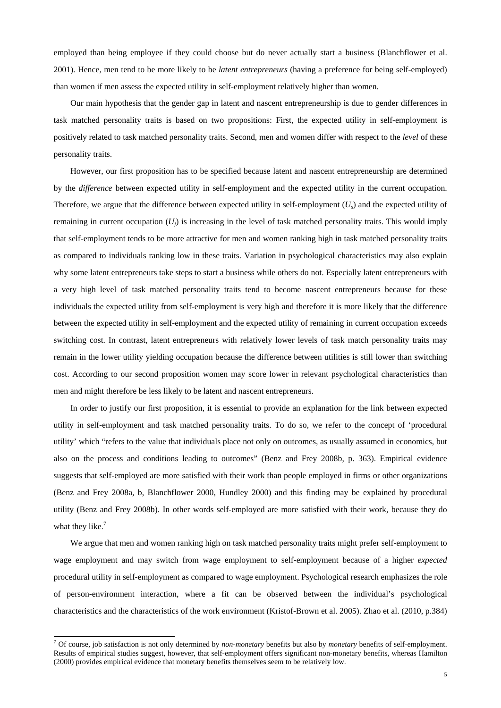employed than being employee if they could choose but do never actually start a business (Blanchflower et al. 2001). Hence, men tend to be more likely to be *latent entrepreneurs* (having a preference for being self-employed) than women if men assess the expected utility in self-employment relatively higher than women.

Our main hypothesis that the gender gap in latent and nascent entrepreneurship is due to gender differences in task matched personality traits is based on two propositions: First, the expected utility in self-employment is positively related to task matched personality traits. Second, men and women differ with respect to the *level* of these personality traits.

However, our first proposition has to be specified because latent and nascent entrepreneurship are determined by the *difference* between expected utility in self-employment and the expected utility in the current occupation. Therefore, we argue that the difference between expected utility in self-employment  $(U_s)$  and the expected utility of remaining in current occupation  $(U_i)$  is increasing in the level of task matched personality traits. This would imply that self-employment tends to be more attractive for men and women ranking high in task matched personality traits as compared to individuals ranking low in these traits. Variation in psychological characteristics may also explain why some latent entrepreneurs take steps to start a business while others do not. Especially latent entrepreneurs with a very high level of task matched personality traits tend to become nascent entrepreneurs because for these individuals the expected utility from self-employment is very high and therefore it is more likely that the difference between the expected utility in self-employment and the expected utility of remaining in current occupation exceeds switching cost. In contrast, latent entrepreneurs with relatively lower levels of task match personality traits may remain in the lower utility yielding occupation because the difference between utilities is still lower than switching cost. According to our second proposition women may score lower in relevant psychological characteristics than men and might therefore be less likely to be latent and nascent entrepreneurs.

In order to justify our first proposition, it is essential to provide an explanation for the link between expected utility in self-employment and task matched personality traits. To do so, we refer to the concept of 'procedural utility' which "refers to the value that individuals place not only on outcomes, as usually assumed in economics, but also on the process and conditions leading to outcomes" (Benz and Frey 2008b, p. 363). Empirical evidence suggests that self-employed are more satisfied with their work than people employed in firms or other organizations (Benz and Frey 2008a, b, Blanchflower 2000, Hundley 2000) and this finding may be explained by procedural utility (Benz and Frey 2008b). In other words self-employed are more satisfied with their work, because they do what they like. $7$ 

We argue that men and women ranking high on task matched personality traits might prefer self-employment to wage employment and may switch from wage employment to self-employment because of a higher *expected* procedural utility in self-employment as compared to wage employment. Psychological research emphasizes the role of person-environment interaction, where a fit can be observed between the individual's psychological characteristics and the characteristics of the work environment (Kristof-Brown et al. 2005). Zhao et al. (2010, p.384)

1

<sup>7</sup> Of course, job satisfaction is not only determined by *non-monetary* benefits but also by *monetary* benefits of self-employment. Results of empirical studies suggest, however, that self-employment offers significant non-monetary benefits, whereas Hamilton (2000) provides empirical evidence that monetary benefits themselves seem to be relatively low.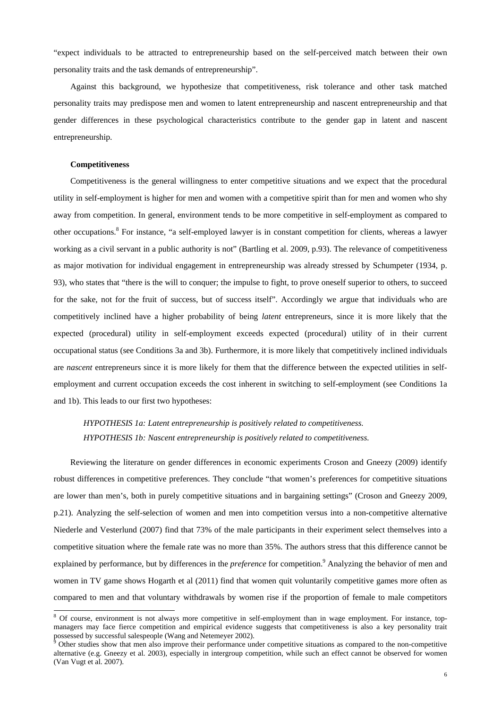"expect individuals to be attracted to entrepreneurship based on the self-perceived match between their own personality traits and the task demands of entrepreneurship".

Against this background, we hypothesize that competitiveness, risk tolerance and other task matched personality traits may predispose men and women to latent entrepreneurship and nascent entrepreneurship and that gender differences in these psychological characteristics contribute to the gender gap in latent and nascent entrepreneurship.

#### **Competitiveness**

Competitiveness is the general willingness to enter competitive situations and we expect that the procedural utility in self-employment is higher for men and women with a competitive spirit than for men and women who shy away from competition. In general, environment tends to be more competitive in self-employment as compared to other occupations.<sup>8</sup> For instance, "a self-employed lawyer is in constant competition for clients, whereas a lawyer working as a civil servant in a public authority is not" (Bartling et al. 2009, p.93). The relevance of competitiveness as major motivation for individual engagement in entrepreneurship was already stressed by Schumpeter (1934, p. 93), who states that "there is the will to conquer; the impulse to fight, to prove oneself superior to others, to succeed for the sake, not for the fruit of success, but of success itself". Accordingly we argue that individuals who are competitively inclined have a higher probability of being *latent* entrepreneurs, since it is more likely that the expected (procedural) utility in self-employment exceeds expected (procedural) utility of in their current occupational status (see Conditions 3a and 3b). Furthermore, it is more likely that competitively inclined individuals are *nascent* entrepreneurs since it is more likely for them that the difference between the expected utilities in selfemployment and current occupation exceeds the cost inherent in switching to self-employment (see Conditions 1a and 1b). This leads to our first two hypotheses:

# *HYPOTHESIS 1a: Latent entrepreneurship is positively related to competitiveness. HYPOTHESIS 1b: Nascent entrepreneurship is positively related to competitiveness.*

Reviewing the literature on gender differences in economic experiments Croson and Gneezy (2009) identify robust differences in competitive preferences. They conclude "that women's preferences for competitive situations are lower than men's, both in purely competitive situations and in bargaining settings" (Croson and Gneezy 2009, p.21). Analyzing the self-selection of women and men into competition versus into a non-competitive alternative Niederle and Vesterlund (2007) find that 73% of the male participants in their experiment select themselves into a competitive situation where the female rate was no more than 35%. The authors stress that this difference cannot be explained by performance, but by differences in the *preference* for competition.<sup>9</sup> Analyzing the behavior of men and women in TV game shows Hogarth et al (2011) find that women quit voluntarily competitive games more often as compared to men and that voluntary withdrawals by women rise if the proportion of female to male competitors

<sup>&</sup>lt;sup>8</sup> Of course, environment is not always more competitive in self-employment than in wage employment. For instance, topmanagers may face fierce competition and empirical evidence suggests that competitiveness is also a key personality trait possessed by successful salespeople (Wang and Netemeyer 2002).<br><sup>9</sup> Other studies show that men also improve their performance under competitive situations as compared to the non-competitive

alternative (e.g. Gneezy et al. 2003), especially in intergroup competition, while such an effect cannot be observed for women (Van Vugt et al. 2007).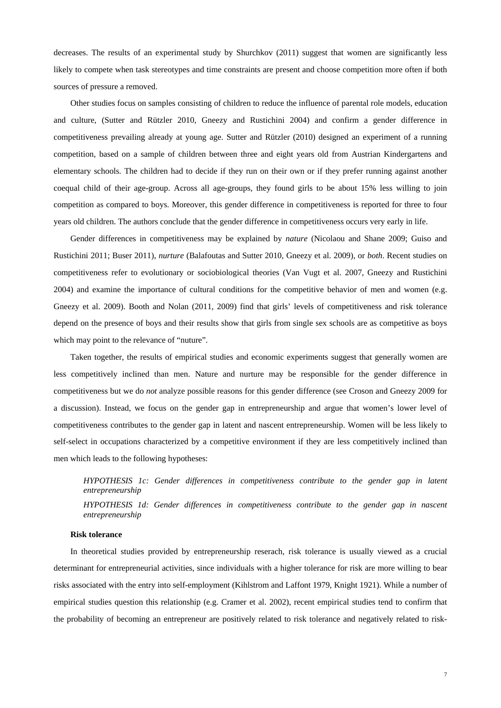decreases. The results of an experimental study by Shurchkov (2011) suggest that women are significantly less likely to compete when task stereotypes and time constraints are present and choose competition more often if both sources of pressure a removed.

Other studies focus on samples consisting of children to reduce the influence of parental role models, education and culture, (Sutter and Rützler 2010, Gneezy and Rustichini 2004) and confirm a gender difference in competitiveness prevailing already at young age. Sutter and Rützler (2010) designed an experiment of a running competition, based on a sample of children between three and eight years old from Austrian Kindergartens and elementary schools. The children had to decide if they run on their own or if they prefer running against another coequal child of their age-group. Across all age-groups, they found girls to be about 15% less willing to join competition as compared to boys. Moreover, this gender difference in competitiveness is reported for three to four years old children. The authors conclude that the gender difference in competitiveness occurs very early in life.

Gender differences in competitiveness may be explained by *nature* (Nicolaou and Shane 2009; Guiso and Rustichini 2011; Buser 2011), *nurture* (Balafoutas and Sutter 2010, Gneezy et al. 2009), or *both*. Recent studies on competitiveness refer to evolutionary or sociobiological theories (Van Vugt et al. 2007, Gneezy and Rustichini 2004) and examine the importance of cultural conditions for the competitive behavior of men and women (e.g. Gneezy et al. 2009). Booth and Nolan (2011, 2009) find that girls' levels of competitiveness and risk tolerance depend on the presence of boys and their results show that girls from single sex schools are as competitive as boys which may point to the relevance of "nuture".

Taken together, the results of empirical studies and economic experiments suggest that generally women are less competitively inclined than men. Nature and nurture may be responsible for the gender difference in competitiveness but we do *not* analyze possible reasons for this gender difference (see Croson and Gneezy 2009 for a discussion). Instead, we focus on the gender gap in entrepreneurship and argue that women's lower level of competitiveness contributes to the gender gap in latent and nascent entrepreneurship. Women will be less likely to self-select in occupations characterized by a competitive environment if they are less competitively inclined than men which leads to the following hypotheses:

*HYPOTHESIS 1c: Gender differences in competitiveness contribute to the gender gap in latent entrepreneurship HYPOTHESIS 1d: Gender differences in competitiveness contribute to the gender gap in nascent entrepreneurship* 

#### **Risk tolerance**

In theoretical studies provided by entrepreneurship reserach, risk tolerance is usually viewed as a crucial determinant for entrepreneurial activities, since individuals with a higher tolerance for risk are more willing to bear risks associated with the entry into self-employment (Kihlstrom and Laffont 1979, Knight 1921). While a number of empirical studies question this relationship (e.g. Cramer et al. 2002), recent empirical studies tend to confirm that the probability of becoming an entrepreneur are positively related to risk tolerance and negatively related to risk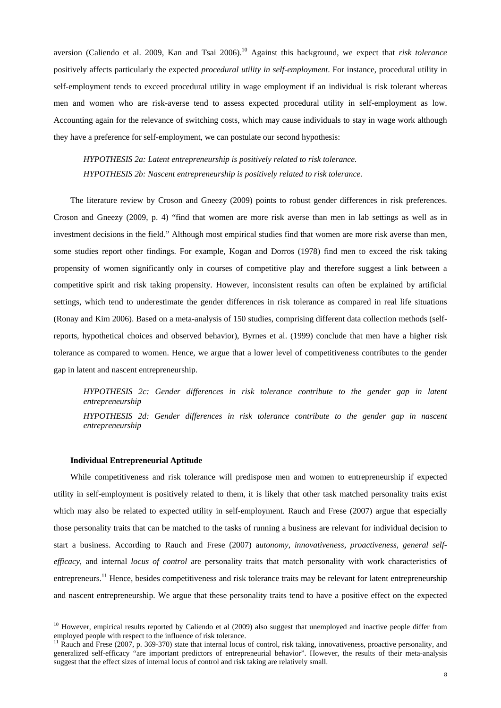aversion (Caliendo et al. 2009, Kan and Tsai 2006).10 Against this background, we expect that *risk tolerance* positively affects particularly the expected *procedural utility in self-employment*. For instance, procedural utility in self-employment tends to exceed procedural utility in wage employment if an individual is risk tolerant whereas men and women who are risk-averse tend to assess expected procedural utility in self-employment as low. Accounting again for the relevance of switching costs, which may cause individuals to stay in wage work although they have a preference for self-employment, we can postulate our second hypothesis:

*HYPOTHESIS 2a: Latent entrepreneurship is positively related to risk tolerance. HYPOTHESIS 2b: Nascent entrepreneurship is positively related to risk tolerance.* 

The literature review by Croson and Gneezy (2009) points to robust gender differences in risk preferences. Croson and Gneezy (2009, p. 4) "find that women are more risk averse than men in lab settings as well as in investment decisions in the field." Although most empirical studies find that women are more risk averse than men, some studies report other findings. For example, Kogan and Dorros (1978) find men to exceed the risk taking propensity of women significantly only in courses of competitive play and therefore suggest a link between a competitive spirit and risk taking propensity. However, inconsistent results can often be explained by artificial settings, which tend to underestimate the gender differences in risk tolerance as compared in real life situations (Ronay and Kim 2006). Based on a meta-analysis of 150 studies, comprising different data collection methods (selfreports, hypothetical choices and observed behavior), Byrnes et al. (1999) conclude that men have a higher risk tolerance as compared to women. Hence, we argue that a lower level of competitiveness contributes to the gender gap in latent and nascent entrepreneurship.

*HYPOTHESIS 2c: Gender differences in risk tolerance contribute to the gender gap in latent entrepreneurship HYPOTHESIS 2d: Gender differences in risk tolerance contribute to the gender gap in nascent* 

*entrepreneurship* 

#### **Individual Entrepreneurial Aptitude**

1

While competitiveness and risk tolerance will predispose men and women to entrepreneurship if expected utility in self-employment is positively related to them, it is likely that other task matched personality traits exist which may also be related to expected utility in self-employment. Rauch and Frese (2007) argue that especially those personality traits that can be matched to the tasks of running a business are relevant for individual decision to start a business. According to Rauch and Frese (2007) a*utonomy, innovativeness, proactiveness, general selfefficacy*, and internal *locus of control* are personality traits that match personality with work characteristics of entrepreneurs.<sup>11</sup> Hence, besides competitiveness and risk tolerance traits may be relevant for latent entrepreneurship and nascent entrepreneurship. We argue that these personality traits tend to have a positive effect on the expected

 $10$  However, empirical results reported by Caliendo et al (2009) also suggest that unemployed and inactive people differ from employed people with respect to the influence of risk tolerance.<br><sup>11</sup> Rauch and Frese (2007, p. 369-370) state that internal locus of control, risk taking, innovativeness, proactive personality, and

generalized self-efficacy "are important predictors of entrepreneurial behavior". However, the results of their meta-analysis suggest that the effect sizes of internal locus of control and risk taking are relatively small.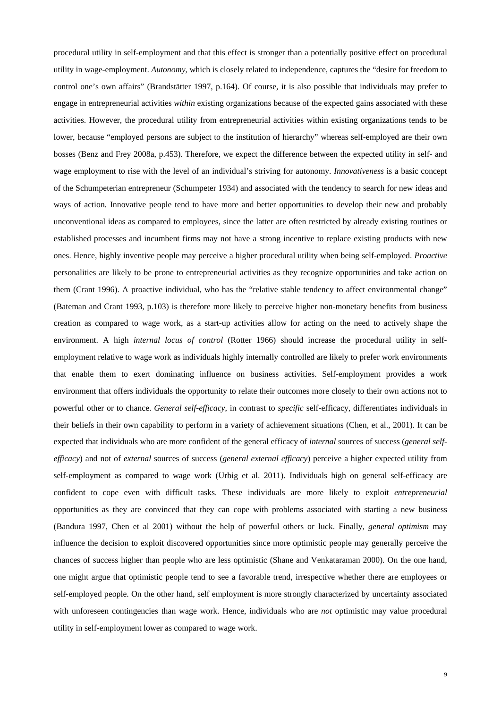procedural utility in self-employment and that this effect is stronger than a potentially positive effect on procedural utility in wage-employment. *Autonomy*, which is closely related to independence, captures the "desire for freedom to control one's own affairs" (Brandstätter 1997, p.164). Of course, it is also possible that individuals may prefer to engage in entrepreneurial activities *within* existing organizations because of the expected gains associated with these activities. However, the procedural utility from entrepreneurial activities within existing organizations tends to be lower, because "employed persons are subject to the institution of hierarchy" whereas self-employed are their own bosses (Benz and Frey 2008a, p.453). Therefore, we expect the difference between the expected utility in self- and wage employment to rise with the level of an individual's striving for autonomy. *Innovativeness* is a basic concept of the Schumpeterian entrepreneur (Schumpeter 1934) and associated with the tendency to search for new ideas and ways of action*.* Innovative people tend to have more and better opportunities to develop their new and probably unconventional ideas as compared to employees, since the latter are often restricted by already existing routines or established processes and incumbent firms may not have a strong incentive to replace existing products with new ones. Hence, highly inventive people may perceive a higher procedural utility when being self-employed. *Proactive* personalities are likely to be prone to entrepreneurial activities as they recognize opportunities and take action on them (Crant 1996). A proactive individual, who has the "relative stable tendency to affect environmental change" (Bateman and Crant 1993, p.103) is therefore more likely to perceive higher non-monetary benefits from business creation as compared to wage work, as a start-up activities allow for acting on the need to actively shape the environment. A high *internal locus of control* (Rotter 1966) should increase the procedural utility in selfemployment relative to wage work as individuals highly internally controlled are likely to prefer work environments that enable them to exert dominating influence on business activities. Self-employment provides a work environment that offers individuals the opportunity to relate their outcomes more closely to their own actions not to powerful other or to chance. *General self-efficacy*, in contrast to *specific* self-efficacy, differentiates individuals in their beliefs in their own capability to perform in a variety of achievement situations (Chen, et al., 2001). It can be expected that individuals who are more confident of the general efficacy of *internal* sources of success (*general selfefficacy*) and not of *external* sources of success (*general external efficacy*) perceive a higher expected utility from self-employment as compared to wage work (Urbig et al. 2011). Individuals high on general self-efficacy are confident to cope even with difficult tasks. These individuals are more likely to exploit *entrepreneurial* opportunities as they are convinced that they can cope with problems associated with starting a new business (Bandura 1997, Chen et al 2001) without the help of powerful others or luck. Finally, *general optimism* may influence the decision to exploit discovered opportunities since more optimistic people may generally perceive the chances of success higher than people who are less optimistic (Shane and Venkataraman 2000). On the one hand, one might argue that optimistic people tend to see a favorable trend, irrespective whether there are employees or self-employed people. On the other hand, self employment is more strongly characterized by uncertainty associated with unforeseen contingencies than wage work. Hence, individuals who are *not* optimistic may value procedural utility in self-employment lower as compared to wage work.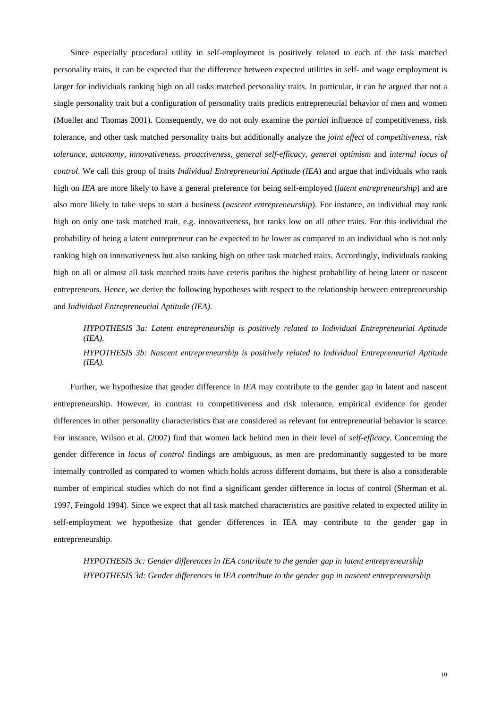Since especially procedural utility in self-employment is positively related to each of the task matched personality traits, it can be expected that the difference between expected utilities in self- and wage employment is larger for individuals ranking high on all tasks matched personality traits. In particular, it can be argued that not a single personality trait but a configuration of personality traits predicts entrepreneurial behavior of men and women (Mueller and Thomas 2001). Consequently, we do not only examine the *partial* influence of competitiveness, risk tolerance, and other task matched personality traits but additionally analyze the *joint effect* of *competitiveness, risk tolerance, autonomy, innovativeness, proactiveness, general self-efficacy*, *general optimism* and *internal locus of control*. We call this group of traits *Individual Entrepreneurial Aptitude (IEA*) and argue that individuals who rank high on *IEA* are more likely to have a general preference for being self-employed (*latent entrepreneurship*) and are also more likely to take steps to start a business (*nascent entrepreneurship*). For instance, an individual may rank high on only one task matched trait, e.g. innovativeness, but ranks low on all other traits. For this individual the probability of being a latent entrepreneur can be expected to be lower as compared to an individual who is not only ranking high on innovativeness but also ranking high on other task matched traits. Accordingly, individuals ranking high on all or almost all task matched traits have ceteris paribus the highest probability of being latent or nascent entrepreneurs. Hence, we derive the following hypotheses with respect to the relationship between entrepreneurship and *Individual Entrepreneurial Aptitude (IEA)*.

*HYPOTHESIS 3a: Latent entrepreneurship is positively related to Individual Entrepreneurial Aptitude (IEA). HYPOTHESIS 3b: Nascent entrepreneurship is positively related to Individual Entrepreneurial Aptitude (IEA).* 

Further, we hypothesize that gender difference in *IEA* may contribute to the gender gap in latent and nascent entrepreneurship. However, in contrast to competitiveness and risk tolerance, empirical evidence for gender differences in other personality characteristics that are considered as relevant for entrepreneurial behavior is scarce. For instance, Wilson et al. (2007) find that women lack behind men in their level of *self-efficacy*. Concerning the gender difference in *locus of control* findings are ambiguous, as men are predominantly suggested to be more internally controlled as compared to women which holds across different domains, but there is also a considerable number of empirical studies which do not find a significant gender difference in locus of control (Sherman et al. 1997, Feingold 1994). Since we expect that all task matched characteristics are positive related to expected utility in self-employment we hypothesize that gender differences in IEA may contribute to the gender gap in entrepreneurship.

*HYPOTHESIS 3c: Gender differences in IEA contribute to the gender gap in latent entrepreneurship HYPOTHESIS 3d: Gender differences in IEA contribute to the gender gap in nascent entrepreneurship*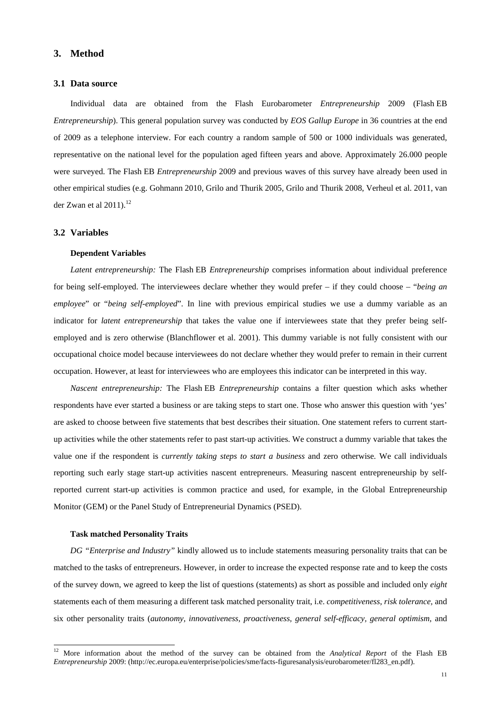#### **3. Method**

## **3.1 Data source**

Individual data are obtained from the Flash Eurobarometer *Entrepreneurship* 2009 (Flash EB *Entrepreneurship*). This general population survey was conducted by *EOS Gallup Europe* in 36 countries at the end of 2009 as a telephone interview. For each country a random sample of 500 or 1000 individuals was generated, representative on the national level for the population aged fifteen years and above. Approximately 26.000 people were surveyed. The Flash EB *Entrepreneurship* 2009 and previous waves of this survey have already been used in other empirical studies (e.g. Gohmann 2010, Grilo and Thurik 2005, Grilo and Thurik 2008, Verheul et al. 2011, van der Zwan et al  $2011$ ).<sup>12</sup>

#### **3.2 Variables**

#### **Dependent Variables**

*Latent entrepreneurship:* The Flash EB *Entrepreneurship* comprises information about individual preference for being self-employed. The interviewees declare whether they would prefer – if they could choose – "*being an employee*" or "*being self-employed*". In line with previous empirical studies we use a dummy variable as an indicator for *latent entrepreneurship* that takes the value one if interviewees state that they prefer being selfemployed and is zero otherwise (Blanchflower et al. 2001). This dummy variable is not fully consistent with our occupational choice model because interviewees do not declare whether they would prefer to remain in their current occupation. However, at least for interviewees who are employees this indicator can be interpreted in this way.

*Nascent entrepreneurship:* The Flash EB *Entrepreneurship* contains a filter question which asks whether respondents have ever started a business or are taking steps to start one. Those who answer this question with 'yes' are asked to choose between five statements that best describes their situation. One statement refers to current startup activities while the other statements refer to past start-up activities. We construct a dummy variable that takes the value one if the respondent is *currently taking steps to start a business* and zero otherwise*.* We call individuals reporting such early stage start-up activities nascent entrepreneurs. Measuring nascent entrepreneurship by selfreported current start-up activities is common practice and used, for example, in the Global Entrepreneurship Monitor (GEM) or the Panel Study of Entrepreneurial Dynamics (PSED).

#### **Task matched Personality Traits**

 $\overline{a}$ 

*DG "Enterprise and Industry"* kindly allowed us to include statements measuring personality traits that can be matched to the tasks of entrepreneurs. However, in order to increase the expected response rate and to keep the costs of the survey down, we agreed to keep the list of questions (statements) as short as possible and included only *eight*  statements each of them measuring a different task matched personality trait, i.e. *competitiveness*, *risk tolerance,* and six other personality traits (*autonomy, innovativeness, proactiveness, general self-efficacy, general optimism,* and

<sup>12</sup> More information about the method of the survey can be obtained from the *Analytical Report* of the Flash EB *Entrepreneurship* 2009: (http://ec.europa.eu/enterprise/policies/sme/facts-figuresanalysis/eurobarometer/fl283\_en.pdf).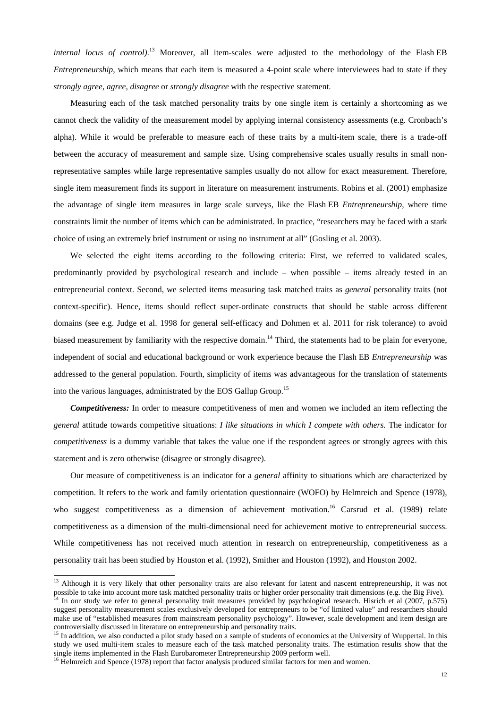*internal locus of control)*. 13 Moreover, all item-scales were adjusted to the methodology of the Flash EB *Entrepreneurship*, which means that each item is measured a 4-point scale where interviewees had to state if they *strongly agree, agree, disagree* or *strongly disagree* with the respective statement.

Measuring each of the task matched personality traits by one single item is certainly a shortcoming as we cannot check the validity of the measurement model by applying internal consistency assessments (e.g. Cronbach's alpha). While it would be preferable to measure each of these traits by a multi-item scale, there is a trade-off between the accuracy of measurement and sample size. Using comprehensive scales usually results in small nonrepresentative samples while large representative samples usually do not allow for exact measurement. Therefore, single item measurement finds its support in literature on measurement instruments. Robins et al. (2001) emphasize the advantage of single item measures in large scale surveys, like the Flash EB *Entrepreneurship*, where time constraints limit the number of items which can be administrated. In practice, "researchers may be faced with a stark choice of using an extremely brief instrument or using no instrument at all" (Gosling et al. 2003).

We selected the eight items according to the following criteria: First, we referred to validated scales, predominantly provided by psychological research and include – when possible – items already tested in an entrepreneurial context. Second, we selected items measuring task matched traits as *general* personality traits (not context-specific). Hence, items should reflect super-ordinate constructs that should be stable across different domains (see e.g. Judge et al. 1998 for general self-efficacy and Dohmen et al. 2011 for risk tolerance) to avoid biased measurement by familiarity with the respective domain.<sup>14</sup> Third, the statements had to be plain for everyone, independent of social and educational background or work experience because the Flash EB *Entrepreneurship* was addressed to the general population. Fourth, simplicity of items was advantageous for the translation of statements into the various languages, administrated by the EOS Gallup Group.15

*Competitiveness:* In order to measure competitiveness of men and women we included an item reflecting the *general* attitude towards competitive situations: *I like situations in which I compete with others.* The indicator for *competitiveness* is a dummy variable that takes the value one if the respondent agrees or strongly agrees with this statement and is zero otherwise (disagree or strongly disagree).

Our measure of competitiveness is an indicator for a *general* affinity to situations which are characterized by competition. It refers to the work and family orientation questionnaire (WOFO) by Helmreich and Spence (1978), who suggest competitiveness as a dimension of achievement motivation.<sup>16</sup> Carsrud et al. (1989) relate competitiveness as a dimension of the multi-dimensional need for achievement motive to entrepreneurial success. While competitiveness has not received much attention in research on entrepreneurship, competitiveness as a personality trait has been studied by Houston et al. (1992), Smither and Houston (1992), and Houston 2002.

1

<sup>&</sup>lt;sup>13</sup> Although it is very likely that other personality traits are also relevant for latent and nascent entrepreneurship, it was not possible to take into account more task matched personality traits or higher order personality trait dimensions (e.g. the Big Five).<br><sup>14</sup> In our study we refer to general personality trait measures provided by psychologica suggest personality measurement scales exclusively developed for entrepreneurs to be "of limited value" and researchers should make use of "established measures from mainstream personality psychology". However, scale development and item design are

controversially discussed in literature on entrepreneurship and personality traits.<br><sup>15</sup> In addition, we also conducted a pilot study based on a sample of students of economics at the University of Wuppertal. In this study we used multi-item scales to measure each of the task matched personality traits. The estimation results show that the single items implemented in the Flash Eurobarometer Entrepreneurship 2009 perform well. <sup>16</sup> Helmreich and Spence (1978) report that factor analysis produced similar factors for men and women.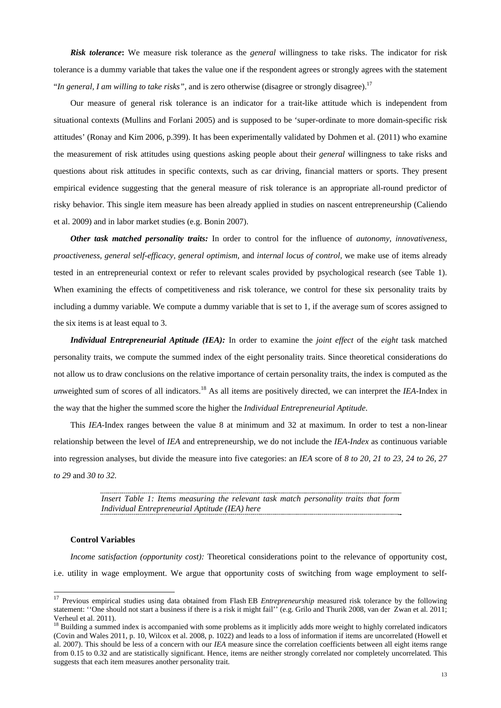*Risk tolerance***:** We measure risk tolerance as the *general* willingness to take risks. The indicator for risk tolerance is a dummy variable that takes the value one if the respondent agrees or strongly agrees with the statement "*In general, I am willing to take risks*", and is zero otherwise (disagree or strongly disagree).<sup>17</sup>

Our measure of general risk tolerance is an indicator for a trait-like attitude which is independent from situational contexts (Mullins and Forlani 2005) and is supposed to be 'super-ordinate to more domain-specific risk attitudes' (Ronay and Kim 2006, p.399). It has been experimentally validated by Dohmen et al. (2011) who examine the measurement of risk attitudes using questions asking people about their *general* willingness to take risks and questions about risk attitudes in specific contexts, such as car driving, financial matters or sports. They present empirical evidence suggesting that the general measure of risk tolerance is an appropriate all-round predictor of risky behavior. This single item measure has been already applied in studies on nascent entrepreneurship (Caliendo et al. 2009) and in labor market studies (e.g. Bonin 2007).

*Other task matched personality traits:* In order to control for the influence of *autonomy, innovativeness, proactiveness, general self-efficacy, general optimism,* and *internal locus of control,* we make use of items already tested in an entrepreneurial context or refer to relevant scales provided by psychological research (see Table 1). When examining the effects of competitiveness and risk tolerance, we control for these six personality traits by including a dummy variable. We compute a dummy variable that is set to 1, if the average sum of scores assigned to the six items is at least equal to 3.

*Individual Entrepreneurial Aptitude (IEA):* In order to examine the *joint effect* of the *eight* task matched personality traits, we compute the summed index of the eight personality traits. Since theoretical considerations do not allow us to draw conclusions on the relative importance of certain personality traits, the index is computed as the *unweighted sum of scores of all indicators.*<sup>18</sup> As all items are positively directed, we can interpret the *IEA*-Index in the way that the higher the summed score the higher the *Individual Entrepreneurial Aptitude*.

This *IEA*-Index ranges between the value 8 at minimum and 32 at maximum. In order to test a non-linear relationship between the level of *IEA* and entrepreneurship, we do not include the *IEA-Index* as continuous variable into regression analyses, but divide the measure into five categories: an *IEA* score of *8 to 20, 21 to 23, 24 to 26, 27 to 29* and *30 to 32.*

> *Insert Table 1: Items measuring the relevant task match personality traits that form Individual Entrepreneurial Aptitude (IEA) here*

#### **Control Variables**

1

*Income satisfaction (opportunity cost):* Theoretical considerations point to the relevance of opportunity cost, i.e. utility in wage employment. We argue that opportunity costs of switching from wage employment to self-

<sup>&</sup>lt;sup>17</sup> Previous empirical studies using data obtained from Flash EB *Entrepreneurship* measured risk tolerance by the following statement: ''One should not start a business if there is a risk it might fail'' (e.g. Grilo and Thurik 2008, van der Zwan et al. 2011; Verheul et al. 2011).

<sup>&</sup>lt;sup>18</sup> Building a summed index is accompanied with some problems as it implicitly adds more weight to highly correlated indicators (Covin and Wales 2011, p. 10, Wilcox et al. 2008, p. 1022) and leads to a loss of information if items are uncorrelated (Howell et al. 2007). This should be less of a concern with our *IEA* measure since the correlation coefficients between all eight items range from 0.15 to 0.32 and are statistically significant. Hence, items are neither strongly correlated nor completely uncorrelated. This suggests that each item measures another personality trait.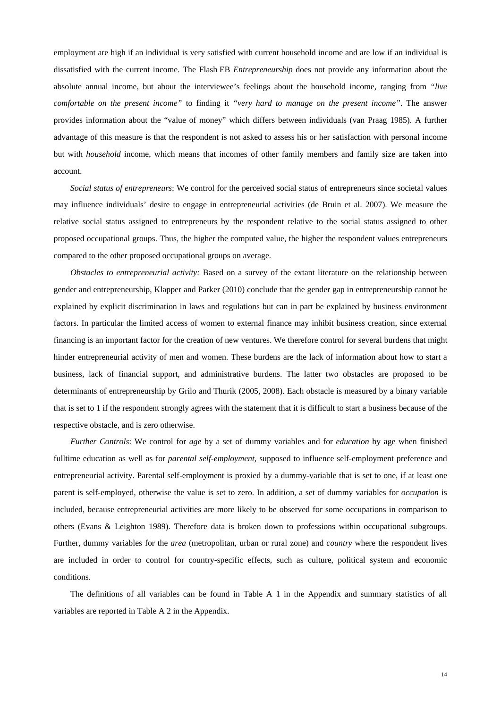employment are high if an individual is very satisfied with current household income and are low if an individual is dissatisfied with the current income. The Flash EB *Entrepreneurship* does not provide any information about the absolute annual income, but about the interviewee's feelings about the household income, ranging from *"live comfortable on the present income"* to finding it *"very hard to manage on the present income"*. The answer provides information about the "value of money" which differs between individuals (van Praag 1985). A further advantage of this measure is that the respondent is not asked to assess his or her satisfaction with personal income but with *household* income, which means that incomes of other family members and family size are taken into account.

*Social status of entrepreneurs*: We control for the perceived social status of entrepreneurs since societal values may influence individuals' desire to engage in entrepreneurial activities (de Bruin et al. 2007). We measure the relative social status assigned to entrepreneurs by the respondent relative to the social status assigned to other proposed occupational groups. Thus, the higher the computed value, the higher the respondent values entrepreneurs compared to the other proposed occupational groups on average.

*Obstacles to entrepreneurial activity:* Based on a survey of the extant literature on the relationship between gender and entrepreneurship, Klapper and Parker (2010) conclude that the gender gap in entrepreneurship cannot be explained by explicit discrimination in laws and regulations but can in part be explained by business environment factors. In particular the limited access of women to external finance may inhibit business creation, since external financing is an important factor for the creation of new ventures. We therefore control for several burdens that might hinder entrepreneurial activity of men and women. These burdens are the lack of information about how to start a business, lack of financial support, and administrative burdens. The latter two obstacles are proposed to be determinants of entrepreneurship by Grilo and Thurik (2005, 2008). Each obstacle is measured by a binary variable that is set to 1 if the respondent strongly agrees with the statement that it is difficult to start a business because of the respective obstacle, and is zero otherwise.

*Further Controls*: We control for *age* by a set of dummy variables and for *education* by age when finished fulltime education as well as for *parental self-employment*, supposed to influence self-employment preference and entrepreneurial activity. Parental self-employment is proxied by a dummy-variable that is set to one, if at least one parent is self-employed, otherwise the value is set to zero. In addition, a set of dummy variables for *occupation* is included, because entrepreneurial activities are more likely to be observed for some occupations in comparison to others (Evans & Leighton 1989). Therefore data is broken down to professions within occupational subgroups. Further, dummy variables for the *area* (metropolitan, urban or rural zone) and *country* where the respondent lives are included in order to control for country-specific effects, such as culture, political system and economic conditions.

The definitions of all variables can be found in Table A 1 in the Appendix and summary statistics of all variables are reported in Table A 2 in the Appendix.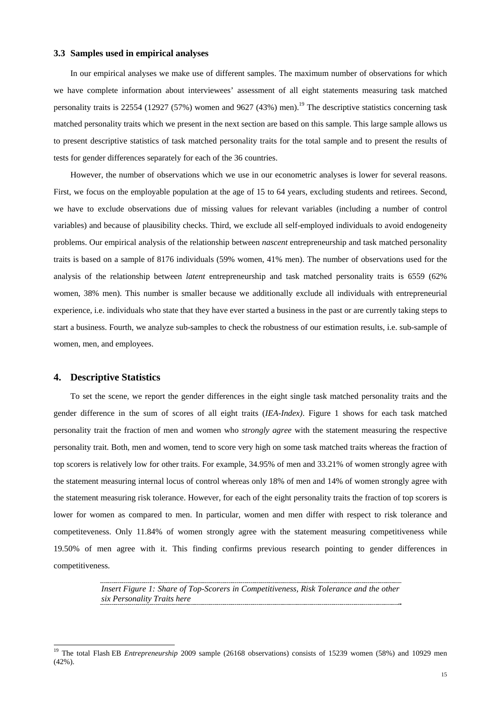#### **3.3 Samples used in empirical analyses**

In our empirical analyses we make use of different samples. The maximum number of observations for which we have complete information about interviewees' assessment of all eight statements measuring task matched personality traits is 22554 (12927 (57%) women and 9627 (43%) men).<sup>19</sup> The descriptive statistics concerning task matched personality traits which we present in the next section are based on this sample. This large sample allows us to present descriptive statistics of task matched personality traits for the total sample and to present the results of tests for gender differences separately for each of the 36 countries.

However, the number of observations which we use in our econometric analyses is lower for several reasons. First, we focus on the employable population at the age of 15 to 64 years, excluding students and retirees. Second, we have to exclude observations due of missing values for relevant variables (including a number of control variables) and because of plausibility checks. Third, we exclude all self-employed individuals to avoid endogeneity problems. Our empirical analysis of the relationship between *nascent* entrepreneurship and task matched personality traits is based on a sample of 8176 individuals (59% women, 41% men). The number of observations used for the analysis of the relationship between *latent* entrepreneurship and task matched personality traits is 6559 (62% women, 38% men). This number is smaller because we additionally exclude all individuals with entrepreneurial experience, i.e. individuals who state that they have ever started a business in the past or are currently taking steps to start a business. Fourth, we analyze sub-samples to check the robustness of our estimation results, i.e. sub-sample of women, men, and employees.

#### **4. Descriptive Statistics**

 $\overline{a}$ 

To set the scene, we report the gender differences in the eight single task matched personality traits and the gender difference in the sum of scores of all eight traits (*IEA-Index)*. Figure 1 shows for each task matched personality trait the fraction of men and women who *strongly agree* with the statement measuring the respective personality trait. Both, men and women, tend to score very high on some task matched traits whereas the fraction of top scorers is relatively low for other traits. For example, 34.95% of men and 33.21% of women strongly agree with the statement measuring internal locus of control whereas only 18% of men and 14% of women strongly agree with the statement measuring risk tolerance. However, for each of the eight personality traits the fraction of top scorers is lower for women as compared to men. In particular, women and men differ with respect to risk tolerance and competiteveness. Only 11.84% of women strongly agree with the statement measuring competitiveness while 19.50% of men agree with it. This finding confirms previous research pointing to gender differences in competitiveness.

> *Insert Figure 1: Share of Top-Scorers in Competitiveness, Risk Tolerance and the other six Personality Traits here*

<sup>&</sup>lt;sup>19</sup> The total Flash EB *Entrepreneurship* 2009 sample (26168 observations) consists of 15239 women (58%) and 10929 men (42%).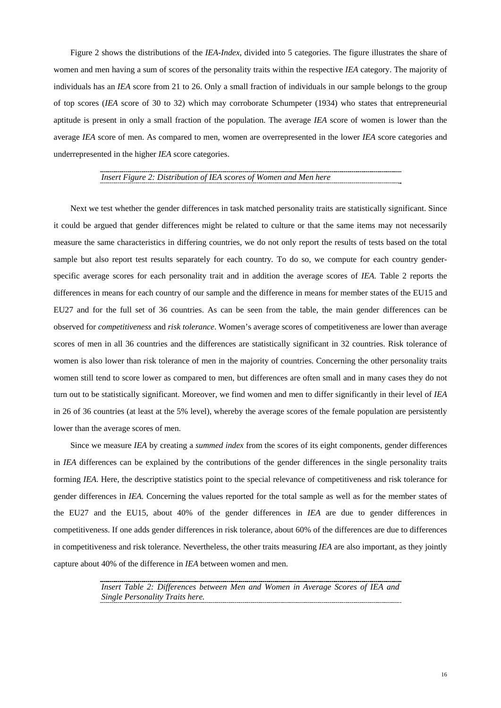Figure 2 shows the distributions of the *IEA-Index*, divided into 5 categories. The figure illustrates the share of women and men having a sum of scores of the personality traits within the respective *IEA* category. The majority of individuals has an *IEA* score from 21 to 26. Only a small fraction of individuals in our sample belongs to the group of top scores (*IEA* score of 30 to 32) which may corroborate Schumpeter (1934) who states that entrepreneurial aptitude is present in only a small fraction of the population. The average *IEA* score of women is lower than the average *IEA* score of men. As compared to men, women are overrepresented in the lower *IEA* score categories and underrepresented in the higher *IEA* score categories.

#### *Insert Figure 2: Distribution of IEA scores of Women and Men here*

Next we test whether the gender differences in task matched personality traits are statistically significant. Since it could be argued that gender differences might be related to culture or that the same items may not necessarily measure the same characteristics in differing countries, we do not only report the results of tests based on the total sample but also report test results separately for each country*.* To do so, we compute for each country genderspecific average scores for each personality trait and in addition the average scores of *IEA.* Table 2 reports the differences in means for each country of our sample and the difference in means for member states of the EU15 and EU27 and for the full set of 36 countries. As can be seen from the table, the main gender differences can be observed for *competitiveness* and *risk tolerance*. Women's average scores of competitiveness are lower than average scores of men in all 36 countries and the differences are statistically significant in 32 countries. Risk tolerance of women is also lower than risk tolerance of men in the majority of countries. Concerning the other personality traits women still tend to score lower as compared to men, but differences are often small and in many cases they do not turn out to be statistically significant. Moreover, we find women and men to differ significantly in their level of *IEA* in 26 of 36 countries (at least at the 5% level), whereby the average scores of the female population are persistently lower than the average scores of men.

Since we measure *IEA* by creating a *summed index* from the scores of its eight components, gender differences in *IEA* differences can be explained by the contributions of the gender differences in the single personality traits forming *IEA*. Here, the descriptive statistics point to the special relevance of competitiveness and risk tolerance for gender differences in *IEA.* Concerning the values reported for the total sample as well as for the member states of the EU27 and the EU15, about 40% of the gender differences in *IEA* are due to gender differences in competitiveness. If one adds gender differences in risk tolerance, about 60% of the differences are due to differences in competitiveness and risk tolerance. Nevertheless, the other traits measuring *IEA* are also important, as they jointly capture about 40% of the difference in *IEA* between women and men.

> *Insert Table 2: Differences between Men and Women in Average Scores of IEA and Single Personality Traits here.*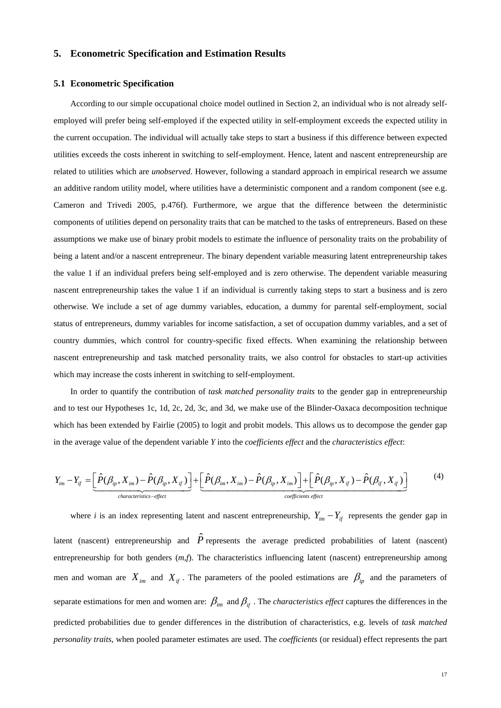### **5. Econometric Specification and Estimation Results**

#### **5.1 Econometric Specification**

According to our simple occupational choice model outlined in Section 2, an individual who is not already selfemployed will prefer being self-employed if the expected utility in self-employment exceeds the expected utility in the current occupation. The individual will actually take steps to start a business if this difference between expected utilities exceeds the costs inherent in switching to self-employment. Hence, latent and nascent entrepreneurship are related to utilities which are *unobserved*. However, following a standard approach in empirical research we assume an additive random utility model, where utilities have a deterministic component and a random component (see e.g. Cameron and Trivedi 2005, p.476f). Furthermore, we argue that the difference between the deterministic components of utilities depend on personality traits that can be matched to the tasks of entrepreneurs. Based on these assumptions we make use of binary probit models to estimate the influence of personality traits on the probability of being a latent and/or a nascent entrepreneur. The binary dependent variable measuring latent entrepreneurship takes the value 1 if an individual prefers being self-employed and is zero otherwise. The dependent variable measuring nascent entrepreneurship takes the value 1 if an individual is currently taking steps to start a business and is zero otherwise. We include a set of age dummy variables, education, a dummy for parental self-employment, social status of entrepreneurs, dummy variables for income satisfaction, a set of occupation dummy variables, and a set of country dummies, which control for country-specific fixed effects. When examining the relationship between nascent entrepreneurship and task matched personality traits, we also control for obstacles to start-up activities which may increase the costs inherent in switching to self-employment.

In order to quantify the contribution of *task matched personality traits* to the gender gap in entrepreneurship and to test our Hypotheses 1c, 1d, 2c, 2d, 3c, and 3d, we make use of the Blinder-Oaxaca decomposition technique which has been extended by Fairlie (2005) to logit and probit models. This allows us to decompose the gender gap in the average value of the dependent variable *Y* into the *coefficients effect* and the *characteristics effect*:

$$
Y_{im} - Y_{if} = \underbrace{\left[\hat{P}(\beta_{ip}, X_{im}) - \hat{P}(\beta_{ip}, X_{if})\right]}_{characteristics \text{-}effect} + \underbrace{\left[\hat{P}(\beta_{im}, X_{im}) - \hat{P}(\beta_{ip}, X_{im})\right]}_{coefficients \text{ effect}} + \underbrace{\left[\hat{P}(\beta_{ip}, X_{if}) - \hat{P}(\beta_{if}, X_{if})\right]}_{coefficients \text{ effect}}
$$
(4)

where *i* is an index representing latent and nascent entrepreneurship,  $Y_{im} - Y_{if}$  represents the gender gap in latent (nascent) entrepreneurship and  $\hat{P}$  represents the average predicted probabilities of latent (nascent) entrepreneurship for both genders  $(m, f)$ . The characteristics influencing latent (nascent) entrepreneurship among men and woman are  $X_{im}$  and  $X_{if}$ . The parameters of the pooled estimations are  $\beta_{ip}$  and the parameters of separate estimations for men and women are:  $\beta_{im}$  and  $\beta_{if}$ . The *characteristics effect* captures the differences in the predicted probabilities due to gender differences in the distribution of characteristics, e.g. levels of *task matched personality traits*, when pooled parameter estimates are used. The *coefficients* (or residual) effect represents the part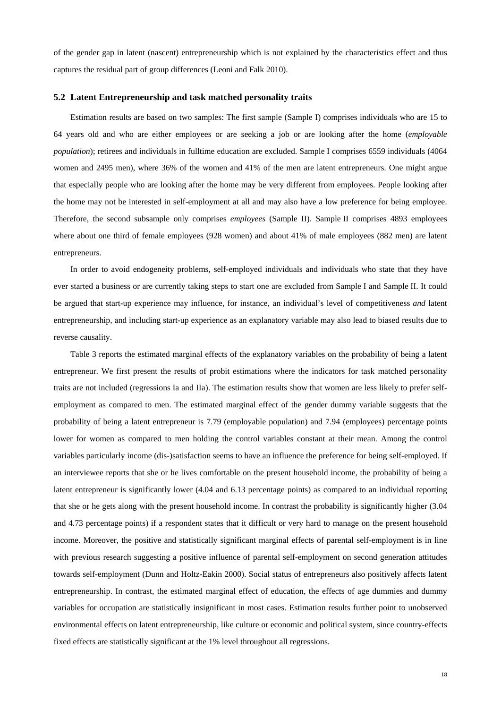of the gender gap in latent (nascent) entrepreneurship which is not explained by the characteristics effect and thus captures the residual part of group differences (Leoni and Falk 2010).

#### **5.2 Latent Entrepreneurship and task matched personality traits**

Estimation results are based on two samples: The first sample (Sample I) comprises individuals who are 15 to 64 years old and who are either employees or are seeking a job or are looking after the home (*employable population*); retirees and individuals in fulltime education are excluded. Sample I comprises 6559 individuals (4064 women and 2495 men), where 36% of the women and 41% of the men are latent entrepreneurs. One might argue that especially people who are looking after the home may be very different from employees. People looking after the home may not be interested in self-employment at all and may also have a low preference for being employee. Therefore, the second subsample only comprises *employees* (Sample II). Sample II comprises 4893 employees where about one third of female employees (928 women) and about 41% of male employees (882 men) are latent entrepreneurs.

In order to avoid endogeneity problems, self-employed individuals and individuals who state that they have ever started a business or are currently taking steps to start one are excluded from Sample I and Sample II. It could be argued that start-up experience may influence, for instance, an individual's level of competitiveness *and* latent entrepreneurship, and including start-up experience as an explanatory variable may also lead to biased results due to reverse causality.

Table 3 reports the estimated marginal effects of the explanatory variables on the probability of being a latent entrepreneur. We first present the results of probit estimations where the indicators for task matched personality traits are not included (regressions Ia and IIa). The estimation results show that women are less likely to prefer selfemployment as compared to men. The estimated marginal effect of the gender dummy variable suggests that the probability of being a latent entrepreneur is 7.79 (employable population) and 7.94 (employees) percentage points lower for women as compared to men holding the control variables constant at their mean. Among the control variables particularly income (dis-)satisfaction seems to have an influence the preference for being self-employed. If an interviewee reports that she or he lives comfortable on the present household income, the probability of being a latent entrepreneur is significantly lower (4.04 and 6.13 percentage points) as compared to an individual reporting that she or he gets along with the present household income. In contrast the probability is significantly higher (3.04 and 4.73 percentage points) if a respondent states that it difficult or very hard to manage on the present household income. Moreover, the positive and statistically significant marginal effects of parental self-employment is in line with previous research suggesting a positive influence of parental self-employment on second generation attitudes towards self-employment (Dunn and Holtz-Eakin 2000). Social status of entrepreneurs also positively affects latent entrepreneurship. In contrast, the estimated marginal effect of education, the effects of age dummies and dummy variables for occupation are statistically insignificant in most cases. Estimation results further point to unobserved environmental effects on latent entrepreneurship, like culture or economic and political system, since country-effects fixed effects are statistically significant at the 1% level throughout all regressions.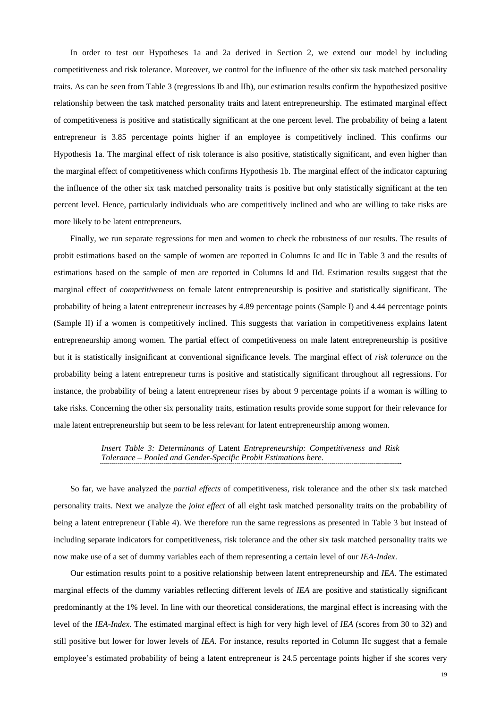In order to test our Hypotheses 1a and 2a derived in Section 2, we extend our model by including competitiveness and risk tolerance. Moreover, we control for the influence of the other six task matched personality traits. As can be seen from Table 3 (regressions Ib and IIb), our estimation results confirm the hypothesized positive relationship between the task matched personality traits and latent entrepreneurship. The estimated marginal effect of competitiveness is positive and statistically significant at the one percent level. The probability of being a latent entrepreneur is 3.85 percentage points higher if an employee is competitively inclined. This confirms our Hypothesis 1a. The marginal effect of risk tolerance is also positive, statistically significant, and even higher than the marginal effect of competitiveness which confirms Hypothesis 1b. The marginal effect of the indicator capturing the influence of the other six task matched personality traits is positive but only statistically significant at the ten percent level. Hence, particularly individuals who are competitively inclined and who are willing to take risks are more likely to be latent entrepreneurs.

Finally, we run separate regressions for men and women to check the robustness of our results. The results of probit estimations based on the sample of women are reported in Columns Ic and IIc in Table 3 and the results of estimations based on the sample of men are reported in Columns Id and IId. Estimation results suggest that the marginal effect of *competitiveness* on female latent entrepreneurship is positive and statistically significant. The probability of being a latent entrepreneur increases by 4.89 percentage points (Sample I) and 4.44 percentage points (Sample II) if a women is competitively inclined. This suggests that variation in competitiveness explains latent entrepreneurship among women. The partial effect of competitiveness on male latent entrepreneurship is positive but it is statistically insignificant at conventional significance levels. The marginal effect of *risk tolerance* on the probability being a latent entrepreneur turns is positive and statistically significant throughout all regressions. For instance, the probability of being a latent entrepreneur rises by about 9 percentage points if a woman is willing to take risks. Concerning the other six personality traits, estimation results provide some support for their relevance for male latent entrepreneurship but seem to be less relevant for latent entrepreneurship among women.

> *Insert Table 3: Determinants of* Latent *Entrepreneurship: Competitiveness and Risk Tolerance – Pooled and Gender-Specific Probit Estimations here.*

So far, we have analyzed the *partial effects* of competitiveness, risk tolerance and the other six task matched personality traits. Next we analyze the *joint effect* of all eight task matched personality traits on the probability of being a latent entrepreneur (Table 4). We therefore run the same regressions as presented in Table 3 but instead of including separate indicators for competitiveness, risk tolerance and the other six task matched personality traits we now make use of a set of dummy variables each of them representing a certain level of our *IEA*-*Index*.

Our estimation results point to a positive relationship between latent entrepreneurship and *IEA.* The estimated marginal effects of the dummy variables reflecting different levels of *IEA* are positive and statistically significant predominantly at the 1% level. In line with our theoretical considerations, the marginal effect is increasing with the level of the *IEA-Index*. The estimated marginal effect is high for very high level of *IEA* (scores from 30 to 32) and still positive but lower for lower levels of *IEA*. For instance, results reported in Column IIc suggest that a female employee's estimated probability of being a latent entrepreneur is 24.5 percentage points higher if she scores very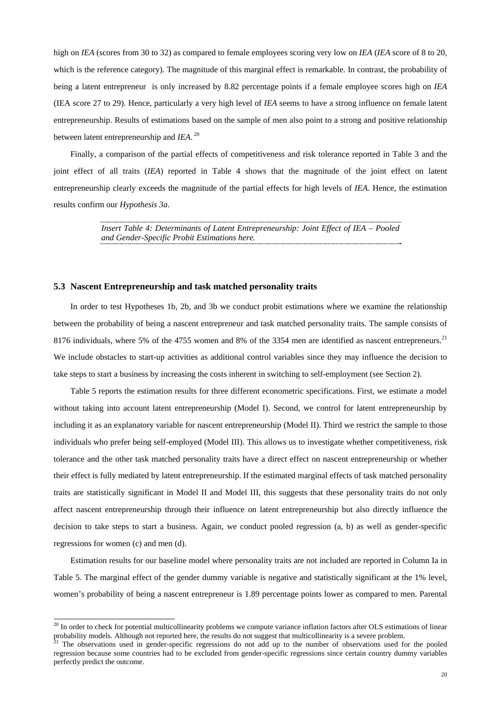high on *IEA* (scores from 30 to 32) as compared to female employees scoring very low on *IEA* (*IEA* score of 8 to 20, which is the reference category). The magnitude of this marginal effect is remarkable. In contrast, the probability of being a latent entrepreneur is only increased by 8.82 percentage points if a female employee scores high on *IEA* (IEA score 27 to 29). Hence, particularly a very high level of *IEA* seems to have a strong influence on female latent entrepreneurship. Results of estimations based on the sample of men also point to a strong and positive relationship between latent entrepreneurship and *IEA*.<sup>20</sup>

Finally, a comparison of the partial effects of competitiveness and risk tolerance reported in Table 3 and the joint effect of all traits (*IEA*) reported in Table 4 shows that the magnitude of the joint effect on latent entrepreneurship clearly exceeds the magnitude of the partial effects for high levels of *IEA*. Hence, the estimation results confirm our *Hypothesis 3a*.

> *Insert Table 4: Determinants of Latent Entrepreneurship: Joint Effect of IEA – Pooled and Gender-Specific Probit Estimations here.*

#### **5.3 Nascent Entrepreneurship and task matched personality traits**

1

In order to test Hypotheses 1b, 2b, and 3b we conduct probit estimations where we examine the relationship between the probability of being a nascent entrepreneur and task matched personality traits. The sample consists of 8176 individuals, where 5% of the 4755 women and 8% of the 3354 men are identified as nascent entrepreneurs.<sup>21</sup> We include obstacles to start-up activities as additional control variables since they may influence the decision to take steps to start a business by increasing the costs inherent in switching to self-employment (see Section 2).

Table 5 reports the estimation results for three different econometric specifications. First, we estimate a model without taking into account latent entrepreneurship (Model I). Second, we control for latent entrepreneurship by including it as an explanatory variable for nascent entrepreneurship (Model II). Third we restrict the sample to those individuals who prefer being self-employed (Model III). This allows us to investigate whether competitiveness, risk tolerance and the other task matched personality traits have a direct effect on nascent entrepreneurship or whether their effect is fully mediated by latent entrepreneurship. If the estimated marginal effects of task matched personality traits are statistically significant in Model II and Model III, this suggests that these personality traits do not only affect nascent entrepreneurship through their influence on latent entrepreneurship but also directly influence the decision to take steps to start a business. Again, we conduct pooled regression (a, b) as well as gender-specific regressions for women (c) and men (d).

Estimation results for our baseline model where personality traits are not included are reported in Column Ia in Table 5. The marginal effect of the gender dummy variable is negative and statistically significant at the 1% level, women's probability of being a nascent entrepreneur is 1.89 percentage points lower as compared to men. Parental

 $^{20}$  In order to check for potential multicollinearity problems we compute variance inflation factors after OLS estimations of linear probability models. Although not reported here, the results do not suggest that multicollinearity is a severe problem.<br><sup>21</sup> The observations used in gender-specific regressions do not add up to the number of observations u

regression because some countries had to be excluded from gender-specific regressions since certain country dummy variables perfectly predict the outcome.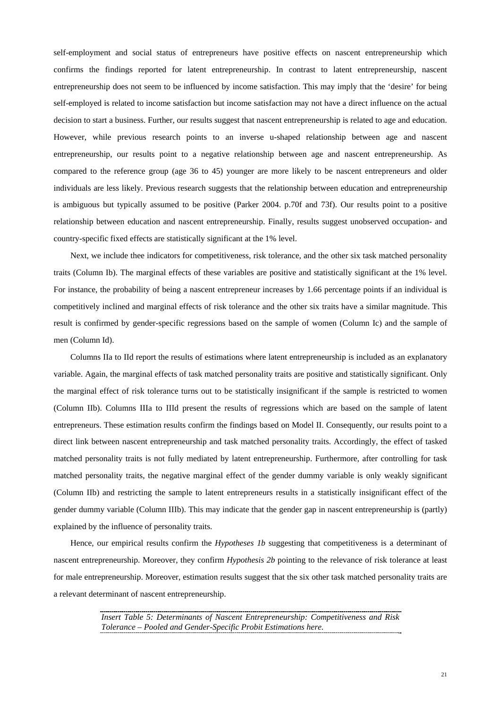self-employment and social status of entrepreneurs have positive effects on nascent entrepreneurship which confirms the findings reported for latent entrepreneurship. In contrast to latent entrepreneurship, nascent entrepreneurship does not seem to be influenced by income satisfaction. This may imply that the 'desire' for being self-employed is related to income satisfaction but income satisfaction may not have a direct influence on the actual decision to start a business. Further, our results suggest that nascent entrepreneurship is related to age and education. However, while previous research points to an inverse u-shaped relationship between age and nascent entrepreneurship, our results point to a negative relationship between age and nascent entrepreneurship. As compared to the reference group (age 36 to 45) younger are more likely to be nascent entrepreneurs and older individuals are less likely. Previous research suggests that the relationship between education and entrepreneurship is ambiguous but typically assumed to be positive (Parker 2004. p.70f and 73f). Our results point to a positive relationship between education and nascent entrepreneurship. Finally, results suggest unobserved occupation- and country-specific fixed effects are statistically significant at the 1% level.

Next, we include thee indicators for competitiveness, risk tolerance, and the other six task matched personality traits (Column Ib). The marginal effects of these variables are positive and statistically significant at the 1% level. For instance, the probability of being a nascent entrepreneur increases by 1.66 percentage points if an individual is competitively inclined and marginal effects of risk tolerance and the other six traits have a similar magnitude. This result is confirmed by gender-specific regressions based on the sample of women (Column Ic) and the sample of men (Column Id).

Columns IIa to IId report the results of estimations where latent entrepreneurship is included as an explanatory variable. Again, the marginal effects of task matched personality traits are positive and statistically significant. Only the marginal effect of risk tolerance turns out to be statistically insignificant if the sample is restricted to women (Column IIb). Columns IIIa to IIId present the results of regressions which are based on the sample of latent entrepreneurs. These estimation results confirm the findings based on Model II. Consequently, our results point to a direct link between nascent entrepreneurship and task matched personality traits. Accordingly, the effect of tasked matched personality traits is not fully mediated by latent entrepreneurship. Furthermore, after controlling for task matched personality traits, the negative marginal effect of the gender dummy variable is only weakly significant (Column IIb) and restricting the sample to latent entrepreneurs results in a statistically insignificant effect of the gender dummy variable (Column IIIb). This may indicate that the gender gap in nascent entrepreneurship is (partly) explained by the influence of personality traits.

Hence, our empirical results confirm the *Hypotheses 1b* suggesting that competitiveness is a determinant of nascent entrepreneurship. Moreover, they confirm *Hypothesis 2b* pointing to the relevance of risk tolerance at least for male entrepreneurship. Moreover, estimation results suggest that the six other task matched personality traits are a relevant determinant of nascent entrepreneurship.

> *Insert Table 5: Determinants of Nascent Entrepreneurship: Competitiveness and Risk Tolerance – Pooled and Gender-Specific Probit Estimations here.*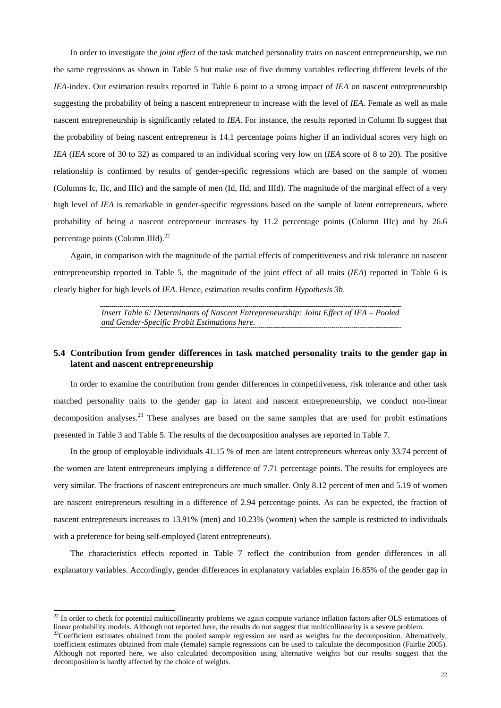In order to investigate the *joint effect* of the task matched personality traits on nascent entrepreneurship, we run the same regressions as shown in Table 5 but make use of five dummy variables reflecting different levels of the *IEA-*index. Our estimation results reported in Table 6 point to a strong impact of *IEA* on nascent entrepreneurship suggesting the probability of being a nascent entrepreneur to increase with the level of *IEA*. Female as well as male nascent entrepreneurship is significantly related to *IEA*. For instance, the results reported in Column Ib suggest that the probability of being nascent entrepreneur is 14.1 percentage points higher if an individual scores very high on *IEA* (*IEA* score of 30 to 32) as compared to an individual scoring very low on (*IEA* score of 8 to 20). The positive relationship is confirmed by results of gender-specific regressions which are based on the sample of women (Columns Ic, IIc, and IIIc) and the sample of men (Id, IId, and IIId). The magnitude of the marginal effect of a very high level of *IEA* is remarkable in gender-specific regressions based on the sample of latent entrepreneurs, where probability of being a nascent entrepreneur increases by 11.2 percentage points (Column IIIc) and by 26.6 percentage points (Column IIId).<sup>22</sup>

Again, in comparison with the magnitude of the partial effects of competitiveness and risk tolerance on nascent entrepreneurship reported in Table 5, the magnitude of the joint effect of all traits (*IEA*) reported in Table 6 is clearly higher for high levels of *IEA*. Hence, estimation results confirm *Hypothesis 3b*.

> *Insert Table 6: Determinants of Nascent Entrepreneurship: Joint Effect of IEA – Pooled and Gender-Specific Probit Estimations here.*

# **5.4 Contribution from gender differences in task matched personality traits to the gender gap in latent and nascent entrepreneurship**

In order to examine the contribution from gender differences in competitiveness, risk tolerance and other task matched personality traits to the gender gap in latent and nascent entrepreneurship, we conduct non-linear decomposition analyses.<sup>23</sup> These analyses are based on the same samples that are used for probit estimations presented in Table 3 and Table 5. The results of the decomposition analyses are reported in Table 7.

In the group of employable individuals 41.15 % of men are latent entrepreneurs whereas only 33.74 percent of the women are latent entrepreneurs implying a difference of 7.71 percentage points. The results for employees are very similar. The fractions of nascent entrepreneurs are much smaller. Only 8.12 percent of men and 5.19 of women are nascent entrepreneurs resulting in a difference of 2.94 percentage points. As can be expected, the fraction of nascent entrepreneurs increases to 13.91% (men) and 10.23% (women) when the sample is restricted to individuals with a preference for being self-employed (latent entrepreneurs).

The characteristics effects reported in Table 7 reflect the contribution from gender differences in all explanatory variables. Accordingly, gender differences in explanatory variables explain 16.85% of the gender gap in

1

 $^{22}$  In order to check for potential multicollinearity problems we again compute variance inflation factors after OLS estimations of linear probability models. Although not reported here, the results do not suggest that multicollinearity is a severe problem.<br><sup>23</sup>Coefficient estimates obtained from the pooled sample regression are used as weights for th

coefficient estimates obtained from male (female) sample regressions can be used to calculate the decomposition (Fairlie 2005). Although not reported here, we also calculated decomposition using alternative weights but our results suggest that the decomposition is hardly affected by the choice of weights.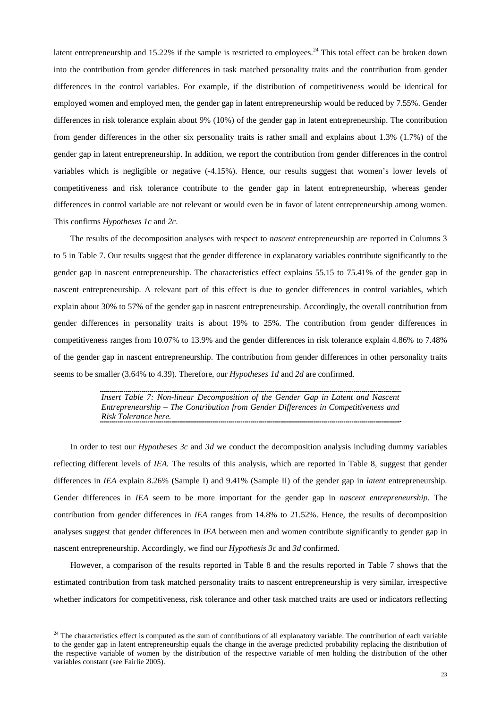latent entrepreneurship and 15.22% if the sample is restricted to employees.<sup>24</sup> This total effect can be broken down into the contribution from gender differences in task matched personality traits and the contribution from gender differences in the control variables. For example, if the distribution of competitiveness would be identical for employed women and employed men, the gender gap in latent entrepreneurship would be reduced by 7.55%. Gender differences in risk tolerance explain about 9% (10%) of the gender gap in latent entrepreneurship. The contribution from gender differences in the other six personality traits is rather small and explains about 1.3% (1.7%) of the gender gap in latent entrepreneurship. In addition, we report the contribution from gender differences in the control variables which is negligible or negative (-4.15%). Hence, our results suggest that women's lower levels of competitiveness and risk tolerance contribute to the gender gap in latent entrepreneurship, whereas gender differences in control variable are not relevant or would even be in favor of latent entrepreneurship among women. This confirms *Hypotheses 1c* and *2c*.

The results of the decomposition analyses with respect to *nascent* entrepreneurship are reported in Columns 3 to 5 in Table 7. Our results suggest that the gender difference in explanatory variables contribute significantly to the gender gap in nascent entrepreneurship. The characteristics effect explains 55.15 to 75.41% of the gender gap in nascent entrepreneurship. A relevant part of this effect is due to gender differences in control variables, which explain about 30% to 57% of the gender gap in nascent entrepreneurship. Accordingly, the overall contribution from gender differences in personality traits is about 19% to 25%. The contribution from gender differences in competitiveness ranges from 10.07% to 13.9% and the gender differences in risk tolerance explain 4.86% to 7.48% of the gender gap in nascent entrepreneurship. The contribution from gender differences in other personality traits seems to be smaller (3.64% to 4.39). Therefore, our *Hypotheses 1d* and *2d* are confirmed.

> *Insert Table 7: Non-linear Decomposition of the Gender Gap in Latent and Nascent Entrepreneurship – The Contribution from Gender Differences in Competitiveness and Risk Tolerance here.*

In order to test our *Hypotheses 3c* and *3d* we conduct the decomposition analysis including dummy variables reflecting different levels of *IEA.* The results of this analysis, which are reported in Table 8, suggest that gender differences in *IEA* explain 8.26% (Sample I) and 9.41% (Sample II) of the gender gap in *latent* entrepreneurship. Gender differences in *IEA* seem to be more important for the gender gap in *nascent entrepreneurship*. The contribution from gender differences in *IEA* ranges from 14.8% to 21.52%. Hence, the results of decomposition analyses suggest that gender differences in *IEA* between men and women contribute significantly to gender gap in nascent entrepreneurship. Accordingly, we find our *Hypothesis 3c* and *3d* confirmed.

However, a comparison of the results reported in Table 8 and the results reported in Table 7 shows that the estimated contribution from task matched personality traits to nascent entrepreneurship is very similar, irrespective whether indicators for competitiveness, risk tolerance and other task matched traits are used or indicators reflecting

1

 $24$  The characteristics effect is computed as the sum of contributions of all explanatory variable. The contribution of each variable to the gender gap in latent entrepreneurship equals the change in the average predicted probability replacing the distribution of the respective variable of women by the distribution of the respective variable of men holding the distribution of the other variables constant (see Fairlie 2005).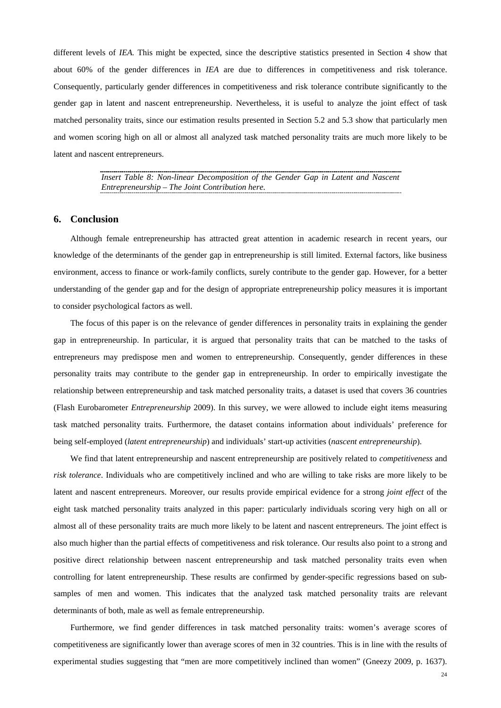different levels of *IEA.* This might be expected, since the descriptive statistics presented in Section 4 show that about 60% of the gender differences in *IEA* are due to differences in competitiveness and risk tolerance. Consequently, particularly gender differences in competitiveness and risk tolerance contribute significantly to the gender gap in latent and nascent entrepreneurship. Nevertheless, it is useful to analyze the joint effect of task matched personality traits, since our estimation results presented in Section 5.2 and 5.3 show that particularly men and women scoring high on all or almost all analyzed task matched personality traits are much more likely to be latent and nascent entrepreneurs.

> *Insert Table 8: Non-linear Decomposition of the Gender Gap in Latent and Nascent Entrepreneurship – The Joint Contribution here.*

#### **6. Conclusion**

Although female entrepreneurship has attracted great attention in academic research in recent years, our knowledge of the determinants of the gender gap in entrepreneurship is still limited. External factors, like business environment, access to finance or work-family conflicts, surely contribute to the gender gap. However, for a better understanding of the gender gap and for the design of appropriate entrepreneurship policy measures it is important to consider psychological factors as well.

The focus of this paper is on the relevance of gender differences in personality traits in explaining the gender gap in entrepreneurship. In particular, it is argued that personality traits that can be matched to the tasks of entrepreneurs may predispose men and women to entrepreneurship. Consequently, gender differences in these personality traits may contribute to the gender gap in entrepreneurship. In order to empirically investigate the relationship between entrepreneurship and task matched personality traits, a dataset is used that covers 36 countries (Flash Eurobarometer *Entrepreneurship* 2009). In this survey, we were allowed to include eight items measuring task matched personality traits. Furthermore, the dataset contains information about individuals' preference for being self-employed (*latent entrepreneurship*) and individuals' start-up activities (*nascent entrepreneurship*).

We find that latent entrepreneurship and nascent entrepreneurship are positively related to *competitiveness* and *risk tolerance*. Individuals who are competitively inclined and who are willing to take risks are more likely to be latent and nascent entrepreneurs. Moreover, our results provide empirical evidence for a strong *joint effect* of the eight task matched personality traits analyzed in this paper: particularly individuals scoring very high on all or almost all of these personality traits are much more likely to be latent and nascent entrepreneurs. The joint effect is also much higher than the partial effects of competitiveness and risk tolerance. Our results also point to a strong and positive direct relationship between nascent entrepreneurship and task matched personality traits even when controlling for latent entrepreneurship. These results are confirmed by gender-specific regressions based on subsamples of men and women. This indicates that the analyzed task matched personality traits are relevant determinants of both, male as well as female entrepreneurship.

Furthermore, we find gender differences in task matched personality traits: women's average scores of competitiveness are significantly lower than average scores of men in 32 countries. This is in line with the results of experimental studies suggesting that "men are more competitively inclined than women" (Gneezy 2009, p. 1637).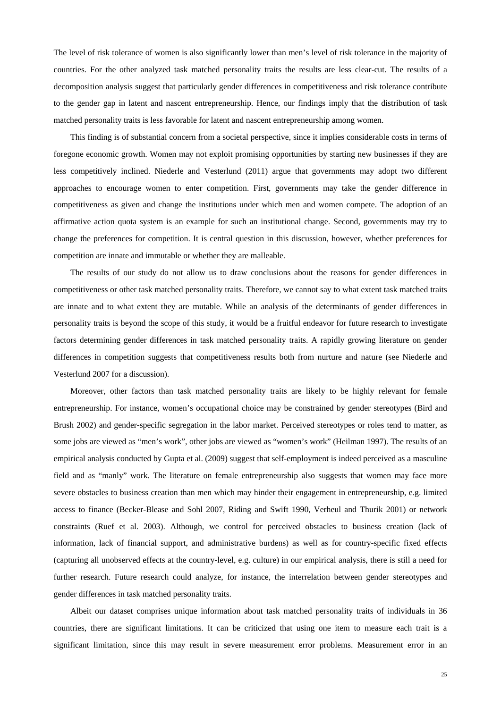The level of risk tolerance of women is also significantly lower than men's level of risk tolerance in the majority of countries. For the other analyzed task matched personality traits the results are less clear-cut. The results of a decomposition analysis suggest that particularly gender differences in competitiveness and risk tolerance contribute to the gender gap in latent and nascent entrepreneurship. Hence, our findings imply that the distribution of task matched personality traits is less favorable for latent and nascent entrepreneurship among women.

This finding is of substantial concern from a societal perspective, since it implies considerable costs in terms of foregone economic growth. Women may not exploit promising opportunities by starting new businesses if they are less competitively inclined. Niederle and Vesterlund (2011) argue that governments may adopt two different approaches to encourage women to enter competition. First, governments may take the gender difference in competitiveness as given and change the institutions under which men and women compete. The adoption of an affirmative action quota system is an example for such an institutional change. Second, governments may try to change the preferences for competition. It is central question in this discussion, however, whether preferences for competition are innate and immutable or whether they are malleable.

The results of our study do not allow us to draw conclusions about the reasons for gender differences in competitiveness or other task matched personality traits. Therefore, we cannot say to what extent task matched traits are innate and to what extent they are mutable. While an analysis of the determinants of gender differences in personality traits is beyond the scope of this study, it would be a fruitful endeavor for future research to investigate factors determining gender differences in task matched personality traits. A rapidly growing literature on gender differences in competition suggests that competitiveness results both from nurture and nature (see Niederle and Vesterlund 2007 for a discussion).

Moreover, other factors than task matched personality traits are likely to be highly relevant for female entrepreneurship. For instance, women's occupational choice may be constrained by gender stereotypes (Bird and Brush 2002) and gender-specific segregation in the labor market. Perceived stereotypes or roles tend to matter, as some jobs are viewed as "men's work", other jobs are viewed as "women's work" (Heilman 1997). The results of an empirical analysis conducted by Gupta et al. (2009) suggest that self-employment is indeed perceived as a masculine field and as "manly" work. The literature on female entrepreneurship also suggests that women may face more severe obstacles to business creation than men which may hinder their engagement in entrepreneurship, e.g. limited access to finance (Becker-Blease and Sohl 2007, Riding and Swift 1990, Verheul and Thurik 2001) or network constraints (Ruef et al. 2003). Although, we control for perceived obstacles to business creation (lack of information, lack of financial support, and administrative burdens) as well as for country-specific fixed effects (capturing all unobserved effects at the country-level, e.g. culture) in our empirical analysis, there is still a need for further research. Future research could analyze, for instance, the interrelation between gender stereotypes and gender differences in task matched personality traits.

Albeit our dataset comprises unique information about task matched personality traits of individuals in 36 countries, there are significant limitations. It can be criticized that using one item to measure each trait is a significant limitation, since this may result in severe measurement error problems. Measurement error in an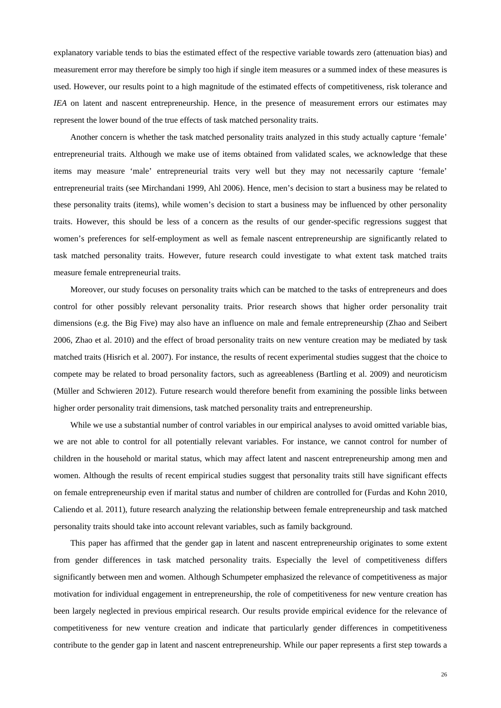explanatory variable tends to bias the estimated effect of the respective variable towards zero (attenuation bias) and measurement error may therefore be simply too high if single item measures or a summed index of these measures is used. However, our results point to a high magnitude of the estimated effects of competitiveness, risk tolerance and *IEA* on latent and nascent entrepreneurship. Hence, in the presence of measurement errors our estimates may represent the lower bound of the true effects of task matched personality traits.

Another concern is whether the task matched personality traits analyzed in this study actually capture 'female' entrepreneurial traits. Although we make use of items obtained from validated scales, we acknowledge that these items may measure 'male' entrepreneurial traits very well but they may not necessarily capture 'female' entrepreneurial traits (see Mirchandani 1999, Ahl 2006). Hence, men's decision to start a business may be related to these personality traits (items), while women's decision to start a business may be influenced by other personality traits. However, this should be less of a concern as the results of our gender-specific regressions suggest that women's preferences for self-employment as well as female nascent entrepreneurship are significantly related to task matched personality traits. However, future research could investigate to what extent task matched traits measure female entrepreneurial traits.

Moreover, our study focuses on personality traits which can be matched to the tasks of entrepreneurs and does control for other possibly relevant personality traits. Prior research shows that higher order personality trait dimensions (e.g. the Big Five) may also have an influence on male and female entrepreneurship (Zhao and Seibert 2006, Zhao et al. 2010) and the effect of broad personality traits on new venture creation may be mediated by task matched traits (Hisrich et al. 2007). For instance, the results of recent experimental studies suggest that the choice to compete may be related to broad personality factors, such as agreeableness (Bartling et al. 2009) and neuroticism (Müller and Schwieren 2012). Future research would therefore benefit from examining the possible links between higher order personality trait dimensions, task matched personality traits and entrepreneurship.

While we use a substantial number of control variables in our empirical analyses to avoid omitted variable bias, we are not able to control for all potentially relevant variables. For instance, we cannot control for number of children in the household or marital status, which may affect latent and nascent entrepreneurship among men and women. Although the results of recent empirical studies suggest that personality traits still have significant effects on female entrepreneurship even if marital status and number of children are controlled for (Furdas and Kohn 2010, Caliendo et al. 2011), future research analyzing the relationship between female entrepreneurship and task matched personality traits should take into account relevant variables, such as family background.

This paper has affirmed that the gender gap in latent and nascent entrepreneurship originates to some extent from gender differences in task matched personality traits. Especially the level of competitiveness differs significantly between men and women. Although Schumpeter emphasized the relevance of competitiveness as major motivation for individual engagement in entrepreneurship, the role of competitiveness for new venture creation has been largely neglected in previous empirical research. Our results provide empirical evidence for the relevance of competitiveness for new venture creation and indicate that particularly gender differences in competitiveness contribute to the gender gap in latent and nascent entrepreneurship. While our paper represents a first step towards a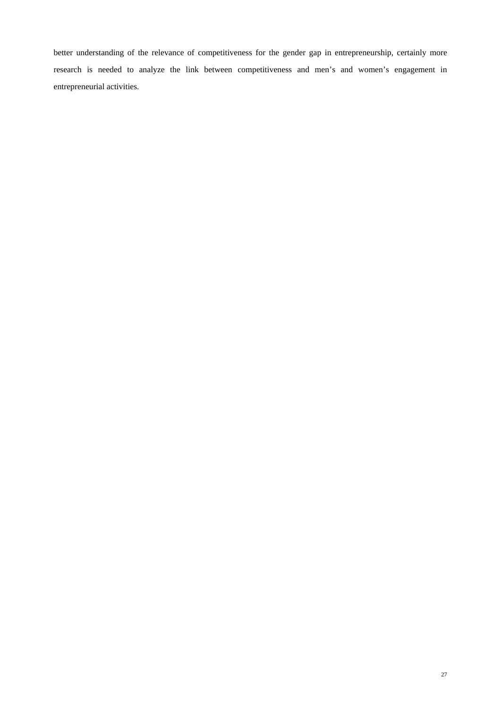better understanding of the relevance of competitiveness for the gender gap in entrepreneurship, certainly more research is needed to analyze the link between competitiveness and men's and women's engagement in entrepreneurial activities.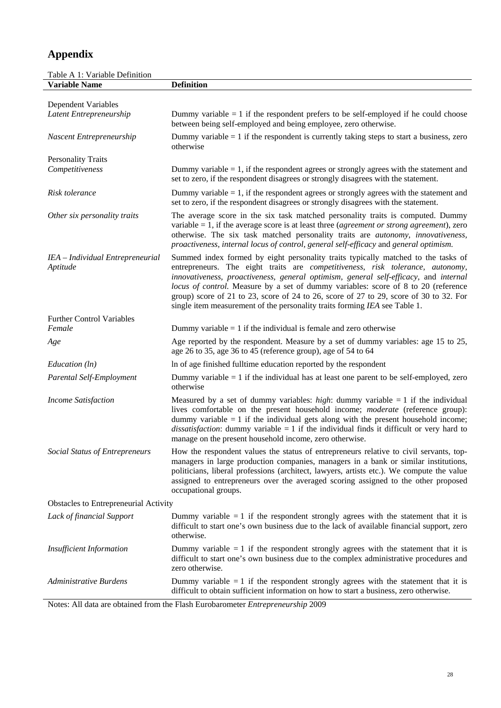# **Appendix**

| Table A 1: Variable Definition               |                                                                                                                                                                                                                                                                                                                                                                                                                                                                                                                                                   |
|----------------------------------------------|---------------------------------------------------------------------------------------------------------------------------------------------------------------------------------------------------------------------------------------------------------------------------------------------------------------------------------------------------------------------------------------------------------------------------------------------------------------------------------------------------------------------------------------------------|
| <b>Variable Name</b>                         | <b>Definition</b>                                                                                                                                                                                                                                                                                                                                                                                                                                                                                                                                 |
| Dependent Variables                          |                                                                                                                                                                                                                                                                                                                                                                                                                                                                                                                                                   |
| Latent Entrepreneurship                      | Dummy variable $= 1$ if the respondent prefers to be self-employed if he could choose<br>between being self-employed and being employee, zero otherwise.                                                                                                                                                                                                                                                                                                                                                                                          |
| Nascent Entrepreneurship                     | Dummy variable $= 1$ if the respondent is currently taking steps to start a business, zero<br>otherwise                                                                                                                                                                                                                                                                                                                                                                                                                                           |
| <b>Personality Traits</b>                    |                                                                                                                                                                                                                                                                                                                                                                                                                                                                                                                                                   |
| Competitiveness                              | Dummy variable $= 1$ , if the respondent agrees or strongly agrees with the statement and<br>set to zero, if the respondent disagrees or strongly disagrees with the statement.                                                                                                                                                                                                                                                                                                                                                                   |
| Risk tolerance                               | Dummy variable $= 1$ , if the respondent agrees or strongly agrees with the statement and<br>set to zero, if the respondent disagrees or strongly disagrees with the statement.                                                                                                                                                                                                                                                                                                                                                                   |
| Other six personality traits                 | The average score in the six task matched personality traits is computed. Dummy<br>variable $= 1$ , if the average score is at least three ( <i>agreement or strong agreement</i> ), zero<br>otherwise. The six task matched personality traits are <i>autonomy</i> , <i>innovativeness</i> ,<br>proactiveness, internal locus of control, general self-efficacy and general optimism.                                                                                                                                                            |
| IEA - Individual Entrepreneurial<br>Aptitude | Summed index formed by eight personality traits typically matched to the tasks of<br>entrepreneurs. The eight traits are <i>competitiveness</i> , <i>risk tolerance</i> , <i>autonomy</i> ,<br>innovativeness, proactiveness, general optimism, general self-efficacy, and internal<br>locus of control. Measure by a set of dummy variables: score of 8 to 20 (reference<br>group) score of 21 to 23, score of 24 to 26, score of 27 to 29, score of 30 to 32. For<br>single item measurement of the personality traits forming IEA see Table 1. |
| <b>Further Control Variables</b>             |                                                                                                                                                                                                                                                                                                                                                                                                                                                                                                                                                   |
| Female                                       | Dummy variable $= 1$ if the individual is female and zero otherwise                                                                                                                                                                                                                                                                                                                                                                                                                                                                               |
| Age                                          | Age reported by the respondent. Measure by a set of dummy variables: age 15 to 25,<br>age 26 to 35, age 36 to 45 (reference group), age of 54 to 64                                                                                                                                                                                                                                                                                                                                                                                               |
| Education (ln)                               | In of age finished fulltime education reported by the respondent                                                                                                                                                                                                                                                                                                                                                                                                                                                                                  |
| Parental Self-Employment                     | Dummy variable $= 1$ if the individual has at least one parent to be self-employed, zero<br>otherwise                                                                                                                                                                                                                                                                                                                                                                                                                                             |
| <b>Income Satisfaction</b>                   | Measured by a set of dummy variables: <i>high</i> : dummy variable $= 1$ if the individual<br>lives comfortable on the present household income; <i>moderate</i> (reference group):<br>dummy variable $= 1$ if the individual gets along with the present household income;<br><i>dissatisfaction</i> : dummy variable $= 1$ if the individual finds it difficult or very hard to<br>manage on the present household income, zero otherwise.                                                                                                      |
| <b>Social Status of Entrepreneurs</b>        | How the respondent values the status of entrepreneurs relative to civil servants, top-<br>managers in large production companies, managers in a bank or similar institutions,<br>politicians, liberal professions (architect, lawyers, artists etc.). We compute the value<br>assigned to entrepreneurs over the averaged scoring assigned to the other proposed<br>occupational groups.                                                                                                                                                          |
| Obstacles to Entrepreneurial Activity        |                                                                                                                                                                                                                                                                                                                                                                                                                                                                                                                                                   |
| Lack of financial Support                    | Dummy variable $= 1$ if the respondent strongly agrees with the statement that it is<br>difficult to start one's own business due to the lack of available financial support, zero<br>otherwise.                                                                                                                                                                                                                                                                                                                                                  |
| <b>Insufficient Information</b>              | Dummy variable $= 1$ if the respondent strongly agrees with the statement that it is<br>difficult to start one's own business due to the complex administrative procedures and<br>zero otherwise.                                                                                                                                                                                                                                                                                                                                                 |
| <b>Administrative Burdens</b>                | Dummy variable $= 1$ if the respondent strongly agrees with the statement that it is<br>difficult to obtain sufficient information on how to start a business, zero otherwise.                                                                                                                                                                                                                                                                                                                                                                    |

Notes: All data are obtained from the Flash Eurobarometer *Entrepreneurship* 2009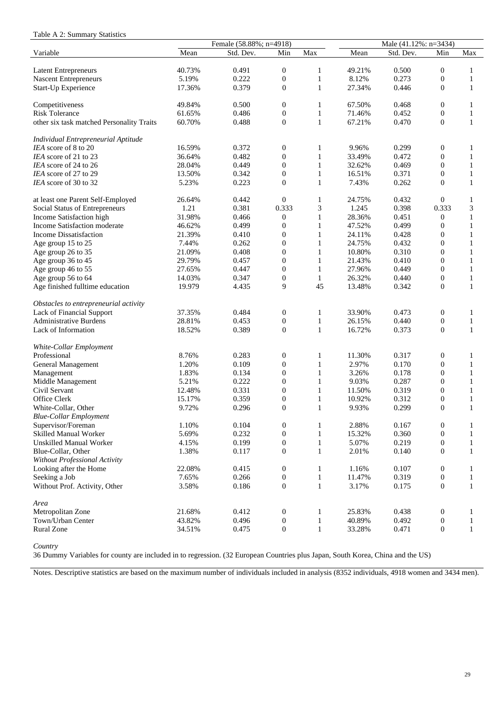|  |  |  | Table A 2: Summary Statistics |  |
|--|--|--|-------------------------------|--|
|--|--|--|-------------------------------|--|

|                                           | Female (58.88%; n=4918)<br>Male (41.12%: n=3434) |                |                                    |                              |                  |                |                  |                              |
|-------------------------------------------|--------------------------------------------------|----------------|------------------------------------|------------------------------|------------------|----------------|------------------|------------------------------|
| Variable                                  | Mean                                             | Std. Dev.      | Min                                | Max                          | Mean             | Std. Dev.      | Min              | Max                          |
|                                           |                                                  |                |                                    |                              |                  |                |                  |                              |
| <b>Latent Entrepreneurs</b>               | 40.73%                                           | 0.491          | $\boldsymbol{0}$                   | $\mathbf{1}$                 | 49.21%           | 0.500          | $\boldsymbol{0}$ | $\mathbf{1}$                 |
| <b>Nascent Entrepreneurs</b>              | 5.19%                                            | 0.222          | $\boldsymbol{0}$                   | $\mathbf{1}$                 | 8.12%            | 0.273          | $\boldsymbol{0}$ | $\mathbf{1}$                 |
| Start-Up Experience                       | 17.36%                                           | 0.379          | $\mathbf{0}$                       | $\mathbf{1}$                 | 27.34%           | 0.446          | $\boldsymbol{0}$ | $\mathbf{1}$                 |
|                                           | 49.84%                                           | 0.500          |                                    | 1                            | 67.50%           |                |                  |                              |
| Competitiveness                           |                                                  |                | $\mathbf{0}$                       |                              |                  | 0.468          | $\boldsymbol{0}$ | 1                            |
| <b>Risk Tolerance</b>                     | 61.65%<br>60.70%                                 | 0.486<br>0.488 | $\boldsymbol{0}$<br>$\overline{0}$ | $\,1\,$<br>$\mathbf{1}$      | 71.46%<br>67.21% | 0.452<br>0.470 | $\boldsymbol{0}$ | $\mathbf{1}$<br>$\mathbf{1}$ |
| other six task matched Personality Traits |                                                  |                |                                    |                              |                  |                | $\boldsymbol{0}$ |                              |
| Individual Entrepreneurial Aptitude       |                                                  |                |                                    |                              |                  |                |                  |                              |
| IEA score of 8 to 20                      | 16.59%                                           | 0.372          | $\boldsymbol{0}$                   | 1                            | 9.96%            | 0.299          | $\boldsymbol{0}$ | $\mathbf{1}$                 |
| IEA score of 21 to 23                     | 36.64%                                           | 0.482          | $\boldsymbol{0}$                   | $\mathbf{1}$                 | 33.49%           | 0.472          | $\boldsymbol{0}$ | $\mathbf{1}$                 |
| IEA score of 24 to 26                     | 28.04%                                           | 0.449          | $\boldsymbol{0}$                   | $\mathbf{1}$                 | 32.62%           | 0.469          | $\boldsymbol{0}$ | 1                            |
| IEA score of 27 to 29                     | 13.50%                                           | 0.342          | $\boldsymbol{0}$                   | $\mathbf{1}$                 | 16.51%           | 0.371          | $\boldsymbol{0}$ | $\mathbf{1}$                 |
| IEA score of 30 to 32                     | 5.23%                                            | 0.223          | $\overline{0}$                     | $\mathbf{1}$                 | 7.43%            | 0.262          | $\mathbf{0}$     | $\mathbf{1}$                 |
|                                           |                                                  |                |                                    |                              |                  |                |                  |                              |
| at least one Parent Self-Employed         | 26.64%                                           | 0.442          | $\overline{0}$                     | 1                            | 24.75%           | 0.432          | $\mathbf{0}$     | $\mathbf{1}$                 |
| Social Status of Entrepreneurs            | 1.21                                             | 0.381          | 0.333                              | 3                            | 1.245            | 0.398          | 0.333            | $\mathfrak{Z}$               |
| Income Satisfaction high                  | 31.98%                                           | 0.466          | $\mathbf{0}$                       | $\mathbf{1}$                 | 28.36%           | 0.451          | $\boldsymbol{0}$ | $\mathbf{1}$                 |
| Income Satisfaction moderate              | 46.62%                                           | 0.499          | $\boldsymbol{0}$                   | $\mathbf{1}$                 | 47.52%           | 0.499          | $\mathbf{0}$     | 1                            |
| <b>Income Dissatisfaction</b>             | 21.39%                                           | 0.410          | $\boldsymbol{0}$                   | $\mathbf{1}$                 | 24.11%           | 0.428          | $\boldsymbol{0}$ | $\mathbf{1}$                 |
| Age group 15 to 25                        | 7.44%                                            | 0.262          | $\boldsymbol{0}$                   | $\mathbf{1}$                 | 24.75%           | 0.432          | $\boldsymbol{0}$ | $\mathbf{1}$                 |
| Age group 26 to 35                        | 21.09%                                           | 0.408          | $\boldsymbol{0}$                   | $\mathbf{1}$                 | 10.80%           | 0.310          | $\boldsymbol{0}$ | $\mathbf{1}$                 |
| Age group 36 to 45                        | 29.79%                                           | 0.457          | $\boldsymbol{0}$                   | $\mathbf{1}$                 | 21.43%           | 0.410          | $\boldsymbol{0}$ | $\mathbf{1}$                 |
| Age group 46 to 55                        | 27.65%                                           | 0.447          | $\boldsymbol{0}$                   | $\mathbf{1}$                 | 27.96%           | 0.449          | $\boldsymbol{0}$ | $\mathbf{1}$                 |
| Age group 56 to 64                        | 14.03%                                           | 0.347          | $\boldsymbol{0}$                   | $\mathbf{1}$                 | 26.32%           | 0.440          | $\boldsymbol{0}$ | $\mathbf{1}$                 |
| Age finished fulltime education           | 19.979                                           | 4.435          | 9                                  | 45                           | 13.48%           | 0.342          | $\mathbf{0}$     | $\mathbf{1}$                 |
|                                           |                                                  |                |                                    |                              |                  |                |                  |                              |
| Obstacles to entrepreneurial activity     | 37.35%                                           | 0.484          |                                    | $\mathbf{1}$                 | 33.90%           | 0.473          |                  | $\mathbf{1}$                 |
| Lack of Financial Support                 |                                                  |                | $\boldsymbol{0}$                   |                              |                  |                | $\boldsymbol{0}$ |                              |
| <b>Administrative Burdens</b>             | 28.81%                                           | 0.453          | $\boldsymbol{0}$                   | $\mathbf{1}$<br>$\mathbf{1}$ | 26.15%           | 0.440          | $\boldsymbol{0}$ | $\mathbf{1}$                 |
| Lack of Information                       | 18.52%                                           | 0.389          | $\mathbf{0}$                       |                              | 16.72%           | 0.373          | $\boldsymbol{0}$ | $\mathbf{1}$                 |
| White-Collar Employment                   |                                                  |                |                                    |                              |                  |                |                  |                              |
| Professional                              | 8.76%                                            | 0.283          | $\boldsymbol{0}$                   | 1                            | 11.30%           | 0.317          | $\boldsymbol{0}$ | 1                            |
| General Management                        | 1.20%                                            | 0.109          | $\boldsymbol{0}$                   | $\mathbf{1}$                 | 2.97%            | 0.170          | $\boldsymbol{0}$ | $\mathbf{1}$                 |
| Management                                | 1.83%                                            | 0.134          | $\boldsymbol{0}$                   | $\mathbf{1}$                 | 3.26%            | 0.178          | $\boldsymbol{0}$ | $\mathbf{1}$                 |
| Middle Management                         | 5.21%                                            | 0.222          | $\boldsymbol{0}$                   | $\mathbf{1}$                 | 9.03%            | 0.287          | $\boldsymbol{0}$ | $\mathbf{1}$                 |
| Civil Servant                             | 12.48%                                           | 0.331          | $\boldsymbol{0}$                   | $\mathbf{1}$                 | 11.50%           | 0.319          | $\boldsymbol{0}$ | $\mathbf{1}$                 |
| Office Clerk                              | 15.17%                                           | 0.359          | $\boldsymbol{0}$                   | $\mathbf{1}$                 | 10.92%           | 0.312          | $\boldsymbol{0}$ | $\mathbf{1}$                 |
| White-Collar, Other                       | 9.72%                                            | 0.296          | $\theta$                           | $\mathbf{1}$                 | 9.93%            | 0.299          | $\mathbf{0}$     | $\mathbf{1}$                 |
| <b>Blue-Collar Employment</b>             |                                                  |                |                                    |                              |                  |                |                  |                              |
| Supervisor/Foreman                        | 1.10%                                            | 0.104          | $\boldsymbol{0}$                   | 1                            | 2.88%            | 0.167          | $\boldsymbol{0}$ | $\mathbf{1}$                 |
| <b>Skilled Manual Worker</b>              | 5.69%                                            | 0.232          | $\mathbf{0}$                       | $\mathbf{1}$                 | 15.32%           | 0.360          | $\boldsymbol{0}$ | $\mathbf{1}$                 |
| <b>Unskilled Manual Worker</b>            | 4.15%                                            | 0.199          | $\mathbf{0}$                       | $\mathbf{1}$                 | 5.07%            | 0.219          | $\boldsymbol{0}$ | $\mathbf{1}$                 |
| Blue-Collar, Other                        | 1.38%                                            | 0.117          | $\mathbf{0}$                       | $\mathbf{1}$                 | 2.01%            | 0.140          | $\boldsymbol{0}$ | $\mathbf{1}$                 |
| Without Professional Activity             |                                                  |                |                                    |                              |                  |                |                  |                              |
| Looking after the Home                    | 22.08%                                           | 0.415          | $\boldsymbol{0}$                   | 1                            | 1.16%            | 0.107          | $\boldsymbol{0}$ | 1                            |
| Seeking a Job                             | 7.65%                                            | 0.266          | $\mathbf{0}$                       | $\mathbf{1}$                 | 11.47%           | 0.319          | $\boldsymbol{0}$ | $\mathbf{1}$                 |
| Without Prof. Activity, Other             | 3.58%                                            | 0.186          | $\boldsymbol{0}$                   | $\,1\,$                      | 3.17%            | 0.175          | $\boldsymbol{0}$ | $\mathbf{1}$                 |
|                                           |                                                  |                |                                    |                              |                  |                |                  |                              |
| Area                                      |                                                  |                |                                    |                              |                  |                |                  |                              |
| Metropolitan Zone                         | 21.68%                                           | 0.412          | $\boldsymbol{0}$                   | 1                            | 25.83%           | 0.438          | $\boldsymbol{0}$ | 1                            |
| Town/Urban Center                         | 43.82%                                           | 0.496          | $\boldsymbol{0}$                   | $\,1\,$                      | 40.89%           | 0.492          | $\boldsymbol{0}$ | $\mathbf{1}$                 |
| Rural Zone                                | 34.51%                                           | 0.475          | $\boldsymbol{0}$                   | $\mathbf{1}$                 | 33.28%           | 0.471          | $\boldsymbol{0}$ | $\mathbf{1}$                 |

*Country* 

36 Dummy Variables for county are included in to regression. (32 European Countries plus Japan, South Korea, China and the US)

Notes. Descriptive statistics are based on the maximum number of individuals included in analysis (8352 individuals, 4918 women and 3434 men).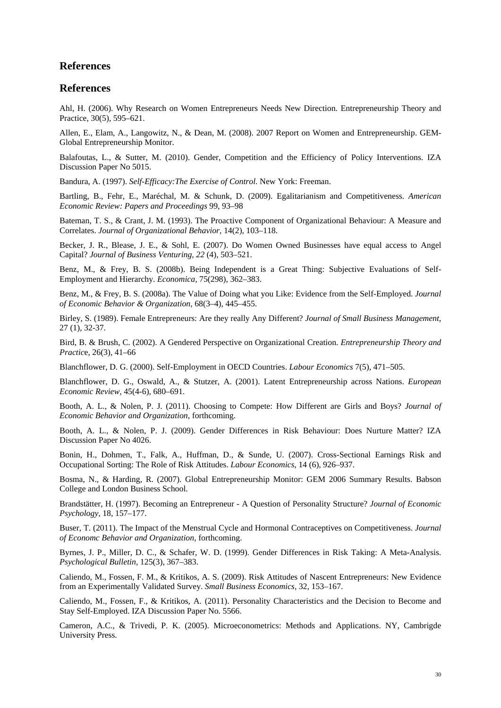# **References**

# **References**

Ahl, H. (2006). Why Research on Women Entrepreneurs Needs New Direction. Entrepreneurship Theory and Practice, 30(5), 595–621.

Allen, E., Elam, A., Langowitz, N., & Dean, M. (2008). 2007 Report on Women and Entrepreneurship. GEM-Global Entrepreneurship Monitor.

Balafoutas, L., & Sutter, M. (2010). Gender, Competition and the Efficiency of Policy Interventions. IZA Discussion Paper No 5015.

Bandura, A. (1997). *Self-Efficacy:The Exercise of Control.* New York: Freeman.

Bartling, B., Fehr, E., Maréchal, M. & Schunk, D. (2009). Egalitarianism and Competitiveness. *American Economic Review: Papers and Proceedings* 99, 93–98

Bateman, T. S., & Crant, J. M. (1993). The Proactive Component of Organizational Behaviour: A Measure and Correlates. *Journal of Organizational Behavior,* 14(2), 103–118.

Becker, J. R., Blease, J. E., & Sohl, E. (2007). Do Women Owned Businesses have equal access to Angel Capital? *Journal of Business Venturing, 22* (4), 503–521.

Benz, M., & Frey, B. S. (2008b). Being Independent is a Great Thing: Subjective Evaluations of Self-Employment and Hierarchy. *Economica,* 75(298), 362–383.

Benz, M., & Frey, B. S. (2008a). The Value of Doing what you Like: Evidence from the Self-Employed. *Journal of Economic Behavior & Organization,* 68(3–4), 445–455.

Birley, S. (1989). Female Entrepreneurs: Are they really Any Different? *Journal of Small Business Management*, 27 (1), 32-37.

Bird, B. & Brush, C. (2002). A Gendered Perspective on Organizational Creation. *Entrepreneurship Theory and Practic*e, 26(3), 41–66

Blanchflower, D. G. (2000). Self-Employment in OECD Countries. *Labour Economics* 7(5), 471–505.

Blanchflower, D. G., Oswald, A., & Stutzer, A. (2001). Latent Entrepreneurship across Nations. *European Economic Review,* 45(4-6), 680–691.

Booth, A. L., & Nolen, P. J. (2011). Choosing to Compete: How Different are Girls and Boys? *Journal of Economic Behavior and Organization*, forthcoming.

Booth, A. L., & Nolen, P. J. (2009). Gender Differences in Risk Behaviour: Does Nurture Matter? IZA Discussion Paper No 4026.

Bonin, H., Dohmen, T., Falk, A., Huffman, D., & Sunde, U. (2007). Cross-Sectional Earnings Risk and Occupational Sorting: The Role of Risk Attitudes. *Labour Economics*, 14 (6), 926–937.

Bosma, N., & Harding, R. (2007). Global Entrepreneurship Monitor: GEM 2006 Summary Results. Babson College and London Business School.

Brandstätter, H. (1997). Becoming an Entrepreneur - A Question of Personality Structure? *Journal of Economic Psychology,* 18, 157–177.

Buser, T. (2011). The Impact of the Menstrual Cycle and Hormonal Contraceptives on Competitiveness. *Journal of Economc Behavior and Organization*, forthcoming.

Byrnes, J. P., Miller, D. C., & Schafer, W. D. (1999). Gender Differences in Risk Taking: A Meta-Analysis. *Psychological Bulletin,* 125(3), 367–383.

Caliendo, M., Fossen, F. M., & Kritikos, A. S. (2009). Risk Attitudes of Nascent Entrepreneurs: New Evidence from an Experimentally Validated Survey. *Small Business Economics*, 32, 153–167.

Caliendo, M., Fossen, F., & Kritikos, A. (2011). Personality Characteristics and the Decision to Become and Stay Self-Employed. IZA Discussion Paper No. 5566.

Cameron, A.C., & Trivedi, P. K. (2005). Microeconometrics: Methods and Applications. NY, Cambrigde University Press.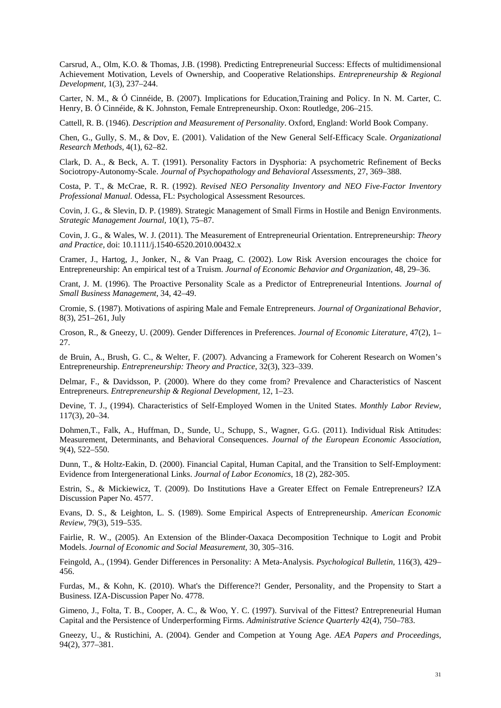Carsrud, A., Olm, K.O. & Thomas, J.B. (1998). Predicting Entrepreneurial Success: Effects of multidimensional Achievement Motivation, Levels of Ownership, and Cooperative Relationships. *Entrepreneurship & Regional Development,* 1(3), 237–244.

Carter, N. M., & Ó Cinnéide, B. (2007). Implications for Education,Training and Policy. In N. M. Carter, C. Henry, B. Ó Cinnéide, & K. Johnston, Female Entrepreneurship. Oxon: Routledge, 206–215.

Cattell, R. B. (1946). *Description and Measurement of Personality*. Oxford, England: World Book Company.

Chen, G., Gully, S. M., & Dov, E. (2001). Validation of the New General Self-Efficacy Scale. *Organizational Research Methods,* 4(1), 62–82.

Clark, D. A., & Beck, A. T. (1991). Personality Factors in Dysphoria: A psychometric Refinement of Becks Sociotropy-Autonomy-Scale. *Journal of Psychopathology and Behavioral Assessments,* 27, 369–388.

Costa, P. T., & McCrae, R. R. (1992). *Revised NEO Personality Inventory and NEO Five-Factor Inventory Professional Manual.* Odessa, FL: Psychological Assessment Resources.

Covin, J. G., & Slevin, D. P. (1989). Strategic Management of Small Firms in Hostile and Benign Environments. *Strategic Management Journal,* 10(1), 75–87.

Covin, J. G., & Wales, W. J. (2011). The Measurement of Entrepreneurial Orientation. Entrepreneurship: *Theory and Practice,* doi: 10.1111/j.1540-6520.2010.00432.x

Cramer, J., Hartog, J., Jonker, N., & Van Praag, C. (2002). Low Risk Aversion encourages the choice for Entrepreneurship: An empirical test of a Truism. *Journal of Economic Behavior and Organization*, 48, 29–36.

Crant, J. M. (1996). The Proactive Personality Scale as a Predictor of Entrepreneurial Intentions. *Journal of Small Business Management*, 34, 42–49.

Cromie, S. (1987). Motivations of aspiring Male and Female Entrepreneurs. *Journal of Organizational Behavior,* 8(3), 251–261, July

Croson, R., & Gneezy, U. (2009). Gender Differences in Preferences. *Journal of Economic Literature,* 47(2), 1– 27.

de Bruin, A., Brush, G. C., & Welter, F. (2007). Advancing a Framework for Coherent Research on Women's Entrepreneurship. *Entrepreneurship: Theory and Practice*, 32(3), 323–339.

Delmar, F., & Davidsson, P. (2000). Where do they come from? Prevalence and Characteristics of Nascent Entrepreneurs. *Entrepreneurship & Regional Development,* 12, 1–23.

Devine, T. J., (1994). Characteristics of Self-Employed Women in the United States. *Monthly Labor Review,*  117(3), 20–34.

Dohmen,T., Falk, A., Huffman, D., Sunde, U., Schupp, S., Wagner, G.G. (2011). Individual Risk Attitudes: Measurement, Determinants, and Behavioral Consequences. *Journal of the European Economic Association,* 9(4), 522–550.

Dunn, T., & Holtz-Eakin, D. (2000). Financial Capital, Human Capital, and the Transition to Self-Employment: Evidence from Intergenerational Links. *Journal of Labor Economics*, 18 (2), 282-305.

Estrin, S., & Mickiewicz, T. (2009). Do Institutions Have a Greater Effect on Female Entrepreneurs? IZA Discussion Paper No. 4577.

Evans, D. S., & Leighton, L. S. (1989). Some Empirical Aspects of Entrepreneurship. *American Economic Review,* 79(3), 519–535.

Fairlie, R. W., (2005). An Extension of the Blinder-Oaxaca Decomposition Technique to Logit and Probit Models. *Journal of Economic and Social Measurement,* 30, 305–316.

Feingold, A., (1994). Gender Differences in Personality: A Meta-Analysis. *Psychological Bulletin,* 116(3), 429– 456.

Furdas, M., & Kohn, K. (2010). What's the Difference?! Gender, Personality, and the Propensity to Start a Business. IZA-Discussion Paper No. 4778.

Gimeno, J., Folta, T. B., Cooper, A. C., & Woo, Y. C. (1997). Survival of the Fittest? Entrepreneurial Human Capital and the Persistence of Underperforming Firms. *Administrative Science Quarterly* 42(4), 750–783.

Gneezy, U., & Rustichini, A. (2004). Gender and Competion at Young Age. *AEA Papers and Proceedings,*  94(2), 377–381.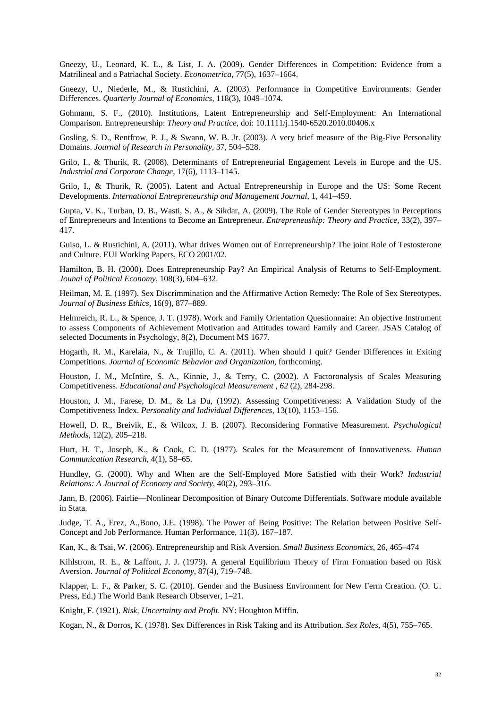Gneezy, U., Leonard, K. L., & List, J. A. (2009). Gender Differences in Competition: Evidence from a Matrilineal and a Patriachal Society. *Econometrica,* 77(5), 1637–1664.

Gneezy, U., Niederle, M., & Rustichini, A. (2003). Performance in Competitive Environments: Gender Differences. *Quarterly Journal of Economics,* 118(3), 1049–1074.

Gohmann, S. F., (2010). Institutions, Latent Entrepreneurship and Self-Employment: An International Comparison. Entrepreneurship: *Theory and Practice*, doi: 10.1111/j.1540-6520.2010.00406.x

Gosling, S. D., Rentfrow, P. J., & Swann, W. B. Jr. (2003). A very brief measure of the Big-Five Personality Domains. *Journal of Research in Personality*, 37, 504–528.

Grilo, I., & Thurik, R. (2008). Determinants of Entrepreneurial Engagement Levels in Europe and the US. *Industrial and Corporate Change*, 17(6), 1113–1145.

Grilo, I., & Thurik, R. (2005). Latent and Actual Entrepreneurship in Europe and the US: Some Recent Developments. *International Entrepreneurship and Management Journal,* 1, 441–459.

Gupta, V. K., Turban, D. B., Wasti, S. A., & Sikdar, A. (2009). The Role of Gender Stereotypes in Perceptions of Entrepreneurs and Intentions to Become an Entrepreneur. *Entrepreneuship: Theory and Practice,* 33(2), 397– 417.

Guiso, L. & Rustichini, A. (2011). What drives Women out of Entrepreneurship? The joint Role of Testosterone and Culture. EUI Working Papers, ECO 2001/02.

Hamilton, B. H. (2000). Does Entrepreneurship Pay? An Empirical Analysis of Returns to Self-Employment. *Jounal of Political Economy,* 108(3), 604–632.

Heilman, M. E. (1997). Sex Discrimmination and the Affirmative Action Remedy: The Role of Sex Stereotypes. *Journal of Business Ethics,* 16(9), 877–889.

Helmreich, R. L., & Spence, J. T. (1978). Work and Family Orientation Questionnaire: An objective Instrument to assess Components of Achievement Motivation and Attitudes toward Family and Career. JSAS Catalog of selected Documents in Psychology, 8(2), Document MS 1677.

Hogarth, R. M., Karelaia, N., & Trujillo, C. A. (2011). When should I quit? Gender Differences in Exiting Competitions. *Journal of Economic Behavior and Organization,* forthcoming.

Houston, J. M., McIntire, S. A., Kinnie, J., & Terry, C. (2002). A Factoronalysis of Scales Measuring Competitiveness. *Educational and Psychological Measurement , 62* (2), 284-298.

Houston, J. M., Farese, D. M., & La Du, (1992). Assessing Competitiveness: A Validation Study of the Competitiveness Index. *Personality and Individual Differences,* 13(10), 1153–156.

Howell, D. R., Breivik, E., & Wilcox, J. B. (2007). Reconsidering Formative Measurement. *Psychological Methods,* 12(2), 205–218.

Hurt, H. T., Joseph, K., & Cook, C. D. (1977). Scales for the Measurement of Innovativeness. *Human Communication Research,* 4(1), 58–65.

Hundley, G. (2000). Why and When are the Self-Employed More Satisfied with their Work? *Industrial Relations: A Journal of Economy and Society,* 40(2), 293–316.

Jann, B. (2006). Fairlie—Nonlinear Decomposition of Binary Outcome Differentials. Software module available in Stata.

Judge, T. A., Erez, A.,Bono, J.E. (1998). The Power of Being Positive: The Relation between Positive Self-Concept and Job Performance. Human Performance, 11(3), 167–187.

Kan, K., & Tsai, W. (2006). Entrepreneurship and Risk Aversion. *Small Business Economics*, 26, 465–474

Kihlstrom, R. E., & Laffont, J. J. (1979). A general Equilibrium Theory of Firm Formation based on Risk Aversion. *Journal of Political Economy*, 87(4), 719–748.

Klapper, L. F., & Parker, S. C. (2010). Gender and the Business Environment for New Ferm Creation. (O. U. Press, Ed.) The World Bank Research Observer, 1–21.

Knight, F. (1921). *Risk, Uncertainty and Profit.* NY: Houghton Miffin.

Kogan, N., & Dorros, K. (1978). Sex Differences in Risk Taking and its Attribution. *Sex Roles,* 4(5), 755–765.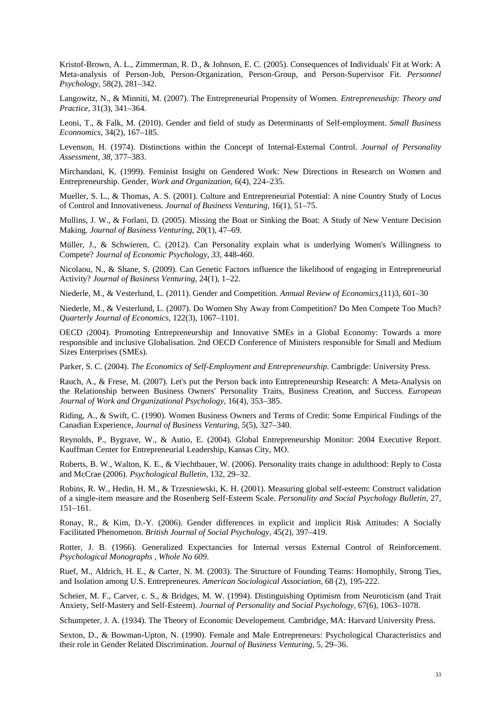Kristof-Brown, A. L., Zimmerman, R. D., & Johnson, E. C. (2005). Consequences of Individuals' Fit at Work: A Meta-analysis of Person-Job, Person-Organization, Person-Group, and Person-Supervisor Fit. *Personnel Psychology,* 58(2), 281–342.

Langowitz, N., & Minniti, M. (2007). The Entrepreneurial Propensity of Women. *Entrepreneuship: Theory and Practice,* 31(3), 341–364.

Leoni, T., & Falk, M. (2010). Gender and field of study as Determinants of Self-employment. *Small Business Econnomics,* 34(2), 167–185.

Levenson, H. (1974). Distinctions within the Concept of Internal-External Control. *Journal of Personality Assessment, 38*, 377–383.

Mirchandani, K. (1999). Feminist Insight on Gendered Work: New Directions in Research on Women and Entrepreneurship. Gender, *Work and Organization*, 6(4), 224–235.

Mueller, S. L., & Thomas, A. S. (2001). Culture and Entrepreneurial Potential: A nine Country Study of Locus of Control and Innovativeness. *Journal of Business Venturing,* 16(1), 51–75.

Mullins, J. W., & Forlani, D. (2005). Missing the Boat or Sinking the Boat: A Study of New Venture Decision Making*. Journal of Business Venturing,* 20(1), 47–69.

Müller, J., & Schwieren, C. (2012). Can Personality explain what is underlying Women's Willingness to Compete? *Journal of Economic Psychology*, *33*, 448-460.

Nicolaou, N., & Shane, S. (2009). Can Genetic Factors influence the likelihood of engaging in Entrepreneurial Activity? *Journal of Business Venturing,* 24(1), 1–22.

Niederle, M., & Vesterlund, L. (2011). Gender and Competition. *Annual Review of Economics,*(11)3, 601–30

Niederle, M., & Vesterlund, L. (2007). Do Women Shy Away from Competition? Do Men Compete Too Much? *Quarterly Journal of Economics,* 122(3), 1067–1101.

OECD (2004). Promoting Entrepreneurship and Innovative SMEs in a Global Economy: Towards a more responsible and inclusive Globalisation. 2nd OECD Conference of Ministers responsible for Small and Medium Sizes Enterprises (SMEs)*.*

Parker, S. C. (2004). *The Economics of Self-Employment and Entrepreneurship.* Cambrigde: University Press.

Rauch, A., & Frese, M. (2007). Let's put the Person back into Entrepreneurship Research: A Meta-Analysis on the Relationship between Business Owners' Personality Traits, Business Creation, and Success. *European Journal of Work and Organizational Psychology,* 16(4), 353–385.

Riding, A., & Swift, C. (1990). Women Business Owners and Terms of Credit: Some Empirical Findings of the Canadian Experience, *Journal of Business Venturing*, *5*(5), 327–340.

Reynolds, P., Bygrave, W., & Autio, E. (2004). Global Entrepreneurship Monitor: 2004 Executive Report. Kauffman Center for Entrepreneurial Leadership, Kansas City, MO.

Roberts, B. W., Walton, K. E., & Viechtbauer, W. (2006). Personality traits change in adulthood: Reply to Costa and McCrae (2006). *Psychological Bulletin,* 132, 29–32.

Robins, R. W., Hedin, H. M., & Trzesniewski, K. H. (2001). Measuring global self-esteem: Construct validation of a single-item measure and the Rosenberg Self-Esteem Scale. *Personality and Social Psychology Bulletin,* 27, 151–161.

Ronay, R., & Kim, D.-Y. (2006). Gender differences in explicit and implicit Risk Attitudes: A Socially Facilitated Phenomenon. *British Journal of Social Psychology,* 45(2), 397–419.

Rotter, J. B. (1966). Generalized Expectancies for Internal versus External Control of Reinforcement. *Psychological Monographs , Whole No 609*.

Ruef, M., Aldrich, H. E., & Carter, N. M. (2003). The Structure of Founding Teams: Homophily, Strong Ties, and Isolation among U.S. Entrepreneures. *American Sociological Association,* 68 (2), 195-222.

Scheier, M. F., Carver, c. S., & Bridges, M. W. (1994). Distinguishing Optimism from Neuroticism (and Trait Anxiety, Self-Mastery and Self-Esteem). *Journal of Personality and Social Psychology,* 67(6), 1063–1078.

Schumpeter, J. A. (1934). The Theory of Economic Developement*.* Cambridge, MA: Harvard University Press.

Sexton, D., & Bowman-Upton, N. (1990). Female and Male Entrepreneurs: Psychological Characteristics and their role in Gender Related Discrimination. *Journal of Business Venturing*, 5, 29–36.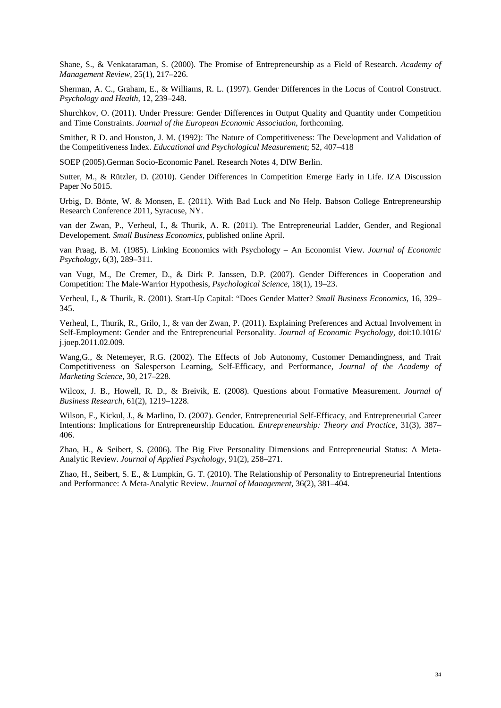Shane, S., & Venkataraman, S. (2000). The Promise of Entrepreneurship as a Field of Research. *Academy of Management Review,* 25(1), 217–226.

Sherman, A. C., Graham, E., & Williams, R. L. (1997). Gender Differences in the Locus of Control Construct. *Psychology and Health,* 12, 239–248.

Shurchkov, O. (2011). Under Pressure: Gender Differences in Output Quality and Quantity under Competition and Time Constraints. *Journal of the European Economic Association*, forthcoming.

Smither, R D. and Houston, J. M. (1992): The Nature of Competitiveness: The Development and Validation of the Competitiveness Index. *Educational and Psychological Measurement*; 52, 407–418

SOEP (2005).German Socio-Economic Panel. Research Notes 4, DIW Berlin.

Sutter, M., & Rützler, D. (2010). Gender Differences in Competition Emerge Early in Life. IZA Discussion Paper No 5015.

Urbig, D. Bönte, W. & Monsen, E. (2011). With Bad Luck and No Help. Babson College Entrepreneurship Research Conference 2011, Syracuse, NY.

van der Zwan, P., Verheul, I., & Thurik, A. R. (2011). The Entrepreneurial Ladder, Gender, and Regional Developement. *Small Business Economics,* published online April.

van Praag, B. M. (1985). Linking Economics with Psychology – An Economist View. *Journal of Economic Psychology,* 6(3), 289–311.

van Vugt, M., De Cremer, D., & Dirk P. Janssen, D.P. (2007). Gender Differences in Cooperation and Competition: The Male-Warrior Hypothesis, *Psychological Science*, 18(1), 19–23.

Verheul, I., & Thurik, R. (2001). Start-Up Capital: "Does Gender Matter? *Small Business Economics*, 16, 329– 345.

Verheul, I., Thurik, R., Grilo, I., & van der Zwan, P. (2011). Explaining Preferences and Actual Involvement in Self-Employment: Gender and the Entrepreneurial Personality. *Journal of Economic Psychology,* doi:10.1016/ j.joep.2011.02.009.

Wang,G., & Netemeyer, R.G. (2002). The Effects of Job Autonomy, Customer Demandingness, and Trait Competitiveness on Salesperson Learning, Self-Efficacy, and Performance, *Journal of the Academy of Marketing Science,* 30, 217–228.

Wilcox, J. B., Howell, R. D., & Breivik, E. (2008). Questions about Formative Measurement. *Journal of Business Research*, 61(2), 1219–1228.

Wilson, F., Kickul, J., & Marlino, D. (2007). Gender, Entrepreneurial Self-Efficacy, and Entrepreneurial Career Intentions: Implications for Entrepreneurship Education. *Entrepreneurship: Theory and Practice,* 31(3), 387– 406.

Zhao, H., & Seibert, S. (2006). The Big Five Personality Dimensions and Entrepreneurial Status: A Meta-Analytic Review. *Journal of Applied Psychology,* 91(2), 258–271.

Zhao, H., Seibert, S. E., & Lumpkin, G. T. (2010). The Relationship of Personality to Entrepreneurial Intentions and Performance: A Meta-Analytic Review. *Journal of Management,* 36(2), 381–404.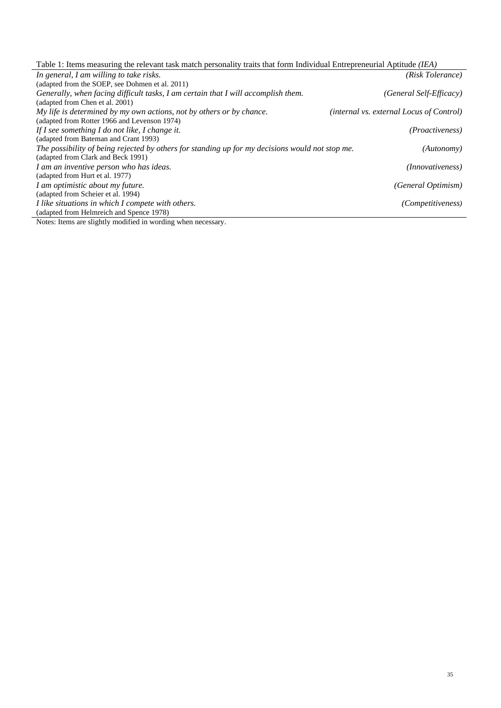|  | Table 1: Items measuring the relevant task match personality traits that form Individual Entrepreneurial Aptitude <i>(IEA)</i> |  |
|--|--------------------------------------------------------------------------------------------------------------------------------|--|
|  |                                                                                                                                |  |

| (adapted from the SOEP, see Dohmen et al. 2011)<br>Generally, when facing difficult tasks, I am certain that I will accomplish them.<br>(General Self-Efficacy)<br>(adapted from Chen et al. 2001)<br><i>(internal vs. external Locus of Control)</i><br>(adapted from Rotter 1966 and Levenson 1974)<br><i>(Proactiveness)</i><br>(adapted from Bateman and Crant 1993)<br>The possibility of being rejected by others for standing up for my decisions would not stop me.<br>(Autonomy)<br>(adapted from Clark and Beck 1991)<br>(Innovativeness)<br>(adapted from Hurt et al. 1977)<br>I am optimistic about my future.<br>(General Optimism)<br>(adapted from Scheier et al. 1994)<br>I like situations in which I compete with others.<br><i>(Competitiveness)</i> | In general, I am willing to take risks.                              | (Risk Tolerance) |
|-------------------------------------------------------------------------------------------------------------------------------------------------------------------------------------------------------------------------------------------------------------------------------------------------------------------------------------------------------------------------------------------------------------------------------------------------------------------------------------------------------------------------------------------------------------------------------------------------------------------------------------------------------------------------------------------------------------------------------------------------------------------------|----------------------------------------------------------------------|------------------|
|                                                                                                                                                                                                                                                                                                                                                                                                                                                                                                                                                                                                                                                                                                                                                                         |                                                                      |                  |
|                                                                                                                                                                                                                                                                                                                                                                                                                                                                                                                                                                                                                                                                                                                                                                         |                                                                      |                  |
|                                                                                                                                                                                                                                                                                                                                                                                                                                                                                                                                                                                                                                                                                                                                                                         |                                                                      |                  |
|                                                                                                                                                                                                                                                                                                                                                                                                                                                                                                                                                                                                                                                                                                                                                                         | My life is determined by my own actions, not by others or by chance. |                  |
|                                                                                                                                                                                                                                                                                                                                                                                                                                                                                                                                                                                                                                                                                                                                                                         |                                                                      |                  |
|                                                                                                                                                                                                                                                                                                                                                                                                                                                                                                                                                                                                                                                                                                                                                                         | If I see something I do not like, I change it.                       |                  |
|                                                                                                                                                                                                                                                                                                                                                                                                                                                                                                                                                                                                                                                                                                                                                                         |                                                                      |                  |
|                                                                                                                                                                                                                                                                                                                                                                                                                                                                                                                                                                                                                                                                                                                                                                         |                                                                      |                  |
|                                                                                                                                                                                                                                                                                                                                                                                                                                                                                                                                                                                                                                                                                                                                                                         |                                                                      |                  |
|                                                                                                                                                                                                                                                                                                                                                                                                                                                                                                                                                                                                                                                                                                                                                                         | I am an inventive person who has ideas.                              |                  |
|                                                                                                                                                                                                                                                                                                                                                                                                                                                                                                                                                                                                                                                                                                                                                                         |                                                                      |                  |
|                                                                                                                                                                                                                                                                                                                                                                                                                                                                                                                                                                                                                                                                                                                                                                         |                                                                      |                  |
|                                                                                                                                                                                                                                                                                                                                                                                                                                                                                                                                                                                                                                                                                                                                                                         |                                                                      |                  |
|                                                                                                                                                                                                                                                                                                                                                                                                                                                                                                                                                                                                                                                                                                                                                                         |                                                                      |                  |
|                                                                                                                                                                                                                                                                                                                                                                                                                                                                                                                                                                                                                                                                                                                                                                         | (adapted from Helmreich and Spence 1978)                             |                  |

Notes: Items are slightly modified in wording when necessary.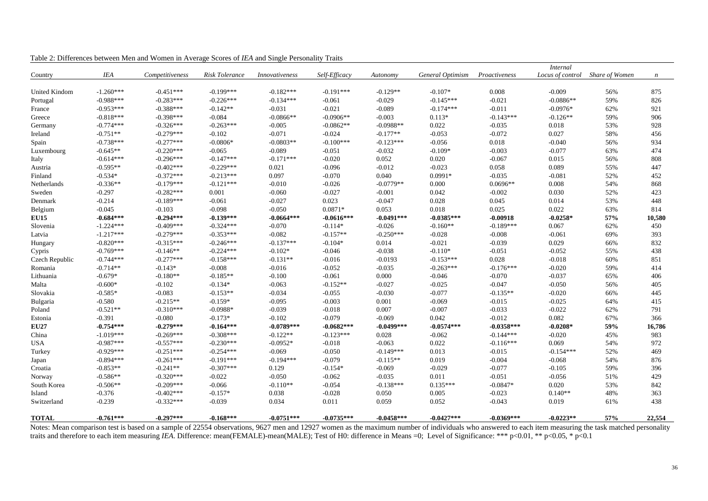|                |             |                 |                |                |               |              |                  |               | <i>Internal</i> |                                 |                  |
|----------------|-------------|-----------------|----------------|----------------|---------------|--------------|------------------|---------------|-----------------|---------------------------------|------------------|
| Country        | <b>IEA</b>  | Competitiveness | Risk Tolerance | Innovativeness | Self-Efficacy | Autonomy     | General Optimism | Proactiveness |                 | Locus of control Share of Women | $\boldsymbol{n}$ |
|                |             |                 |                |                |               |              |                  |               |                 |                                 |                  |
| United Kindom  | $-1.260***$ | $-0.451***$     | $-0.199***$    | $-0.182***$    | $-0.191***$   | $-0.129**$   | $-0.107*$        | 0.008         | $-0.009$        | 56%                             | 875              |
| Portugal       | $-0.988***$ | $-0.283***$     | $-0.226***$    | $-0.134***$    | $-0.061$      | $-0.029$     | $-0.145***$      | $-0.021$      | $-0.0886**$     | 59%                             | 826              |
| France         | $-0.953***$ | $-0.388***$     | $-0.142**$     | $-0.031$       | $-0.021$      | $-0.089$     | $-0.174***$      | $-0.011$      | $-0.0976*$      | 62%                             | 921              |
| Greece         | $-0.818***$ | $-0.398***$     | $-0.084$       | $-0.0866**$    | $-0.0906**$   | $-0.003$     | $0.113*$         | $-0.143***$   | $-0.126**$      | 59%                             | 906              |
| Germany        | $-0.774***$ | $-0.326***$     | $-0.263***$    | $-0.005$       | $-0.0862**$   | $-0.0988**$  | 0.022            | $-0.035$      | 0.018           | 53%                             | 928              |
| Ireland        | $-0.751**$  | $-0.279***$     | $-0.102$       | $-0.071$       | $-0.024$      | $-0.177**$   | $-0.053$         | $-0.072$      | 0.027           | 58%                             | 456              |
| Spain          | $-0.738***$ | $-0.277***$     | $-0.0806*$     | $-0.0803**$    | $-0.100***$   | $-0.123***$  | $-0.056$         | 0.018         | $-0.040$        | 56%                             | 934              |
| Luxembourg     | $-0.645**$  | $-0.220***$     | $-0.065$       | $-0.089$       | $-0.051$      | $-0.032$     | $-0.109*$        | $-0.003$      | $-0.077$        | 63%                             | 474              |
| Italy          | $-0.614***$ | $-0.296***$     | $-0.147***$    | $-0.171***$    | $-0.020$      | 0.052        | 0.020            | $-0.067$      | 0.015           | 56%                             | 808              |
| Austria        | $-0.595**$  | $-0.402***$     | $-0.229***$    | 0.021          | $-0.096$      | $-0.012$     | $-0.023$         | 0.058         | 0.089           | 55%                             | 447              |
| Finland        | $-0.534*$   | $-0.372***$     | $-0.213***$    | 0.097          | $-0.070$      | 0.040        | $0.0991*$        | $-0.035$      | $-0.081$        | 52%                             | 452              |
| Netherlands    | $-0.336**$  | $-0.179***$     | $-0.121***$    | $-0.010$       | $-0.026$      | $-0.0779**$  | 0.000            | $0.0696**$    | 0.008           | 54%                             | 868              |
| Sweden         | $-0.297$    | $-0.282***$     | 0.001          | $-0.060$       | $-0.027$      | $-0.001$     | 0.042            | $-0.002$      | 0.030           | 52%                             | 423              |
| Denmark        | $-0.214$    | $-0.189***$     | $-0.061$       | $-0.027$       | 0.023         | $-0.047$     | 0.028            | 0.045         | 0.014           | 53%                             | 448              |
| Belgium        | $-0.045$    | $-0.103$        | $-0.098$       | $-0.050$       | $0.0871*$     | 0.053        | 0.018            | 0.025         | 0.022           | 63%                             | 814              |
| <b>EU15</b>    | $-0.684***$ | $-0.294***$     | $-0.139***$    | $-0.0664***$   | $-0.0616***$  | $-0.0491***$ | $-0.0385***$     | $-0.00918$    | $-0.0258*$      | 57%                             | 10,580           |
| Slovenia       | $-1.224***$ | $-0.409***$     | $-0.324***$    | $-0.070$       | $-0.114*$     | $-0.026$     | $-0.160**$       | $-0.189***$   | 0.067           | 62%                             | 450              |
| Latvia         | $-1.217***$ | $-0.279***$     | $-0.353***$    | $-0.082$       | $-0.157**$    | $-0.250***$  | $-0.028$         | $-0.008$      | $-0.061$        | 69%                             | 393              |
| Hungary        | $-0.820***$ | $-0.315***$     | $-0.246***$    | $-0.137***$    | $-0.104*$     | 0.014        | $-0.021$         | $-0.039$      | 0.029           | 66%                             | 832              |
| Cypris         | $-0.769***$ | $-0.146**$      | $-0.224***$    | $-0.102*$      | $-0.046$      | $-0.038$     | $-0.110*$        | $-0.051$      | $-0.052$        | 55%                             | 438              |
| Czech Republic | $-0.744***$ | $-0.277***$     | $-0.158***$    | $-0.131**$     | $-0.016$      | $-0.0193$    | $-0.153***$      | 0.028         | $-0.018$        | 60%                             | 851              |
| Romania        | $-0.714**$  | $-0.143*$       | $-0.008$       | $-0.016$       | $-0.052$      | $-0.035$     | $-0.263***$      | $-0.176***$   | $-0.020$        | 59%                             | 414              |
| Lithuania      | $-0.679*$   | $-0.180**$      | $-0.185**$     | $-0.100$       | $-0.061$      | 0.000        | $-0.046$         | $-0.070$      | $-0.037$        | 65%                             | 406              |
| Malta          | $-0.600*$   | $-0.102$        | $-0.134*$      | $-0.063$       | $-0.152**$    | $-0.027$     | $-0.025$         | $-0.047$      | $-0.050$        | 56%                             | 405              |
| Slovakia       | $-0.585*$   | $-0.083$        | $-0.153**$     | $-0.034$       | $-0.055$      | $-0.030$     | $-0.077$         | $-0.135**$    | $-0.020$        | 66%                             | 445              |
| Bulgaria       | $-0.580$    | $-0.215**$      | $-0.159*$      | $-0.095$       | $-0.003$      | 0.001        | $-0.069$         | $-0.015$      | $-0.025$        | 64%                             | 415              |
| Poland         | $-0.521**$  | $-0.310***$     | $-0.0988*$     | $-0.039$       | $-0.018$      | 0.007        | $-0.007$         | $-0.033$      | $-0.022$        | 62%                             | 791              |
| Estonia        | $-0.391$    | $-0.080$        | $-0.173*$      | $-0.102$       | $-0.079$      | $-0.069$     | 0.042            | $-0.012$      | 0.082           | 67%                             | 366              |
| <b>EU27</b>    | $-0.754***$ | $-0.279***$     | $-0.164***$    | $-0.0789***$   | $-0.0682***$  | $-0.0499***$ | $-0.0574***$     | $-0.0358***$  | $-0.0208*$      | 59%                             | 16,786           |
| China          | $-1.019***$ | $-0.269***$     | $-0.308***$    | $-0.122**$     | $-0.123***$   | 0.028        | $-0.062$         | $-0.144***$   | $-0.020$        | 45%                             | 983              |
| <b>USA</b>     | $-0.987***$ | $-0.557***$     | $-0.230***$    | $-0.0952*$     | $-0.018$      | $-0.063$     | 0.022            | $-0.116***$   | 0.069           | 54%                             | 972              |
| Turkey         | $-0.929***$ | $-0.251***$     | $-0.254***$    | $-0.069$       | $-0.050$      | $-0.149***$  | 0.013            | $-0.015$      | $-0.154***$     | 52%                             | 469              |
| Japan          | $-0.894***$ | $-0.261***$     | $-0.191***$    | $-0.194***$    | $-0.079$      | $-0.115**$   | 0.019            | $-0.004$      | $-0.068$        | 54%                             | 876              |
| Croatia        | $-0.853**$  | $-0.241**$      | $-0.307***$    | 0.129          | $-0.154*$     | $-0.069$     | $-0.029$         | $-0.077$      | $-0.105$        | 59%                             | 396              |
| Norway         | $-0.586**$  | $-0.320***$     | $-0.022$       | $-0.050$       | $-0.062$      | $-0.035$     | 0.011            | $-0.051$      | $-0.056$        | 51%                             | 429              |
| South Korea    | $-0.506**$  | $-0.209***$     | $-0.066$       | $-0.110**$     | $-0.054$      | $-0.138***$  | $0.135***$       | $-0.0847*$    | 0.020           | 53%                             | 842              |
| Island         | $-0.376$    | $-0.402***$     | $-0.157*$      | 0.038          | $-0.028$      | 0.050        | 0.005            | $-0.023$      | $0.140**$       | 48%                             | 363              |
| Switzerland    | $-0.239$    | $-0.332***$     | $-0.039$       | 0.034          | 0.011         | 0.059        | 0.052            | $-0.043$      | 0.019           | 61%                             | 438              |
|                |             |                 |                |                |               |              |                  |               |                 |                                 |                  |
| <b>TOTAL</b>   | $-0.761***$ | $-0.297***$     | $-0.168***$    | $-0.0751***$   | $-0.0735***$  | $-0.0458***$ | $-0.0427***$     | $-0.0369***$  | $-0.0223**$     | 57%                             | 22,554           |

Table 2: Differences between Men and Women in Average Scores of *IEA* and Single Personality Traits

Notes: Mean comparison test is based on a sample of 22554 observations, 9627 men and 12927 women as the maximum number of individuals who answered to each item measuring the task matched personality traits and therefore to each item measuring *IEA*. Difference: mean(FEMALE)-mean(MALE); Test of H0: difference in Means =0; Level of Significance: \*\*\* p<0.01, \*\* p<0.05, \* p<0.1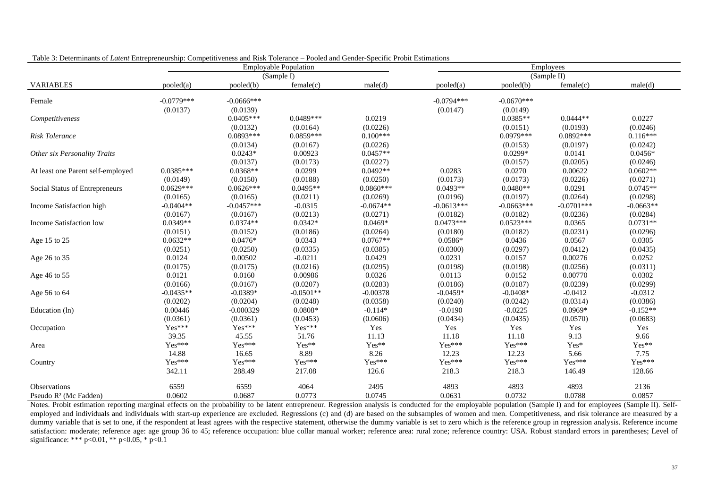| габіс э. Бесеніннано от ванети внигергенеаторі, сотпрени сисво ана тивк тотеганее - тобіса ана сенает брестие і тоби взиннанопе                                                                                 |              |               | <b>Employable Population</b> |             | Employees    |              |                                                                                                                                                                                                                                                                                                                                                                                                                              |                                                                                                                                                                                                                                                                                                                                                           |  |  |
|-----------------------------------------------------------------------------------------------------------------------------------------------------------------------------------------------------------------|--------------|---------------|------------------------------|-------------|--------------|--------------|------------------------------------------------------------------------------------------------------------------------------------------------------------------------------------------------------------------------------------------------------------------------------------------------------------------------------------------------------------------------------------------------------------------------------|-----------------------------------------------------------------------------------------------------------------------------------------------------------------------------------------------------------------------------------------------------------------------------------------------------------------------------------------------------------|--|--|
|                                                                                                                                                                                                                 |              |               | (Sample I)                   |             |              |              | (Sample II)                                                                                                                                                                                                                                                                                                                                                                                                                  |                                                                                                                                                                                                                                                                                                                                                           |  |  |
| <b>VARIABLES</b>                                                                                                                                                                                                | pooled(a)    | pooled(b)     | female(c)                    | male(d)     | pooled(a)    | pooled(b)    | female(c)                                                                                                                                                                                                                                                                                                                                                                                                                    | male(d)                                                                                                                                                                                                                                                                                                                                                   |  |  |
| Female                                                                                                                                                                                                          | $-0.0779***$ | $-0.0666$ *** |                              |             | $-0.0794***$ | $-0.0670***$ |                                                                                                                                                                                                                                                                                                                                                                                                                              |                                                                                                                                                                                                                                                                                                                                                           |  |  |
|                                                                                                                                                                                                                 | (0.0137)     | (0.0139)      |                              |             | (0.0147)     |              |                                                                                                                                                                                                                                                                                                                                                                                                                              |                                                                                                                                                                                                                                                                                                                                                           |  |  |
|                                                                                                                                                                                                                 |              | $0.0405***$   | $0.0489***$                  | 0.0219      |              | $0.0385**$   |                                                                                                                                                                                                                                                                                                                                                                                                                              |                                                                                                                                                                                                                                                                                                                                                           |  |  |
|                                                                                                                                                                                                                 |              | (0.0132)      | (0.0164)                     | (0.0226)    |              |              |                                                                                                                                                                                                                                                                                                                                                                                                                              |                                                                                                                                                                                                                                                                                                                                                           |  |  |
|                                                                                                                                                                                                                 |              | $0.0893***$   | $0.0859***$                  | $0.100***$  |              | $0.0979***$  |                                                                                                                                                                                                                                                                                                                                                                                                                              | 0.0227<br>(0.0246)<br>$0.116***$<br>(0.0242)<br>$0.0456*$<br>(0.0246)<br>$0.0602**$<br>(0.0271)<br>$0.0745**$<br>(0.0298)<br>$-0.0663**$<br>(0.0284)<br>$0.0731**$<br>(0.0296)<br>0.0305<br>(0.0435)<br>0.0252<br>(0.0311)<br>0.0302<br>(0.0299)<br>$-0.0312$<br>(0.0386)<br>$-0.152**$<br>(0.0683)<br>Yes<br>9.66<br>Yes**<br>7.75<br>$Yes***$<br>128.66 |  |  |
|                                                                                                                                                                                                                 |              | (0.0134)      | (0.0167)                     | (0.0226)    |              |              |                                                                                                                                                                                                                                                                                                                                                                                                                              |                                                                                                                                                                                                                                                                                                                                                           |  |  |
|                                                                                                                                                                                                                 |              | $0.0243*$     | 0.00923                      | $0.0457**$  |              | $0.0299*$    |                                                                                                                                                                                                                                                                                                                                                                                                                              |                                                                                                                                                                                                                                                                                                                                                           |  |  |
|                                                                                                                                                                                                                 |              | (0.0137)      | (0.0173)                     | (0.0227)    |              |              |                                                                                                                                                                                                                                                                                                                                                                                                                              |                                                                                                                                                                                                                                                                                                                                                           |  |  |
|                                                                                                                                                                                                                 | $0.0385***$  | $0.0368**$    | 0.0299                       | $0.0492**$  | 0.0283       |              |                                                                                                                                                                                                                                                                                                                                                                                                                              |                                                                                                                                                                                                                                                                                                                                                           |  |  |
| Competitiveness<br>Risk Tolerance<br>Other six Personality Traits<br>At least one Parent self-employed<br>Social Status of Entrepreneurs<br>Income Satisfaction high<br>Income Satisfaction low<br>Age 15 to 25 | (0.0149)     | (0.0150)      | (0.0188)                     | (0.0250)    | (0.0173)     | (0.0173)     |                                                                                                                                                                                                                                                                                                                                                                                                                              |                                                                                                                                                                                                                                                                                                                                                           |  |  |
|                                                                                                                                                                                                                 | $0.0629***$  | $0.0626***$   | $0.0495**$                   | $0.0860***$ | $0.0493**$   | $0.0480**$   |                                                                                                                                                                                                                                                                                                                                                                                                                              |                                                                                                                                                                                                                                                                                                                                                           |  |  |
|                                                                                                                                                                                                                 | (0.0165)     | (0.0165)      | (0.0211)                     | (0.0269)    | (0.0196)     | (0.0197)     |                                                                                                                                                                                                                                                                                                                                                                                                                              |                                                                                                                                                                                                                                                                                                                                                           |  |  |
|                                                                                                                                                                                                                 | $-0.0404**$  | $-0.0457***$  | $-0.0315$                    | $-0.0674**$ | $-0.0613***$ | $-0.0663***$ |                                                                                                                                                                                                                                                                                                                                                                                                                              |                                                                                                                                                                                                                                                                                                                                                           |  |  |
|                                                                                                                                                                                                                 | (0.0167)     | (0.0167)      | (0.0213)                     | (0.0271)    | (0.0182)     | (0.0182)     |                                                                                                                                                                                                                                                                                                                                                                                                                              |                                                                                                                                                                                                                                                                                                                                                           |  |  |
|                                                                                                                                                                                                                 | $0.0349**$   | $0.0374**$    | $0.0342*$                    | $0.0469*$   | $0.0473***$  | $0.0523***$  |                                                                                                                                                                                                                                                                                                                                                                                                                              |                                                                                                                                                                                                                                                                                                                                                           |  |  |
|                                                                                                                                                                                                                 | (0.0151)     | (0.0152)      | (0.0186)                     | (0.0264)    | (0.0180)     | (0.0182)     |                                                                                                                                                                                                                                                                                                                                                                                                                              |                                                                                                                                                                                                                                                                                                                                                           |  |  |
|                                                                                                                                                                                                                 | $0.0632**$   | $0.0476*$     | 0.0343                       | $0.0767**$  | $0.0586*$    | 0.0436       |                                                                                                                                                                                                                                                                                                                                                                                                                              |                                                                                                                                                                                                                                                                                                                                                           |  |  |
|                                                                                                                                                                                                                 | (0.0251)     | (0.0250)      | (0.0335)                     | (0.0385)    | (0.0300)     | (0.0297)     |                                                                                                                                                                                                                                                                                                                                                                                                                              |                                                                                                                                                                                                                                                                                                                                                           |  |  |
| Age 26 to 35                                                                                                                                                                                                    | 0.0124       | 0.00502       | $-0.0211$                    | 0.0429      | 0.0231       | 0.0157       |                                                                                                                                                                                                                                                                                                                                                                                                                              |                                                                                                                                                                                                                                                                                                                                                           |  |  |
|                                                                                                                                                                                                                 | (0.0175)     | (0.0175)      | (0.0216)                     | (0.0295)    | (0.0198)     | (0.0198)     |                                                                                                                                                                                                                                                                                                                                                                                                                              |                                                                                                                                                                                                                                                                                                                                                           |  |  |
| Age 46 to 55                                                                                                                                                                                                    | 0.0121       | 0.0160        | 0.00986                      | 0.0326      | 0.0113       | 0.0152       |                                                                                                                                                                                                                                                                                                                                                                                                                              |                                                                                                                                                                                                                                                                                                                                                           |  |  |
|                                                                                                                                                                                                                 | (0.0166)     | (0.0167)      | (0.0207)                     | (0.0283)    | (0.0186)     | (0.0187)     | (0.0239)                                                                                                                                                                                                                                                                                                                                                                                                                     |                                                                                                                                                                                                                                                                                                                                                           |  |  |
| Age 56 to 64                                                                                                                                                                                                    | $-0.0435**$  | $-0.0389*$    | $-0.0501**$                  | $-0.00378$  | $-0.0459*$   | $-0.0408*$   | (0.0149)<br>$0.0444**$<br>(0.0151)<br>(0.0193)<br>$0.0892***$<br>(0.0153)<br>(0.0197)<br>0.0141<br>(0.0205)<br>(0.0157)<br>0.0270<br>0.00622<br>(0.0226)<br>0.0291<br>(0.0264)<br>$-0.0701***$<br>(0.0236)<br>0.0365<br>(0.0231)<br>0.0567<br>(0.0412)<br>0.00276<br>(0.0256)<br>0.00770<br>$-0.0412$<br>(0.0314)<br>0.0969*<br>(0.0570)<br>Yes<br>Yes<br>9.13<br>Yes*<br>5.66<br>Yes***<br>146.49<br>4893<br>4893<br>0.0788 |                                                                                                                                                                                                                                                                                                                                                           |  |  |
|                                                                                                                                                                                                                 | (0.0202)     | (0.0204)      | (0.0248)                     | (0.0358)    | (0.0240)     | (0.0242)     |                                                                                                                                                                                                                                                                                                                                                                                                                              |                                                                                                                                                                                                                                                                                                                                                           |  |  |
| Education (ln)                                                                                                                                                                                                  | 0.00446      | $-0.000329$   | $0.0808*$                    | $-0.114*$   | $-0.0190$    | $-0.0225$    |                                                                                                                                                                                                                                                                                                                                                                                                                              |                                                                                                                                                                                                                                                                                                                                                           |  |  |
|                                                                                                                                                                                                                 | (0.0361)     | (0.0361)      | (0.0453)                     | (0.0606)    | (0.0434)     | (0.0435)     |                                                                                                                                                                                                                                                                                                                                                                                                                              |                                                                                                                                                                                                                                                                                                                                                           |  |  |
| Occupation                                                                                                                                                                                                      | Yes***       | Yes***        | Yes***                       | Yes         | Yes          |              |                                                                                                                                                                                                                                                                                                                                                                                                                              |                                                                                                                                                                                                                                                                                                                                                           |  |  |
|                                                                                                                                                                                                                 | 39.35        | 45.55         | 51.76                        | 11.13       | 11.18        | 11.18        |                                                                                                                                                                                                                                                                                                                                                                                                                              |                                                                                                                                                                                                                                                                                                                                                           |  |  |
| Area                                                                                                                                                                                                            | Yes***       | Yes***        | Yes**                        | Yes**       | Yes***       | Yes***       |                                                                                                                                                                                                                                                                                                                                                                                                                              |                                                                                                                                                                                                                                                                                                                                                           |  |  |
|                                                                                                                                                                                                                 | 14.88        | 16.65         | 8.89                         | 8.26        | 12.23        | 12.23        |                                                                                                                                                                                                                                                                                                                                                                                                                              |                                                                                                                                                                                                                                                                                                                                                           |  |  |
| Country                                                                                                                                                                                                         | Yes***       | Yes***        | Yes***                       | Yes***      | Yes***       | Yes***       |                                                                                                                                                                                                                                                                                                                                                                                                                              |                                                                                                                                                                                                                                                                                                                                                           |  |  |
|                                                                                                                                                                                                                 | 342.11       | 288.49        | 217.08                       | 126.6       | 218.3        | 218.3        |                                                                                                                                                                                                                                                                                                                                                                                                                              |                                                                                                                                                                                                                                                                                                                                                           |  |  |
| Observations                                                                                                                                                                                                    | 6559         | 6559          | 4064                         | 2495        | 4893         |              |                                                                                                                                                                                                                                                                                                                                                                                                                              | 2136                                                                                                                                                                                                                                                                                                                                                      |  |  |
| Pseudo R <sup>2</sup> (Mc Fadden)                                                                                                                                                                               | 0.0602       | 0.0687        | 0.0773                       | 0.0745      | 0.0631       | 0.0732       |                                                                                                                                                                                                                                                                                                                                                                                                                              | 0.0857                                                                                                                                                                                                                                                                                                                                                    |  |  |

Table 3: Determinants of *Latent* Entrepreneurship: Competitiveness and Risk Tolerance – Pooled and Gender-Specific Probit Estimations

Notes. Probit estimation reporting marginal effects on the probability to be latent entrepreneur. Regression analysis is conducted for the employable population (Sample I) and for employees (Sample II). Selfemployed and individuals and individuals with start-up experience are excluded. Regressions (c) and (d) are based on the subsamples of women and men. Competitiveness, and risk tolerance are measured by a dummy variable that is set to one, if the respondent at least agrees with the respective statement, otherwise the dummy variable is set to zero which is the reference group in regression analysis. Reference income satisfaction: moderate; reference age: age group 36 to 45; reference occupation: blue collar manual worker; reference area: rural zone; reference country: USA. Robust standard errors in parentheses; Level of significance: \*\*\* p<0.01, \*\* p<0.05, \* p<0.1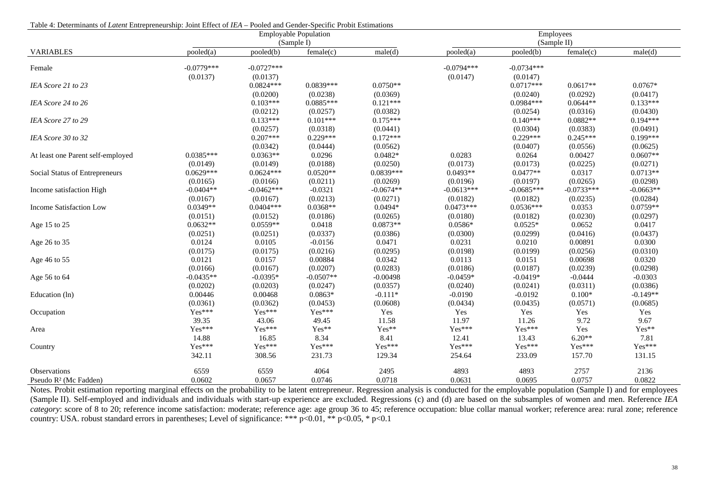| гале 4. Determinants от <i>Eatent Entrepreneurship</i> , John Entert от 12/1 – I ботей ани Оснист-Эреспте I толл Esumations |              |              | <b>Employable Population</b> |             | Employees    |              |              |             |  |
|-----------------------------------------------------------------------------------------------------------------------------|--------------|--------------|------------------------------|-------------|--------------|--------------|--------------|-------------|--|
|                                                                                                                             |              |              | (Sample I)                   |             |              |              | (Sample II)  |             |  |
| <b>VARIABLES</b>                                                                                                            | pooled(a)    | pooled(b)    | female(c)                    | male(d)     | pooled(a)    | pooled(b)    | female(c)    | male(d)     |  |
| Female                                                                                                                      | $-0.0779***$ | $-0.0727***$ |                              |             | $-0.0794***$ | $-0.0734***$ |              |             |  |
|                                                                                                                             | (0.0137)     | (0.0137)     |                              |             | (0.0147)     | (0.0147)     |              |             |  |
| IEA Score 21 to 23                                                                                                          |              | $0.0824***$  | $0.0839***$                  | $0.0750**$  |              | $0.0717***$  | $0.0617**$   | $0.0767*$   |  |
|                                                                                                                             |              | (0.0200)     | (0.0238)                     | (0.0369)    |              | (0.0240)     | (0.0292)     | (0.0417)    |  |
| IEA Score 24 to 26                                                                                                          |              | $0.103***$   | $0.0885***$                  | $0.121***$  |              | $0.0984***$  | $0.0644**$   | $0.133***$  |  |
|                                                                                                                             |              | (0.0212)     | (0.0257)                     | (0.0382)    |              | (0.0254)     | (0.0316)     | (0.0430)    |  |
| IEA Score 27 to 29                                                                                                          |              | $0.133***$   | $0.101***$                   | $0.175***$  |              | $0.140***$   | $0.0882**$   | $0.194***$  |  |
|                                                                                                                             |              | (0.0257)     | (0.0318)                     | (0.0441)    |              | (0.0304)     | (0.0383)     | (0.0491)    |  |
| IEA Score 30 to 32                                                                                                          |              | $0.207***$   | $0.229***$                   | $0.172***$  |              | $0.229***$   | $0.245***$   | $0.199***$  |  |
|                                                                                                                             |              | (0.0342)     | (0.0444)                     | (0.0562)    |              | (0.0407)     | (0.0556)     | (0.0625)    |  |
| At least one Parent self-employed                                                                                           | $0.0385***$  | $0.0363**$   | 0.0296                       | $0.0482*$   | 0.0283       | 0.0264       | 0.00427      | $0.0607**$  |  |
|                                                                                                                             | (0.0149)     | (0.0149)     | (0.0188)                     | (0.0250)    | (0.0173)     | (0.0173)     | (0.0225)     | (0.0271)    |  |
| Social Status of Entrepreneurs                                                                                              | $0.0629***$  | $0.0624***$  | $0.0520**$                   | 0.0839***   | $0.0493**$   | $0.0477**$   | 0.0317       | $0.0713**$  |  |
|                                                                                                                             | (0.0165)     | (0.0166)     | (0.0211)                     | (0.0269)    | (0.0196)     | (0.0197)     | (0.0265)     | (0.0298)    |  |
| Income satisfaction High                                                                                                    | $-0.0404**$  | $-0.0462***$ | $-0.0321$                    | $-0.0674**$ | $-0.0613***$ | $-0.0685***$ | $-0.0733***$ | $-0.0663**$ |  |
|                                                                                                                             | (0.0167)     | (0.0167)     | (0.0213)                     | (0.0271)    | (0.0182)     | (0.0182)     | (0.0235)     | (0.0284)    |  |
| Income Satisfaction Low                                                                                                     | $0.0349**$   | $0.0404***$  | $0.0368**$                   | $0.0494*$   | $0.0473***$  | $0.0536***$  | 0.0353       | $0.0759**$  |  |
|                                                                                                                             | (0.0151)     | (0.0152)     | (0.0186)                     | (0.0265)    | (0.0180)     | (0.0182)     | (0.0230)     | (0.0297)    |  |
| Age 15 to 25                                                                                                                | $0.0632**$   | $0.0559**$   | 0.0418                       | $0.0873**$  | $0.0586*$    | $0.0525*$    | 0.0652       | 0.0417      |  |
|                                                                                                                             | (0.0251)     | (0.0251)     | (0.0337)                     | (0.0386)    | (0.0300)     | (0.0299)     | (0.0416)     | (0.0437)    |  |
| Age 26 to 35                                                                                                                | 0.0124       | 0.0105       | $-0.0156$                    | 0.0471      | 0.0231       | 0.0210       | 0.00891      | 0.0300      |  |
|                                                                                                                             | (0.0175)     | (0.0175)     | (0.0216)                     | (0.0295)    | (0.0198)     | (0.0199)     | (0.0256)     | (0.0310)    |  |
| Age 46 to 55                                                                                                                | 0.0121       | 0.0157       | 0.00884                      | 0.0342      | 0.0113       | 0.0151       | 0.00698      | 0.0320      |  |
|                                                                                                                             | (0.0166)     | (0.0167)     | (0.0207)                     | (0.0283)    | (0.0186)     | (0.0187)     | (0.0239)     | (0.0298)    |  |
| Age 56 to 64                                                                                                                | $-0.0435**$  | $-0.0395*$   | $-0.0507**$                  | $-0.00498$  | $-0.0459*$   | $-0.0419*$   | $-0.0444$    | $-0.0303$   |  |
|                                                                                                                             | (0.0202)     | (0.0203)     | (0.0247)                     | (0.0357)    | (0.0240)     | (0.0241)     | (0.0311)     | (0.0386)    |  |
| Education (ln)                                                                                                              | 0.00446      | 0.00468      | $0.0863*$                    | $-0.111*$   | $-0.0190$    | $-0.0192$    | $0.100*$     | $-0.149**$  |  |
|                                                                                                                             | (0.0361)     | (0.0362)     | (0.0453)                     | (0.0608)    | (0.0434)     | (0.0435)     | (0.0571)     | (0.0685)    |  |
| Occupation                                                                                                                  | Yes***       | Yes***       | Yes***                       | Yes         | Yes          | Yes          | Yes          | Yes         |  |
|                                                                                                                             | 39.35        | 43.06        | 49.45                        | 11.58       | 11.97        | 11.26        | 9.72         | 9.67        |  |
| Area                                                                                                                        | Yes***       | Yes***       | Yes**                        | Yes**       | Yes***       | Yes***       | Yes          | Yes**       |  |
|                                                                                                                             | 14.88        | 16.85        | 8.34                         | 8.41        | 12.41        | 13.43        | $6.20**$     | 7.81        |  |
| Country                                                                                                                     | Yes***       | Yes***       | Yes***                       | Yes***      | Yes***       | Yes***       | Yes***       | Yes***      |  |
|                                                                                                                             | 342.11       | 308.56       | 231.73                       | 129.34      | 254.64       | 233.09       | 157.70       | 131.15      |  |
| <b>Observations</b>                                                                                                         | 6559         | 6559         | 4064                         | 2495        | 4893         | 4893         | 2757         | 2136        |  |
| Pseudo R <sup>2</sup> (Mc Fadden)                                                                                           | 0.0602       | 0.0657       | 0.0746                       | 0.0718      | 0.0631       | 0.0695       | 0.0757       | 0.0822      |  |

Notes. Probit estimation reporting marginal effects on the probability to be latent entrepreneur. Regression analysis is conducted for the employable population (Sample I) and for employees (Sample II). Self-employed and individuals and individuals with start-up experience are excluded. Regressions (c) and (d) are based on the subsamples of women and men. Reference *IEA category*: score of 8 to 20; reference income satisfaction: moderate; reference age: age group 36 to 45; reference occupation: blue collar manual worker; reference area: rural zone; reference country: USA. robust standard errors in parentheses; Level of significance: \*\*\*  $p<0.01$ , \*\*  $p<0.05$ , \*  $p<0.1$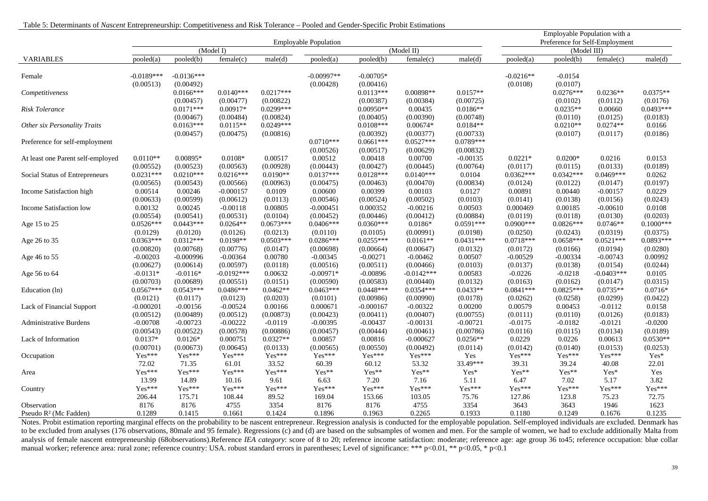| Table 5: Determinants of Nascent Entrepreneurship: Competitiveness and Risk Tolerance – Pooled and Gender-Specific Probit Estimations |  |  |
|---------------------------------------------------------------------------------------------------------------------------------------|--|--|
|                                                                                                                                       |  |  |

|                                   |                           |                                       |                                      | Employable Population with a<br>Preference for Self-Employment |                              |                                       |                                      |                                      |                         |                                    |                                    |                                |
|-----------------------------------|---------------------------|---------------------------------------|--------------------------------------|----------------------------------------------------------------|------------------------------|---------------------------------------|--------------------------------------|--------------------------------------|-------------------------|------------------------------------|------------------------------------|--------------------------------|
|                                   |                           |                                       | (Model I)                            |                                                                | <b>Employable Population</b> |                                       | (Model II)                           |                                      | (Model III)             |                                    |                                    |                                |
| <b>VARIABLES</b>                  | pooled(a)                 | pooled(b)                             | female(c)                            | male(d)                                                        | pooled(a)                    | pooled(b)                             | female(c)                            | male(d)                              | pooled(a)               | pooled(b)                          | female(c)                          | male(d)                        |
| Female                            | $-0.0189***$<br>(0.00513) | $-0.0136***$<br>(0.00492)             |                                      |                                                                | $-0.00997**$<br>(0.00428)    | $-0.00705*$<br>(0.00416)              |                                      |                                      | $-0.0216**$<br>(0.0108) | $-0.0154$<br>(0.0107)              |                                    |                                |
| Competitiveness                   |                           | $0.0166***$<br>(0.00457)              | $0.0140***$<br>(0.00477)             | $0.0217***$<br>(0.00822)                                       |                              | $0.0113***$<br>(0.00387)              | $0.00898**$<br>(0.00384)             | $0.0157**$<br>(0.00725)              |                         | $0.0276***$<br>(0.0102)            | $0.0236**$<br>(0.0112)             | $0.0375**$<br>(0.0176)         |
| Risk Tolerance                    |                           | $0.0171***$                           | $0.00917*$                           | $0.0299***$                                                    |                              | $0.00950**$                           | 0.00435                              | $0.0186**$                           |                         | $0.0235**$                         | 0.00660                            | $0.0493***$                    |
| Other six Personality Traits      |                           | (0.00467)<br>$0.0163***$<br>(0.00457) | (0.00484)<br>$0.0115**$<br>(0.00475) | (0.00824)<br>$0.0249***$<br>(0.00816)                          |                              | (0.00405)<br>$0.0108***$<br>(0.00392) | (0.00390)<br>$0.00674*$<br>(0.00377) | (0.00748)<br>$0.0184**$<br>(0.00733) |                         | (0.0110)<br>$0.0210**$<br>(0.0107) | (0.0125)<br>$0.0274**$<br>(0.0117) | (0.0183)<br>0.0166<br>(0.0186) |
| Preference for self-employment    |                           |                                       |                                      |                                                                | $0.0710***$<br>(0.00526)     | $0.0661***$<br>(0.00517)              | $0.0527***$<br>(0.00629)             | $0.0789***$<br>(0.00832)             |                         |                                    |                                    |                                |
| At least one Parent self-employed | $0.0110**$                | 0.00895*                              | $0.0108*$                            | 0.00517                                                        | 0.00512                      | 0.00418                               | 0.00700                              | $-0.00135$                           | $0.0221*$               | $0.0200*$                          | 0.0216                             | 0.0153                         |
|                                   | (0.00552)                 | (0.00523)                             | (0.00563)                            | (0.00928)                                                      | (0.00443)                    | (0.00427)                             | (0.00445)                            | (0.00764)                            | (0.0117)                | (0.0115)                           | (0.0133)                           | (0.0189)                       |
| Social Status of Entrepreneurs    | $0.0231***$               | $0.0210***$                           | $0.0216***$                          | $0.0190**$                                                     | $0.0137***$                  | $0.0128***$                           | $0.0140***$                          | 0.0104                               | $0.0362***$             | $0.0342***$                        | $0.0469***$                        | 0.0262                         |
|                                   | (0.00565)                 | (0.00543)                             | (0.00566)                            | (0.00963)                                                      | (0.00475)                    | (0.00463)                             | (0.00470)                            | (0.00834)                            | (0.0124)                | (0.0122)                           | (0.0147)                           | (0.0197)                       |
| Income Satisfaction high          | 0.00514                   | 0.00246                               | $-0.000157$                          | 0.0109                                                         | 0.00600                      | 0.00399                               | 0.00103                              | 0.0127                               | 0.00891                 | 0.00440                            | $-0.00157$                         | 0.0229                         |
|                                   | (0.00633)                 | (0.00599)                             | (0.00612)                            | (0.0113)                                                       | (0.00546)                    | (0.00524)                             | (0.00502)                            | (0.0103)                             | (0.0141)                | (0.0138)                           | (0.0156)                           | (0.0243)                       |
| Income Satisfaction low           | 0.00132                   | 0.00245                               | $-0.00118$                           | 0.00805                                                        | $-0.000451$                  | 0.000352                              | $-0.00216$                           | 0.00503                              | 0.000469                | 0.00185                            | $-0.00610$                         | 0.0108                         |
|                                   | (0.00554)                 | (0.00541)                             | (0.00531)                            | (0.0104)                                                       | (0.00452)                    | (0.00446)                             | (0.00412)                            | (0.00884)                            | (0.0119)                | (0.0118)                           | (0.0130)                           | (0.0203)                       |
| Age 15 to 25                      | $0.0526***$               | $0.0443***$                           | $0.0264**$                           | $0.0673***$                                                    | $0.0406***$                  | $0.0360***$                           | $0.0186*$                            | $0.0591***$                          | $0.0900***$             | $0.0826***$                        | $0.0746**$                         | $0.1000***$                    |
|                                   | (0.0129)                  | (0.0120)                              | (0.0126)                             | (0.0213)                                                       | (0.0110)                     | (0.0105)                              | (0.00991)                            | (0.0198)                             | (0.0250)                | (0.0243)                           | (0.0319)                           | (0.0375)                       |
| Age 26 to 35                      | $0.0363***$               | $0.0312***$                           | $0.0198**$                           | $0.0503***$                                                    | $0.0286***$                  | $0.0255***$                           | $0.0161**$                           | $0.0431***$                          | $0.0718***$             | $0.0658***$                        | $0.0521***$                        | $0.0893***$                    |
|                                   | (0.00820)                 | (0.00768)                             | (0.00776)                            | (0.0147)                                                       | (0.00698)                    | (0.00664)                             | (0.00647)                            | (0.0132)                             | (0.0172)                | (0.0166)                           | (0.0194)                           | (0.0280)                       |
| Age 46 to 55                      | $-0.00203$                | $-0.000996$                           | $-0.00364$                           | 0.00780                                                        | $-0.00345$                   | $-0.00271$                            | $-0.00462$                           | 0.00507                              | $-0.00529$              | $-0.00334$                         | $-0.00743$                         | 0.00992                        |
|                                   | (0.00627)                 | (0.00614)                             | (0.00597)                            | (0.0118)                                                       | (0.00516)                    | (0.00511)                             | (0.00466)                            | (0.0103)                             | (0.0137)                | (0.0138)                           | (0.0154)                           | (0.0244)                       |
| Age 56 to 64                      | $-0.0131*$                | $-0.0116*$                            | $-0.0192***$                         | 0.00632                                                        | $-0.00971*$                  | $-0.00896$                            | $-0.0142***$                         | 0.00583                              | $-0.0226$               | $-0.0218$                          | $-0.0403***$                       | 0.0105                         |
|                                   | (0.00703)                 | (0.00689)                             | (0.00551)                            | (0.0151)                                                       | (0.00590)                    | (0.00583)                             | (0.00440)                            | (0.0132)                             | (0.0163)                | (0.0162)                           | (0.0147)                           | (0.0315)                       |
| Education (ln)                    | $0.0567***$               | $0.0543***$                           | $0.0486***$                          | $0.0462**$                                                     | $0.0463***$                  | $0.0448***$                           | $0.0354***$                          | $0.0433**$                           | $0.0841***$             | $0.0825***$                        | $0.0735**$                         | $0.0716*$                      |
|                                   | (0.0121)                  | (0.0117)                              | (0.0123)                             | (0.0203)                                                       | (0.0101)                     | (0.00986)                             | (0.00990)                            | (0.0178)                             | (0.0262)                | (0.0258)                           | (0.0299)                           | (0.0422)                       |
| Lack of Financial Support         | $-0.000201$               | $-0.00156$                            | $-0.00524$                           | 0.00166                                                        | 0.000671                     | $-0.000167$                           | $-0.00322$                           | 0.00200                              | 0.00579                 | 0.00453                            | $-0.0112$                          | 0.0158                         |
|                                   | (0.00512)                 | (0.00489)                             | (0.00512)                            | (0.00873)                                                      | (0.00423)                    | (0.00411)                             | (0.00407)                            | (0.00755)                            | (0.0111)                | (0.0110)                           | (0.0126)                           | (0.0183)                       |
| <b>Administrative Burdens</b>     | $-0.00708$                | $-0.00723$                            | $-0.00222$                           | $-0.0119$                                                      | $-0.00395$                   | $-0.00437$                            | $-0.00131$                           | $-0.00721$                           | $-0.0175$               | $-0.0182$                          | $-0.0121$                          | $-0.0200$                      |
|                                   | (0.00543)                 | (0.00522)                             | (0.00578)                            | (0.00886)                                                      | (0.00457)                    | (0.00444)                             | (0.00461)                            | (0.00786)                            | (0.0116)                | (0.0115)                           | (0.0134)                           | (0.0189)                       |
| Lack of Information               | $0.0137*$                 | $0.0126*$                             | 0.000751                             | $0.0327**$                                                     | 0.00857                      | 0.00816                               | $-0.000627$                          | $0.0256**$                           | 0.0229                  | 0.0226                             | 0.00613                            | $0.0530**$                     |
|                                   | (0.00701)                 | (0.00673)                             | (0.00645)                            | (0.0133)                                                       | (0.00565)                    | (0.00550)                             | (0.00492)                            | (0.0114)                             | (0.0142)                | (0.0140)                           | (0.0153)                           | (0.0253)                       |
| Occupation                        | Yes***                    | Yes***                                | Yes***                               | Yes***                                                         | Yes***                       | Yes***                                | Yes***                               | Yes                                  | Yes***                  | Yes***                             | Yes***                             | Yes*                           |
|                                   | 72.02                     | 71.35                                 | 61.01                                | 33.52                                                          | 60.39                        | 60.12                                 | 53.32                                | 33.49***                             | 39.31                   | 39.24                              | 40.08                              | 22.01                          |
| Area                              | Yes***                    | Yes***                                | Yes***                               | Yes***                                                         | Yes**                        | Yes**                                 | Yes**                                | Yes*                                 | Yes**                   | $Yes**$                            | Yes*                               | Yes                            |
|                                   | 13.99                     | 14.89                                 | 10.16                                | 9.61                                                           | 6.63                         | 7.20                                  | 7.16                                 | 5.11                                 | 6.47                    | 7.02                               | 5.17                               | 3.82                           |
| Country                           | $Yes***$                  | $Yes***$                              | Yes***                               | Yes***                                                         | Yes***                       | $Yes***$                              | $Yes***$                             | Yes***                               | Yes***                  | Yes***                             | Yes***                             | Yes***                         |
|                                   | 206.44                    | 175.71                                | 108.44                               | 89.52                                                          | 169.04                       | 153.66                                | 103.05                               | 75.76                                | 127.86                  | 123.8                              | 75.23                              | 72.75                          |
| Observation                       | 8176                      | 8176                                  | 4755                                 | 3354                                                           | 8176                         | 8176                                  | 4755                                 | 3354                                 | 3643                    | 3643                               | 1946                               | 1623                           |
| Pseudo R <sup>2</sup> (Mc Fadden) | 0.1289                    | 0.1415                                | 0.1661                               | 0.1424                                                         | 0.1896                       | 0.1963                                | 0.2265                               | 0.1933                               | 0.1180                  | 0.1249                             | 0.1676                             | 0.1235                         |

Notes. Probit estimation reporting marginal effects on the probability to be nascent entrepreneur. Regression analysis is conducted for the employable population. Self-employed individuals are excluded. Denmark has to be excluded from analyses (176 observations, 80male and 95 female). Regressions (c) and (d) are based on the subsamples of women and men. For the sample of women, we had to exclude additionally Malta from analysis of female nascent entrepreneurship (68observations).Reference *IEA category*: score of 8 to 20; reference income satisfaction: moderate; reference age: age group 36 to45; reference occupation: blue collar manual worker; reference area: rural zone; reference country: USA. robust standard errors in parentheses; Level of significance: \*\*\* p<0.01, \*\* p<0.05, \* p<0.1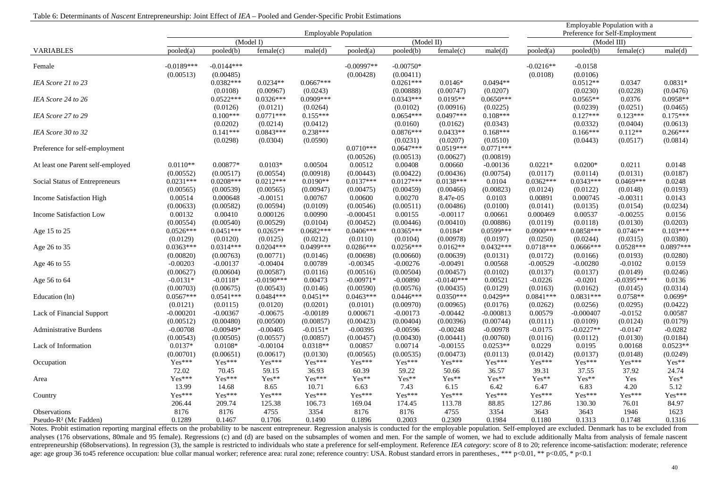|                                   |                         |                         |                           |                     |                              |                         |                           | Employable Population with a |                       |                       |                                |                    |
|-----------------------------------|-------------------------|-------------------------|---------------------------|---------------------|------------------------------|-------------------------|---------------------------|------------------------------|-----------------------|-----------------------|--------------------------------|--------------------|
|                                   |                         |                         |                           |                     | <b>Employable Population</b> |                         |                           |                              |                       |                       | Preference for Self-Employment |                    |
|                                   |                         |                         | (Model I)                 |                     |                              | (Model II)              |                           |                              |                       | (Model III)           |                                |                    |
| <b>VARIABLES</b>                  | pooled(a)               | pooled(b)               | female(c)                 | male(d)             | pooled(a)                    | pooled(b)               | female(c)                 | male(d)                      | pooled(a)             | pooled(b)             | female(c)                      | male(d)            |
| Female                            | $-0.0189***$            | $-0.0144***$            |                           |                     | $-0.00997**$                 | $-0.00750*$             |                           |                              | $-0.0216**$           | $-0.0158$             |                                |                    |
|                                   | (0.00513)               | (0.00485)               |                           |                     | (0.00428)                    | (0.00411)               |                           |                              | (0.0108)              | (0.0106)              |                                |                    |
| IEA Score 21 to 23                |                         | $0.0382***$             | $0.0234**$                | $0.0667***$         |                              | $0.0261***$             | $0.0146*$                 | $0.0494**$                   |                       | $0.0512**$            | 0.0347                         | $0.0831*$          |
|                                   |                         | (0.0108)                | (0.00967)                 | (0.0243)            |                              | (0.00888)               | (0.00747)                 | (0.0207)                     |                       | (0.0230)              | (0.0228)                       | (0.0476)           |
| IEA Score 24 to 26                |                         | $0.0522***$             | $0.0326***$               | $0.0909***$         |                              | $0.0343***$             | $0.0195**$                | $0.0650***$                  |                       | $0.0565**$            | 0.0376                         | $0.0958**$         |
|                                   |                         | (0.0126)                | (0.0121)                  | (0.0264)            |                              | (0.0102)                | (0.00916)                 | (0.0225)                     |                       | (0.0239)              | (0.0251)                       | (0.0465)           |
| IEA Score 27 to 29                |                         | $0.100***$              | $0.0771***$               | $0.155***$          |                              | $0.0654***$             | $0.0497***$               | $0.108***$                   |                       | $0.127***$            | $0.123***$                     | $0.175***$         |
|                                   |                         | (0.0202)                | (0.0214)                  | (0.0412)            |                              | (0.0160)                | (0.0162)                  | (0.0343)                     |                       | (0.0332)              | (0.0404)                       | (0.0613)           |
| IEA Score 30 to 32                |                         | $0.141***$              | $0.0843***$               | $0.238***$          |                              | $0.0876***$             | $0.0433**$                | $0.168***$                   |                       | $0.166***$            | $0.112**$                      | $0.266***$         |
|                                   |                         | (0.0298)                | (0.0304)                  | (0.0590)            |                              | (0.0231)                | (0.0207)                  | (0.0510)                     |                       | (0.0443)              | (0.0517)                       | (0.0814)           |
| Preference for self-employment    |                         |                         |                           |                     | $0.0710***$                  | $0.0647***$             | $0.0519***$               | $0.0771***$                  |                       |                       |                                |                    |
|                                   |                         |                         |                           |                     | (0.00526)                    | (0.00513)               | (0.00627)                 | (0.00819)                    |                       |                       |                                |                    |
| At least one Parent self-employed | $0.0110**$              | 0.00877*                | $0.0103*$                 | 0.00504             | 0.00512                      | 0.00408                 | 0.00660                   | $-0.00136$                   | $0.0221*$             | $0.0200*$             | 0.0211                         | 0.0148             |
|                                   | (0.00552)               | (0.00517)               | (0.00554)                 | (0.00918)           | (0.00443)                    | (0.00422)               | (0.00436)                 | (0.00754)                    | (0.0117)              | (0.0114)              | (0.0131)                       | (0.0187)           |
| Social Status of Entrepreneurs    | $0.0231***$             | $0.0208***$             | $0.0212***$               | $0.0190**$          | $0.0137***$                  | $0.0127***$             | $0.0138***$               | 0.0104                       | $0.0362***$           | $0.0343***$           | $0.0469***$                    | 0.0248             |
|                                   | (0.00565)               | (0.00539)               | (0.00565)                 | (0.00947)           | (0.00475)                    | (0.00459)               | (0.00466)                 | (0.00823)                    | (0.0124)              | (0.0122)              | (0.0148)                       | (0.0193)           |
| Income Satisfaction High          | 0.00514                 | 0.000648                | $-0.00151$                | 0.00767             | 0.00600                      | 0.00270                 | 8.47e-05                  | 0.0103                       | 0.00891               | 0.000745              | $-0.00311$                     | 0.0143             |
|                                   | (0.00633)               | (0.00582)               | (0.00594)                 | (0.0109)            | (0.00546)                    | (0.00511)               | (0.00486)                 | (0.0100)                     | (0.0141)              | (0.0135)              | (0.0154)                       | (0.0234)           |
| Income Satisfaction Low           | 0.00132                 | 0.00410                 | 0.000126                  | 0.00990             | $-0.000451$                  | 0.00155                 | $-0.00117$                | 0.00661                      | 0.000469              | 0.00537               | $-0.00255$                     | 0.0156             |
|                                   | (0.00554)               | (0.00540)               | (0.00529)                 | (0.0104)            | (0.00452)                    | (0.00446)               | (0.00410)                 | (0.00886)                    | (0.0119)              | (0.0118)              | (0.0130)                       | (0.0203)           |
| Age 15 to 25                      | $0.0526***$             | $0.0451***$             | $0.0265**$                | $0.0682***$         | $0.0406***$                  | $0.0365***$             | $0.0184*$                 | $0.0599***$                  | $0.0900***$           | $0.0858***$           | $0.0746**$                     | $0.103***$         |
|                                   | (0.0129)                | (0.0120)                | (0.0125)                  | (0.0212)            | (0.0110)                     | (0.0104)                | (0.00978)                 | (0.0197)                     | (0.0250)              | (0.0244)              | (0.0315)                       | (0.0380)           |
| Age 26 to 35                      | $0.0363***$             | $0.0314***$             | $0.0204***$               | $0.0499***$         | $0.0286***$                  | $0.0256***$             | $0.0162**$                | $0.0432***$                  | $0.0718***$           | $0.0666***$           | $0.0528***$                    | $0.0897***$        |
|                                   | (0.00820)               | (0.00763)               | (0.00771)                 | (0.0146)            | (0.00698)                    | (0.00660)               | (0.00639)                 | (0.0131)                     | (0.0172)              | (0.0166)              | (0.0193)                       | (0.0280)           |
| Age 46 to 55                      | $-0.00203$              | $-0.00137$              | $-0.00404$                | 0.00789             | $-0.00345$                   | $-0.00276$              | $-0.00491$                | 0.00568                      | $-0.00529$            | $-0.00280$            | $-0.0102$                      | 0.0159             |
| Age 56 to 64                      | (0.00627)<br>$-0.0131*$ | (0.00604)<br>$-0.0118*$ | (0.00587)<br>$-0.0190***$ | (0.0116)<br>0.00473 | (0.00516)<br>$-0.00971*$     | (0.00504)<br>$-0.00890$ | (0.00457)<br>$-0.0140***$ | (0.0102)<br>0.00521          | (0.0137)<br>$-0.0226$ | (0.0137)<br>$-0.0201$ | (0.0149)<br>$-0.0395***$       | (0.0246)<br>0.0136 |
|                                   | (0.00703)               | (0.00675)               | (0.00543)                 | (0.0146)            | (0.00590)                    | (0.00576)               | (0.00435)                 | (0.0129)                     | (0.0163)              | (0.0162)              | (0.0145)                       | (0.0314)           |
| Education (ln)                    | $0.0567***$             | $0.0541***$             | $0.0484***$               | $0.0451**$          | $0.0463***$                  | $0.0446***$             | $0.0350***$               | $0.0429**$                   | $0.0841***$           | $0.0831***$           | $0.0758**$                     | $0.0699*$          |
|                                   | (0.0121)                | (0.0115)                | (0.0120)                  | (0.0201)            | (0.0101)                     | (0.00970)               | (0.00965)                 | (0.0176)                     | (0.0262)              | (0.0256)              | (0.0295)                       | (0.0422)           |
| Lack of Financial Support         | $-0.000201$             | $-0.00367$              | $-0.00675$                | $-0.00189$          | 0.000671                     | $-0.00173$              | $-0.00442$                | $-0.000813$                  | 0.00579               | $-0.000407$           | $-0.0152$                      | 0.00587            |
|                                   | (0.00512)               | (0.00480)               | (0.00500)                 | (0.00857)           | (0.00423)                    | (0.00404)               | (0.00396)                 | (0.00744)                    | (0.0111)              | (0.0109)              | (0.0124)                       | (0.0179)           |
| <b>Administrative Burdens</b>     | $-0.00708$              | $-0.00949*$             | $-0.00405$                | $-0.0151*$          | $-0.00395$                   | $-0.00596$              | $-0.00248$                | $-0.00978$                   | $-0.0175$             | $-0.0227**$           | $-0.0147$                      | $-0.0282$          |
|                                   | (0.00543)               | (0.00505)               | (0.00557)                 | (0.00857)           | (0.00457)                    | (0.00430)               | (0.00441)                 | (0.00760)                    | (0.0116)              | (0.0112)              | (0.0130)                       | (0.0184)           |
| Lack of Information               | $0.0137*$               | $0.0108*$               | $-0.00104$                | $0.0318**$          | 0.00857                      | 0.00714                 | $-0.00155$                | $0.0253**$                   | 0.0229                | 0.0195                | 0.00168                        | $0.0523**$         |
|                                   | (0.00701)               | (0.00651)               | (0.00617)                 | (0.0130)            | (0.00565)                    | (0.00535)               | (0.00473)                 | (0.0113)                     | (0.0142)              | (0.0137)              | (0.0148)                       | (0.0249)           |
| Occupation                        | Yes***                  | Yes***                  | $Yes***$                  | Yes***              | $Yes***$                     | Yes***                  | Yes***                    | $Yes***$                     | Yes***                | $Yes***$              | Yes***                         | Yes**              |
|                                   | 72.02                   | 70.45                   | 59.15                     | 36.93               | 60.39                        | 59.22                   | 50.66                     | 36.57                        | 39.31                 | 37.55                 | 37.92                          | 24.74              |
| Area                              | Yes***                  | Yes***                  | $\mathbf{Yes^{**}}$       | Yes***              | Yes**                        | Yes**                   | Yes**                     | Yes**                        | Yes**                 | Yes**                 | Yes                            | Yes*               |
|                                   | 13.99                   | 14.68                   | 8.65                      | 10.71               | 6.63                         | 7.43                    | 6.15                      | 6.42                         | 6.47                  | 6.83                  | 4.20                           | 5.12               |
| Country                           | Yes***                  | Yes***                  | Yes***                    | Yes***              | Yes***                       | Yes***                  | Yes***                    | Yes***                       | Yes***                | Yes***                | Yes***                         | Yes***             |
|                                   | 206.44                  | 209.74                  | 125.38                    | 106.73              | 169.04                       | 174.45                  | 113.78                    | 88.85                        | 127.86                | 130.30                | 76.01                          | 84.97              |
| Observations                      | 8176                    | 8176                    | 4755                      | 3354                | 8176                         | 8176                    | 4755                      | 3354                         | 3643                  | 3643                  | 1946                           | 1623               |
| Pseudo-R <sup>2</sup> (Mc Fadden) | 0.1289                  | 0.1467                  | 0.1706                    | 0.1490              | 0.1896                       | 0.2003                  | 0.2309                    | 0.1984                       | 0.1180                | 0.1313                | 0.1748                         | 0.1316             |

Notes. Probit estimation reporting marginal effects on the probability to be nascent entrepreneur. Regression analysis is conducted for the employable population. Self-employed are excluded. Denmark has to be excluded from analyses (176 observations, 80male and 95 female). Regressions (c) and (d) are based on the subsamples of women and men. For the sample of women, we had to exclude additionally Malta from analysis of female nascent entrepreneurship (68observations). In regression (3), the sample is restricted to individuals who state a preference for self-employment. Reference IEA category: score of 8 to 20; reference income-satisfaction: moderate; r age: age group 36 to45 reference occupation: blue collar manual worker; reference area: rural zone; reference country: USA. Robust standard errors in parentheses., \*\*\* p<0.01, \*\* p<0.05, \* p<0.1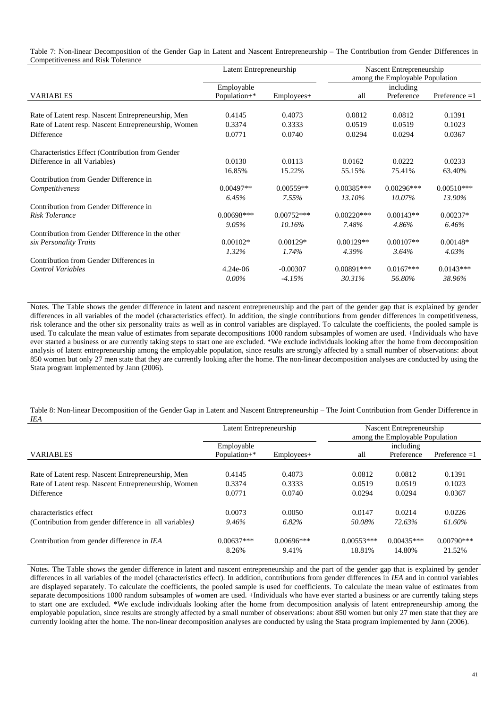Table 7: Non-linear Decomposition of the Gender Gap in Latent and Nascent Entrepreneurship – The Contribution from Gender Differences in Competitiveness and Risk Tolerance

|                                                      | Latent Entrepreneurship |              | Nascent Entrepreneurship        |              |                 |  |
|------------------------------------------------------|-------------------------|--------------|---------------------------------|--------------|-----------------|--|
|                                                      |                         |              | among the Employable Population |              |                 |  |
|                                                      | Employable              |              | including                       |              |                 |  |
| <b>VARIABLES</b>                                     | Population+*            | $Emplovees+$ | all                             | Preference   | Preference $=1$ |  |
|                                                      |                         |              |                                 |              |                 |  |
| Rate of Latent resp. Nascent Entrepreneurship, Men   | 0.4145                  | 0.4073       | 0.0812                          | 0.0812       | 0.1391          |  |
| Rate of Latent resp. Nascent Entrepreneurship, Women | 0.3374                  | 0.3333       | 0.0519                          | 0.0519       | 0.1023          |  |
| Difference                                           | 0.0771                  | 0.0740       | 0.0294                          | 0.0294       | 0.0367          |  |
| Characteristics Effect (Contribution from Gender     |                         |              |                                 |              |                 |  |
| Difference in all Variables)                         | 0.0130                  | 0.0113       | 0.0162                          | 0.0222       | 0.0233          |  |
|                                                      | 16.85%                  | 15.22%       | 55.15%                          | 75.41%       | 63.40%          |  |
| Contribution from Gender Difference in               |                         |              |                                 |              |                 |  |
| Competitiveness                                      | $0.00497**$             | $0.00559**$  | $0.00385***$                    | $0.00296***$ | $0.00510***$    |  |
|                                                      | 6.45%                   | 7.55%        | 13.10%                          | $10.07\%$    | 13.90%          |  |
| Contribution from Gender Difference in               |                         |              |                                 |              |                 |  |
| <b>Risk Tolerance</b>                                | $0.00698***$            | $0.00752***$ | $0.00220***$                    | $0.00143**$  | $0.00237*$      |  |
|                                                      | 9.05%                   | 10.16%       | 7.48%                           | 4.86%        | 6.46%           |  |
| Contribution from Gender Difference in the other     |                         |              |                                 |              |                 |  |
| six Personality Traits                               | $0.00102*$              | $0.00129*$   | $0.00129**$                     | $0.00107**$  | $0.00148*$      |  |
|                                                      | 1.32%                   | 1.74%        | 4.39%                           | 3.64%        | $4.03\%$        |  |
| Contribution from Gender Differences in              |                         |              |                                 |              |                 |  |
| <b>Control Variables</b>                             | $4.24e-06$              | $-0.00307$   | $0.00891***$                    | $0.0167***$  | $0.0143***$     |  |
|                                                      | $0.00\%$                | $-4.15%$     | 30.31%                          | 56.80%       | 38.96%          |  |

Notes. The Table shows the gender difference in latent and nascent entrepreneurship and the part of the gender gap that is explained by gender differences in all variables of the model (characteristics effect). In addition, the single contributions from gender differences in competitiveness, risk tolerance and the other six personality traits as well as in control variables are displayed. To calculate the coefficients, the pooled sample is used. To calculate the mean value of estimates from separate decompositions 1000 random subsamples of women are used. +Individuals who have ever started a business or are currently taking steps to start one are excluded. \*We exclude individuals looking after the home from decomposition analysis of latent entrepreneurship among the employable population, since results are strongly affected by a small number of observations: about 850 women but only 27 men state that they are currently looking after the home. The non-linear decomposition analyses are conducted by using the Stata program implemented by Jann (2006).

Table 8: Non-linear Decomposition of the Gender Gap in Latent and Nascent Entrepreneurship – The Joint Contribution from Gender Difference in *IEA*

|                                                        | Latent Entrepreneurship |                       | Nascent Entrepreneurship<br>among the Employable Population |                        |                        |
|--------------------------------------------------------|-------------------------|-----------------------|-------------------------------------------------------------|------------------------|------------------------|
|                                                        | Employable              |                       | including                                                   |                        |                        |
| <b>VARIABLES</b>                                       | Population $+$ *        | $Emplovees+$          | all                                                         | Preference             | Preference $=1$        |
|                                                        |                         |                       |                                                             |                        |                        |
| Rate of Latent resp. Nascent Entrepreneurship, Men     | 0.4145                  | 0.4073                | 0.0812                                                      | 0.0812                 | 0.1391                 |
| Rate of Latent resp. Nascent Entrepreneurship, Women   | 0.3374                  | 0.3333                | 0.0519                                                      | 0.0519                 | 0.1023                 |
| <b>Difference</b>                                      | 0.0771                  | 0.0740                | 0.0294                                                      | 0.0294                 | 0.0367                 |
| characteristics effect                                 | 0.0073                  | 0.0050                | 0.0147                                                      | 0.0214                 | 0.0226                 |
| (Contribution from gender difference in all variables) | 9.46%                   | 6.82%                 | 50.08%                                                      | 72.63%                 | 61.60%                 |
| Contribution from gender difference in IEA             | $0.00637***$<br>8.26%   | $0.00696***$<br>9.41% | $0.00553***$<br>18.81%                                      | $0.00435***$<br>14.80% | $0.00790***$<br>21.52% |

Notes. The Table shows the gender difference in latent and nascent entrepreneurship and the part of the gender gap that is explained by gender differences in all variables of the model (characteristics effect). In addition, contributions from gender differences in *IEA* and in control variables are displayed separately. To calculate the coefficients, the pooled sample is used for coefficients. To calculate the mean value of estimates from separate decompositions 1000 random subsamples of women are used. +Individuals who have ever started a business or are currently taking steps to start one are excluded. \*We exclude individuals looking after the home from decomposition analysis of latent entrepreneurship among the employable population, since results are strongly affected by a small number of observations: about 850 women but only 27 men state that they are currently looking after the home. The non-linear decomposition analyses are conducted by using the Stata program implemented by Jann (2006).